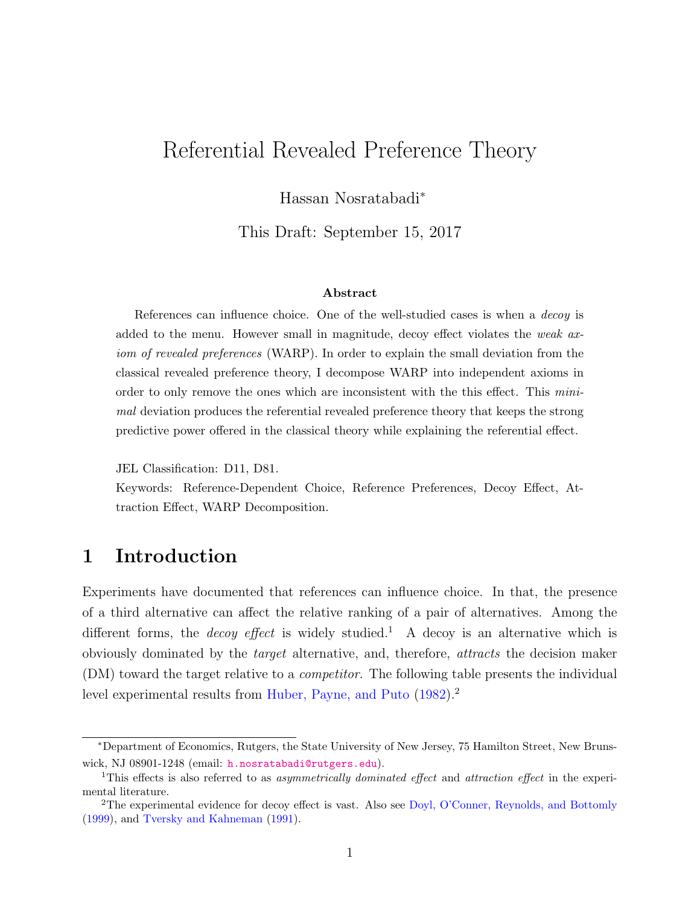# Referential Revealed Preference Theory

Hassan Nosratabadi<sup>∗</sup>

This Draft: September 15, 2017

### Abstract

References can influence choice. One of the well-studied cases is when a decoy is added to the menu. However small in magnitude, decoy effect violates the *weak ax*iom of revealed preferences (WARP). In order to explain the small deviation from the classical revealed preference theory, I decompose WARP into independent axioms in order to only remove the ones which are inconsistent with the this effect. This minimal deviation produces the referential revealed preference theory that keeps the strong predictive power offered in the classical theory while explaining the referential effect.

JEL Classification: D11, D81.

Keywords: Reference-Dependent Choice, Reference Preferences, Decoy Effect, Attraction Effect, WARP Decomposition.

# 1 Introduction

Experiments have documented that references can influence choice. In that, the presence of a third alternative can affect the relative ranking of a pair of alternatives. Among the different forms, the *decoy effect* is widely studied.<sup>1</sup> A decoy is an alternative which is obviously dominated by the target alternative, and, therefore, attracts the decision maker (DM) toward the target relative to a competitor. The following table presents the individual level experimental results from [Huber, Payne, and Puto](#page-53-0)  $(1982).$  $(1982).$ <sup>2</sup>

<sup>∗</sup>Department of Economics, Rutgers, the State University of New Jersey, 75 Hamilton Street, New Brunswick, NJ 08901-1248 (email: [h.nosratabadi@rutgers.edu](mailto:h.nosratabadi@rutgers.edu)).

<sup>&</sup>lt;sup>1</sup>This effects is also referred to as *asymmetrically dominated effect* and *attraction effect* in the experimental literature.

<sup>2</sup>The experimental evidence for decoy effect is vast. Also see [Doyl, O'Conner, Reynolds, and Bottomly](#page-53-1) [\(1999\)](#page-53-1), and [Tversky and Kahneman](#page-54-0) [\(1991\)](#page-54-0).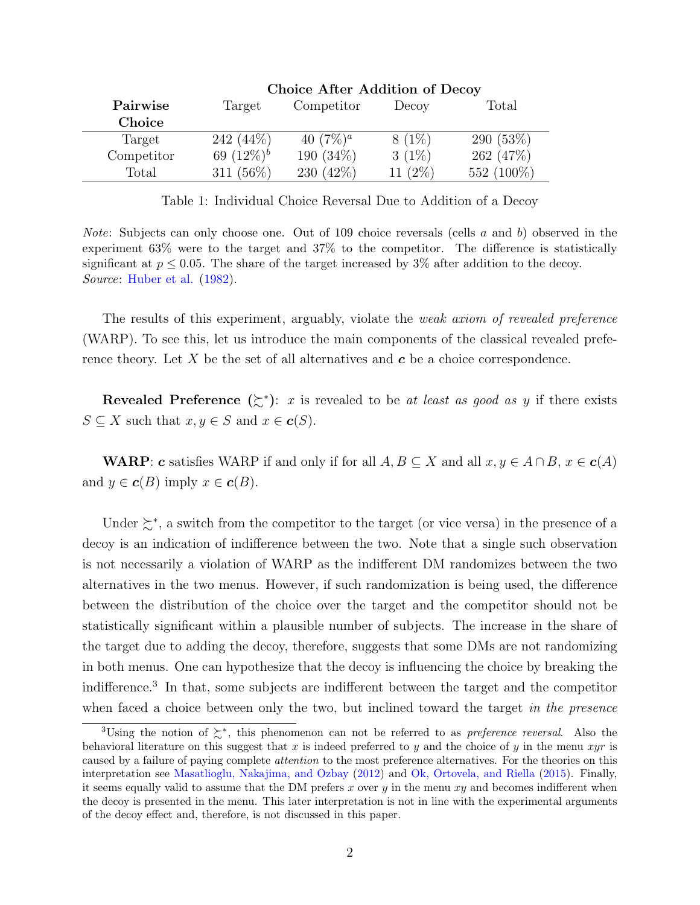<span id="page-1-0"></span>

|               | $\mathcal{L}_{\text{HOLO}}$ and a requirement of $\mathcal{L}_{\text{C}}$ |              |            |            |  |
|---------------|---------------------------------------------------------------------------|--------------|------------|------------|--|
| Pairwise      | Target                                                                    | Competitor   | Decoy      | Total      |  |
| <b>Choice</b> |                                                                           |              |            |            |  |
| Target        | $242(44\%)$                                                               | 40 $(7\%)^a$ | $8(1\%)$   | 290(53%)   |  |
| Competitor    | 69 $(12\%)^b$                                                             | 190 $(34\%)$ | $3(1\%)$   | 262(47%)   |  |
| Total         | 311 $(56\%)$                                                              | 230 $(42\%)$ | 11 $(2\%)$ | 552 (100%) |  |

#### Choice After Addition of Decoy

Table 1: Individual Choice Reversal Due to Addition of a Decoy

*Note:* Subjects can only choose one. Out of 109 choice reversals (cells  $a$  and  $b$ ) observed in the experiment 63% were to the target and 37% to the competitor. The difference is statistically significant at  $p \leq 0.05$ . The share of the target increased by 3% after addition to the decoy. Source: [Huber et al.](#page-53-0) [\(1982\)](#page-53-0).

The results of this experiment, arguably, violate the *weak axiom of revealed preference* (WARP). To see this, let us introduce the main components of the classical revealed preference theory. Let  $X$  be the set of all alternatives and  $c$  be a choice correspondence.

Revealed Preference  $(\succsim^*)$ : x is revealed to be at least as good as y if there exists  $S \subseteq X$  such that  $x, y \in S$  and  $x \in c(S)$ .

**WARP:** c satisfies WARP if and only if for all  $A, B \subseteq X$  and all  $x, y \in A \cap B$ ,  $x \in c(A)$ and  $y \in c(B)$  imply  $x \in c(B)$ .

Under  $\succeq^*$ , a switch from the competitor to the target (or vice versa) in the presence of a decoy is an indication of indifference between the two. Note that a single such observation is not necessarily a violation of WARP as the indifferent DM randomizes between the two alternatives in the two menus. However, if such randomization is being used, the difference between the distribution of the choice over the target and the competitor should not be statistically significant within a plausible number of subjects. The increase in the share of the target due to adding the decoy, therefore, suggests that some DMs are not randomizing in both menus. One can hypothesize that the decoy is influencing the choice by breaking the indifference.<sup>3</sup> In that, some subjects are indifferent between the target and the competitor when faced a choice between only the two, but inclined toward the target in the presence

<sup>&</sup>lt;sup>3</sup>Using the notion of  $\succsim^*$ , this phenomenon can not be referred to as *preference reversal*. Also the behavioral literature on this suggest that x is indeed preferred to y and the choice of y in the menu xyr is caused by a failure of paying complete attention to the most preference alternatives. For the theories on this interpretation see [Masatlioglu, Nakajima, and Ozbay](#page-54-1) [\(2012\)](#page-54-1) and [Ok, Ortovela, and Riella](#page-54-2) [\(2015\)](#page-54-2). Finally, it seems equally valid to assume that the DM prefers x over  $y$  in the menu  $xy$  and becomes indifferent when the decoy is presented in the menu. This later interpretation is not in line with the experimental arguments of the decoy effect and, therefore, is not discussed in this paper.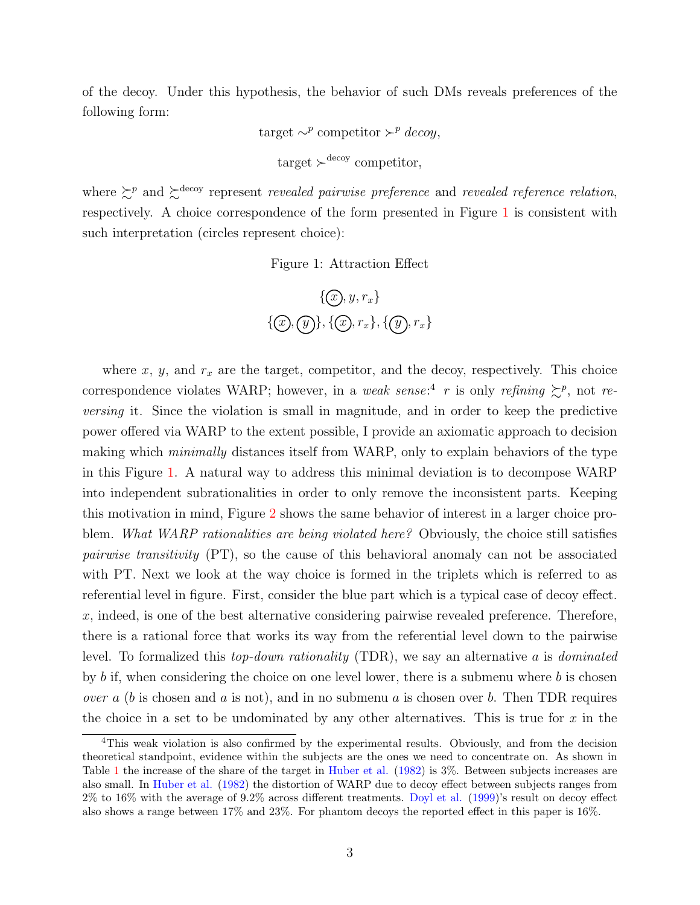of the decoy. Under this hypothesis, the behavior of such DMs reveals preferences of the following form:

target  $\sim^p$  competitor  $\succ^p$  decoy,

$$
target \succ^{decoy} \text{ competitor},
$$

<span id="page-2-0"></span>where  $\gtrsim^p$  and  $\gtrsim^{\text{decoy}}$  represent *revealed pairwise preference* and *revealed reference relation*, respectively. A choice correspondence of the form presented in Figure [1](#page-2-0) is consistent with such interpretation (circles represent choice):

Figure 1: Attraction Effect

$$
{\mathcal{F}}\{\mathcal{F}, y, r_x\}
$$
  

$$
{\mathcal{F}}\{\mathcal{F}, \mathcal{F}\}, \{\mathcal{F}, r_x\}, \{\mathcal{F}, r_x\}
$$

where  $x, y$ , and  $r_x$  are the target, competitor, and the decoy, respectively. This choice correspondence violates WARP; however, in a weak sense:<sup>4</sup> r is only refining  $\succeq^p$ , not reversing it. Since the violation is small in magnitude, and in order to keep the predictive power offered via WARP to the extent possible, I provide an axiomatic approach to decision making which *minimally* distances itself from WARP, only to explain behaviors of the type in this Figure [1.](#page-2-0) A natural way to address this minimal deviation is to decompose WARP into independent subrationalities in order to only remove the inconsistent parts. Keeping this motivation in mind, Figure [2](#page-3-0) shows the same behavior of interest in a larger choice problem. What WARP rationalities are being violated here? Obviously, the choice still satisfies pairwise transitivity (PT), so the cause of this behavioral anomaly can not be associated with PT. Next we look at the way choice is formed in the triplets which is referred to as referential level in figure. First, consider the blue part which is a typical case of decoy effect.  $x$ , indeed, is one of the best alternative considering pairwise revealed preference. Therefore, there is a rational force that works its way from the referential level down to the pairwise level. To formalized this *top-down rationality* (TDR), we say an alternative a is *dominated* by b if, when considering the choice on one level lower, there is a submenu where b is chosen *over a (b is chosen and a is not), and in no submenu a is chosen over b.* Then TDR requires the choice in a set to be undominated by any other alternatives. This is true for  $x$  in the

<sup>4</sup>This weak violation is also confirmed by the experimental results. Obviously, and from the decision theoretical standpoint, evidence within the subjects are the ones we need to concentrate on. As shown in Table [1](#page-1-0) the increase of the share of the target in [Huber et al.](#page-53-0) [\(1982\)](#page-53-0) is 3%. Between subjects increases are also small. In [Huber et al.](#page-53-0) [\(1982\)](#page-53-0) the distortion of WARP due to decoy effect between subjects ranges from 2% to 16% with the average of 9.2% across different treatments. [Doyl et al.](#page-53-1) [\(1999\)](#page-53-1)'s result on decoy effect also shows a range between 17% and 23%. For phantom decoys the reported effect in this paper is 16%.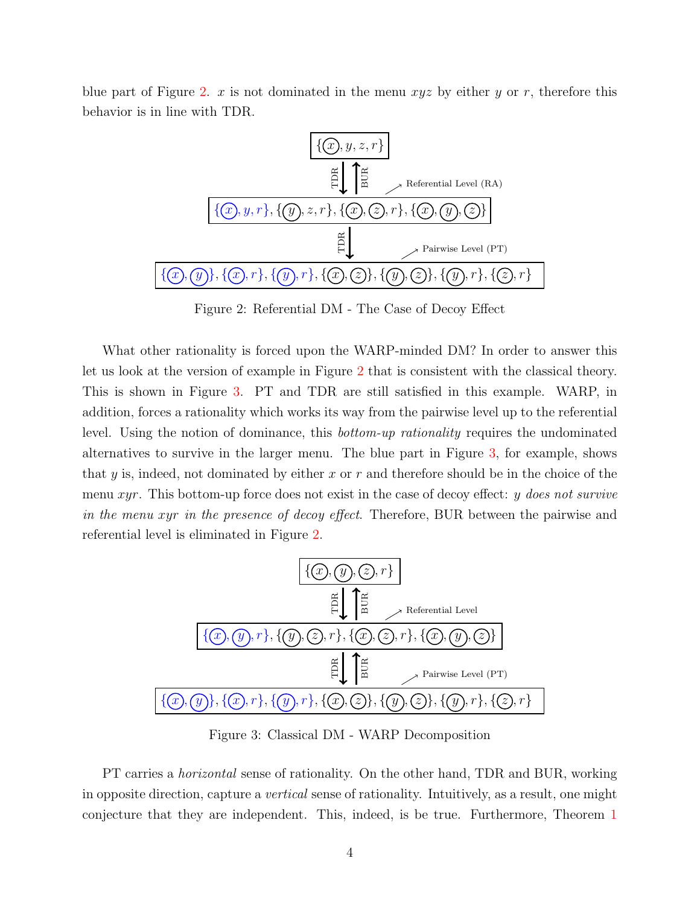<span id="page-3-0"></span>blue part of Figure [2.](#page-3-0) x is not dominated in the menu  $xyz$  by either y or r, therefore this behavior is in line with TDR.



Figure 2: Referential DM - The Case of Decoy Effect

What other rationality is forced upon the WARP-minded DM? In order to answer this let us look at the version of example in Figure [2](#page-3-0) that is consistent with the classical theory. This is shown in Figure [3.](#page-3-1) PT and TDR are still satisfied in this example. WARP, in addition, forces a rationality which works its way from the pairwise level up to the referential level. Using the notion of dominance, this bottom-up rationality requires the undominated alternatives to survive in the larger menu. The blue part in Figure [3,](#page-3-1) for example, shows that y is, indeed, not dominated by either x or r and therefore should be in the choice of the menu xyr. This bottom-up force does not exist in the case of decoy effect: y does not survive in the menu xyr in the presence of decoy effect. Therefore, BUR between the pairwise and referential level is eliminated in Figure [2.](#page-3-0)

<span id="page-3-1"></span>

Figure 3: Classical DM - WARP Decomposition

PT carries a *horizontal* sense of rationality. On the other hand, TDR and BUR, working in opposite direction, capture a vertical sense of rationality. Intuitively, as a result, one might conjecture that they are independent. This, indeed, is be true. Furthermore, Theorem [1](#page-12-0)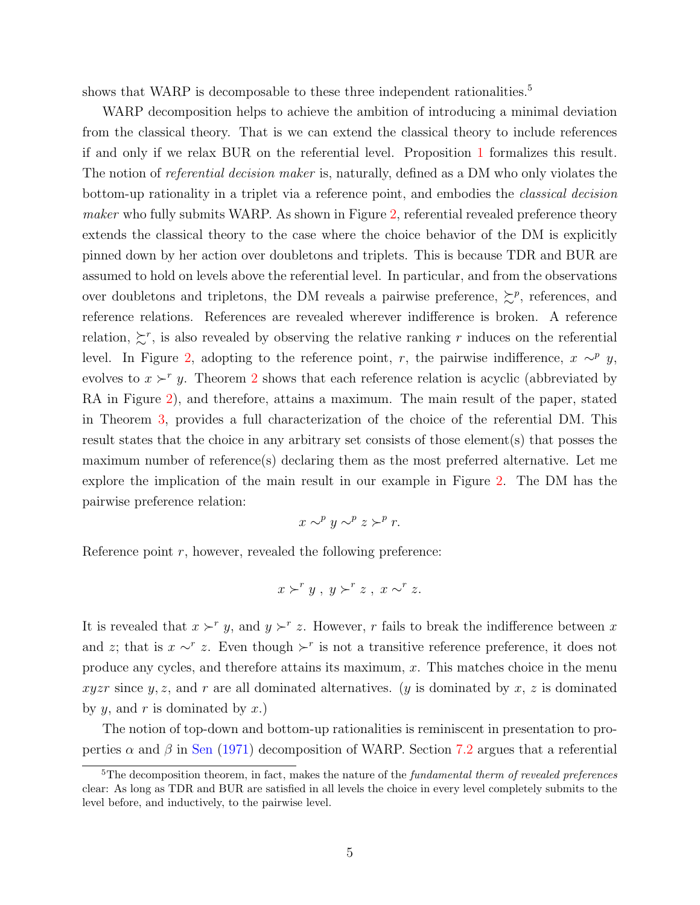shows that WARP is decomposable to these three independent rationalities.<sup>5</sup>

WARP decomposition helps to achieve the ambition of introducing a minimal deviation from the classical theory. That is we can extend the classical theory to include references if and only if we relax BUR on the referential level. Proposition [1](#page-13-0) formalizes this result. The notion of *referential decision maker* is, naturally, defined as a DM who only violates the bottom-up rationality in a triplet via a reference point, and embodies the classical decision maker who fully submits WARP. As shown in Figure [2,](#page-3-0) referential revealed preference theory extends the classical theory to the case where the choice behavior of the DM is explicitly pinned down by her action over doubletons and triplets. This is because TDR and BUR are assumed to hold on levels above the referential level. In particular, and from the observations over doubletons and tripletons, the DM reveals a pairwise preference,  $\succeq^p$ , references, and reference relations. References are revealed wherever indifference is broken. A reference relation,  $\Sigma^r$ , is also revealed by observing the relative ranking r induces on the referential level. In Figure [2,](#page-3-0) adopting to the reference point, r, the pairwise indifference,  $x \sim^p y$ , evolves to  $x \succ^r y$ . Theorem [2](#page-19-0) shows that each reference relation is acyclic (abbreviated by RA in Figure [2\)](#page-3-0), and therefore, attains a maximum. The main result of the paper, stated in Theorem [3,](#page-19-1) provides a full characterization of the choice of the referential DM. This result states that the choice in any arbitrary set consists of those element(s) that posses the maximum number of reference(s) declaring them as the most preferred alternative. Let me explore the implication of the main result in our example in Figure [2.](#page-3-0) The DM has the pairwise preference relation:

$$
x \sim^p y \sim^p z \succ^p r.
$$

Reference point  $r$ , however, revealed the following preference:

$$
x \succ^r y, \ y \succ^r z, \ x \sim^r z.
$$

It is revealed that  $x \succ^r y$ , and  $y \succ^r z$ . However, r fails to break the indifference between x and z; that is  $x \sim^r z$ . Even though  $\succ^r$  is not a transitive reference preference, it does not produce any cycles, and therefore attains its maximum, x. This matches choice in the menu xyzr since y, z, and r are all dominated alternatives. (y is dominated by x, z is dominated by  $y$ , and  $r$  is dominated by  $x$ .)

The notion of top-down and bottom-up rationalities is reminiscent in presentation to properties  $\alpha$  and  $\beta$  in [Sen](#page-54-3) [\(1971\)](#page-54-3) decomposition of WARP. Section [7.2](#page-23-0) argues that a referential

 $5$ The decomposition theorem, in fact, makes the nature of the fundamental therm of revealed preferences clear: As long as TDR and BUR are satisfied in all levels the choice in every level completely submits to the level before, and inductively, to the pairwise level.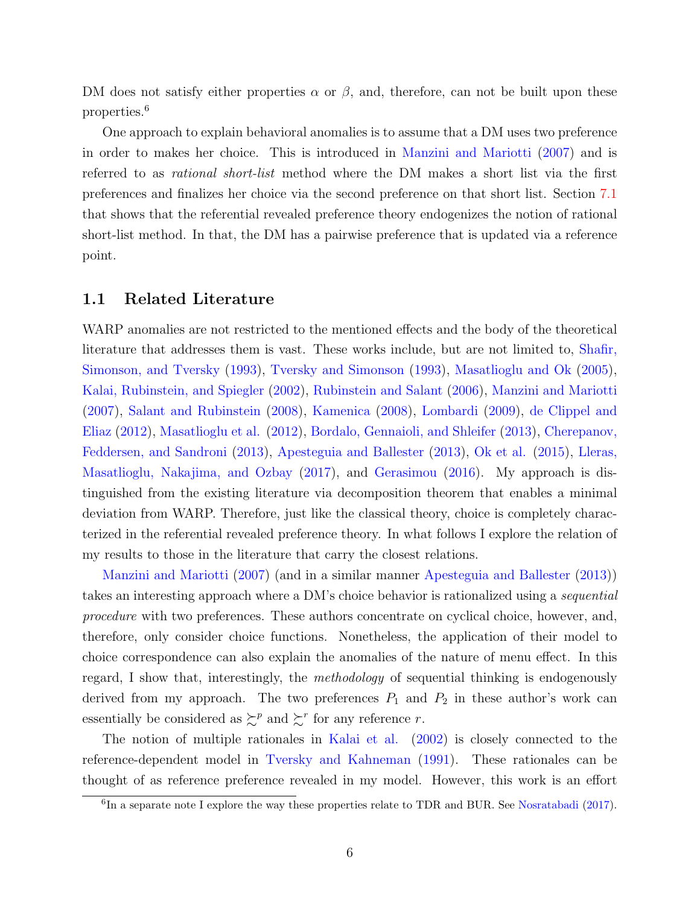DM does not satisfy either properties  $\alpha$  or  $\beta$ , and, therefore, can not be built upon these properties.<sup>6</sup>

One approach to explain behavioral anomalies is to assume that a DM uses two preference in order to makes her choice. This is introduced in [Manzini and Mariotti](#page-54-4) [\(2007\)](#page-54-4) and is referred to as rational short-list method where the DM makes a short list via the first preferences and finalizes her choice via the second preference on that short list. Section [7.1](#page-22-0) that shows that the referential revealed preference theory endogenizes the notion of rational short-list method. In that, the DM has a pairwise preference that is updated via a reference point.

### 1.1 Related Literature

WARP anomalies are not restricted to the mentioned effects and the body of the theoretical literature that addresses them is vast. These works include, but are not limited to, [Shafir,](#page-54-5) [Simonson, and Tversky](#page-54-5) [\(1993\)](#page-54-5), [Tversky and Simonson](#page-54-6) [\(1993\)](#page-54-6), [Masatlioglu and Ok](#page-54-7) [\(2005\)](#page-54-7), [Kalai, Rubinstein, and Spiegler](#page-53-2) [\(2002\)](#page-53-2), [Rubinstein and Salant](#page-54-8) [\(2006\)](#page-54-8), [Manzini and Mariotti](#page-54-4) [\(2007\)](#page-54-4), [Salant and Rubinstein](#page-54-9) [\(2008\)](#page-54-9), [Kamenica](#page-53-3) [\(2008\)](#page-53-3), [Lombardi](#page-54-10) [\(2009\)](#page-54-10), [de Clippel and](#page-53-4) [Eliaz](#page-53-4) [\(2012\)](#page-53-4), [Masatlioglu et al.](#page-54-1) [\(2012\)](#page-54-1), [Bordalo, Gennaioli, and Shleifer](#page-53-5) [\(2013\)](#page-53-5), [Cherepanov,](#page-53-6) [Feddersen, and Sandroni](#page-53-6) [\(2013\)](#page-53-6), [Apesteguia and Ballester](#page-53-7) [\(2013\)](#page-53-7), [Ok et al.](#page-54-2) [\(2015\)](#page-54-2), [Lleras,](#page-53-8) [Masatlioglu, Nakajima, and Ozbay](#page-53-8) [\(2017\)](#page-53-8), and [Gerasimou](#page-53-9) [\(2016\)](#page-53-9). My approach is distinguished from the existing literature via decomposition theorem that enables a minimal deviation from WARP. Therefore, just like the classical theory, choice is completely characterized in the referential revealed preference theory. In what follows I explore the relation of my results to those in the literature that carry the closest relations.

[Manzini and Mariotti](#page-54-4) [\(2007\)](#page-54-4) (and in a similar manner [Apesteguia and Ballester](#page-53-7) [\(2013\)](#page-53-7)) takes an interesting approach where a DM's choice behavior is rationalized using a sequential procedure with two preferences. These authors concentrate on cyclical choice, however, and, therefore, only consider choice functions. Nonetheless, the application of their model to choice correspondence can also explain the anomalies of the nature of menu effect. In this regard, I show that, interestingly, the methodology of sequential thinking is endogenously derived from my approach. The two preferences  $P_1$  and  $P_2$  in these author's work can essentially be considered as  $\succeq^p$  and  $\succeq^r$  for any reference r.

The notion of multiple rationales in [Kalai et al.](#page-53-2) [\(2002\)](#page-53-2) is closely connected to the reference-dependent model in [Tversky and Kahneman](#page-54-0) [\(1991\)](#page-54-0). These rationales can be thought of as reference preference revealed in my model. However, this work is an effort

<sup>&</sup>lt;sup>6</sup>In a separate note I explore the way these properties relate to TDR and BUR. See [Nosratabadi](#page-54-11) [\(2017\)](#page-54-11).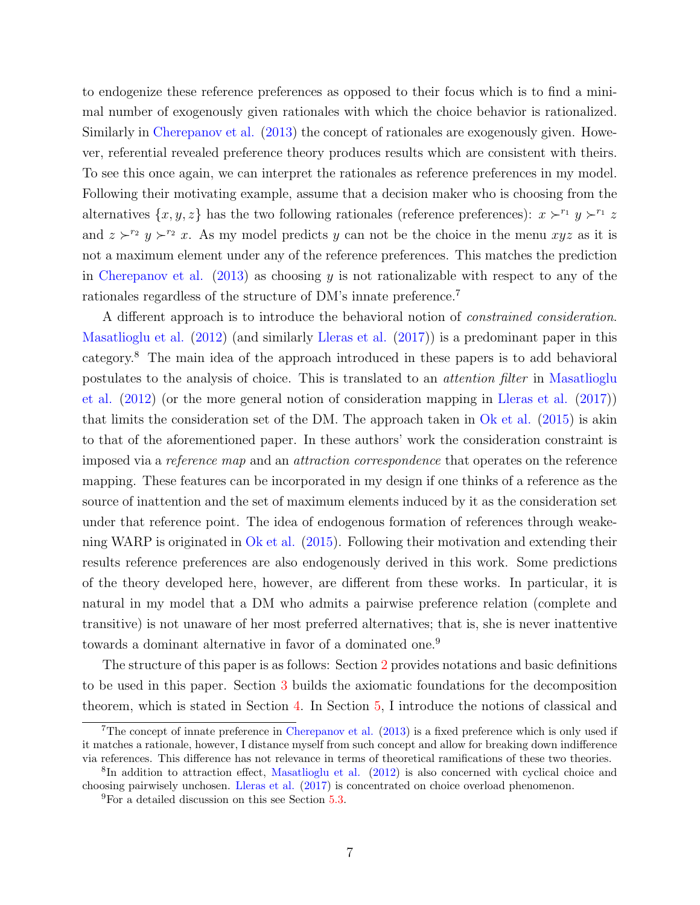to endogenize these reference preferences as opposed to their focus which is to find a minimal number of exogenously given rationales with which the choice behavior is rationalized. Similarly in [Cherepanov et al.](#page-53-6) [\(2013\)](#page-53-6) the concept of rationales are exogenously given. However, referential revealed preference theory produces results which are consistent with theirs. To see this once again, we can interpret the rationales as reference preferences in my model. Following their motivating example, assume that a decision maker who is choosing from the alternatives  $\{x, y, z\}$  has the two following rationales (reference preferences):  $x \succ^{r_1} y \succ^{r_1} z$ and  $z \succ^{r_2} y \succ^{r_2} x$ . As my model predicts y can not be the choice in the menu xyz as it is not a maximum element under any of the reference preferences. This matches the prediction in [Cherepanov et al.](#page-53-6)  $(2013)$  as choosing y is not rationalizable with respect to any of the rationales regardless of the structure of DM's innate preference.<sup>7</sup>

A different approach is to introduce the behavioral notion of constrained consideration. [Masatlioglu et al.](#page-54-1) [\(2012\)](#page-54-1) (and similarly [Lleras et al.](#page-53-8) [\(2017\)](#page-53-8)) is a predominant paper in this category.<sup>8</sup> The main idea of the approach introduced in these papers is to add behavioral postulates to the analysis of choice. This is translated to an attention filter in [Masatlioglu](#page-54-1) [et al.](#page-54-1) [\(2012\)](#page-54-1) (or the more general notion of consideration mapping in [Lleras et al.](#page-53-8) [\(2017\)](#page-53-8)) that limits the consideration set of the DM. The approach taken in  $\overline{Ok}$  et al. [\(2015\)](#page-54-2) is akin to that of the aforementioned paper. In these authors' work the consideration constraint is imposed via a reference map and an attraction correspondence that operates on the reference mapping. These features can be incorporated in my design if one thinks of a reference as the source of inattention and the set of maximum elements induced by it as the consideration set under that reference point. The idea of endogenous formation of references through weakening WARP is originated in [Ok et al.](#page-54-2) [\(2015\)](#page-54-2). Following their motivation and extending their results reference preferences are also endogenously derived in this work. Some predictions of the theory developed here, however, are different from these works. In particular, it is natural in my model that a DM who admits a pairwise preference relation (complete and transitive) is not unaware of her most preferred alternatives; that is, she is never inattentive towards a dominant alternative in favor of a dominated one.<sup>9</sup>

The structure of this paper is as follows: Section [2](#page-7-0) provides notations and basic definitions to be used in this paper. Section [3](#page-11-0) builds the axiomatic foundations for the decomposition theorem, which is stated in Section [4.](#page-12-1) In Section [5,](#page-12-2) I introduce the notions of classical and

<sup>7</sup>The concept of innate preference in [Cherepanov et al.](#page-53-6) [\(2013\)](#page-53-6) is a fixed preference which is only used if it matches a rationale, however, I distance myself from such concept and allow for breaking down indifference via references. This difference has not relevance in terms of theoretical ramifications of these two theories.

<sup>&</sup>lt;sup>8</sup>In addition to attraction effect, [Masatlioglu et al.](#page-54-1) [\(2012\)](#page-54-1) is also concerned with cyclical choice and choosing pairwisely unchosen. [Lleras et al.](#page-53-8) [\(2017\)](#page-53-8) is concentrated on choice overload phenomenon.

<sup>&</sup>lt;sup>9</sup>For a detailed discussion on this see Section [5.3.](#page-15-0)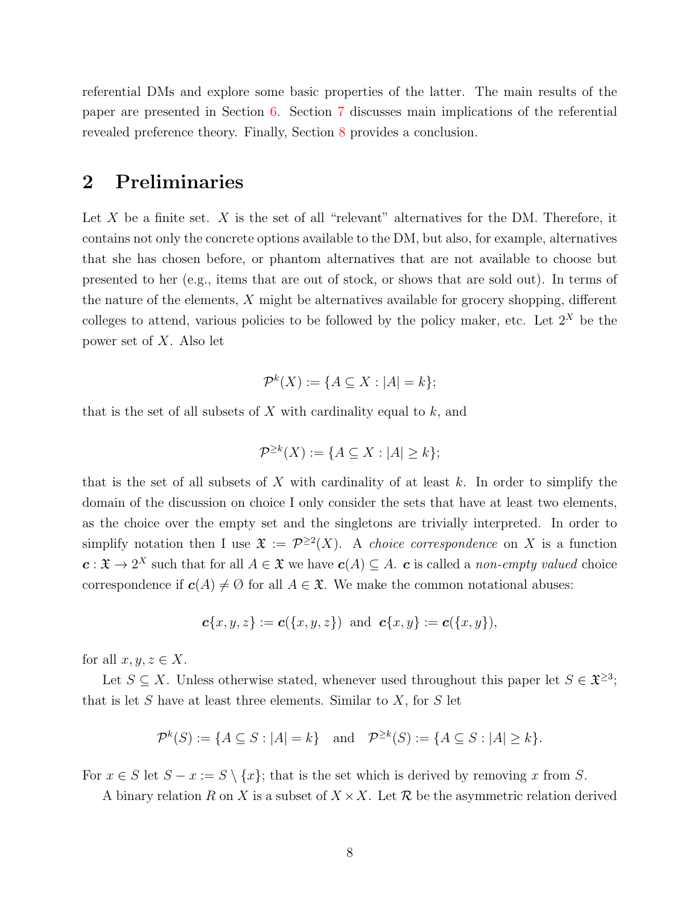referential DMs and explore some basic properties of the latter. The main results of the paper are presented in Section [6.](#page-18-0) Section [7](#page-22-1) discusses main implications of the referential revealed preference theory. Finally, Section [8](#page-27-0) provides a conclusion.

## <span id="page-7-0"></span>2 Preliminaries

Let X be a finite set.  $X$  is the set of all "relevant" alternatives for the DM. Therefore, it contains not only the concrete options available to the DM, but also, for example, alternatives that she has chosen before, or phantom alternatives that are not available to choose but presented to her (e.g., items that are out of stock, or shows that are sold out). In terms of the nature of the elements, X might be alternatives available for grocery shopping, different colleges to attend, various policies to be followed by the policy maker, etc. Let  $2^X$  be the power set of X. Also let

$$
\mathcal{P}^k(X) := \{ A \subseteq X : |A| = k \};
$$

that is the set of all subsets of X with cardinality equal to  $k$ , and

$$
\mathcal{P}^{\geq k}(X) := \{ A \subseteq X : |A| \geq k \};
$$

that is the set of all subsets of X with cardinality of at least  $k$ . In order to simplify the domain of the discussion on choice I only consider the sets that have at least two elements, as the choice over the empty set and the singletons are trivially interpreted. In order to simplify notation then I use  $\mathfrak{X} := \mathcal{P}^{\geq 2}(X)$ . A *choice correspondence* on X is a function  $c: \mathfrak{X} \to 2^X$  such that for all  $A \in \mathfrak{X}$  we have  $c(A) \subseteq A$ .  $c$  is called a non-empty valued choice correspondence if  $c(A) \neq \emptyset$  for all  $A \in \mathfrak{X}$ . We make the common notational abuses:

$$
c{x,y,z} := c({x,y,z})
$$
 and  $c{x,y} := c({x,y}),$ 

for all  $x, y, z \in X$ .

Let  $S \subseteq X$ . Unless otherwise stated, whenever used throughout this paper let  $S \in \mathfrak{X}^{\geq 3}$ ; that is let  $S$  have at least three elements. Similar to  $X$ , for  $S$  let

$$
\mathcal{P}^k(S) := \{ A \subseteq S : |A| = k \} \quad \text{and} \quad \mathcal{P}^{\geq k}(S) := \{ A \subseteq S : |A| \geq k \}.
$$

For  $x \in S$  let  $S - x := S \setminus \{x\}$ ; that is the set which is derived by removing x from S.

A binary relation R on X is a subset of  $X \times X$ . Let R be the asymmetric relation derived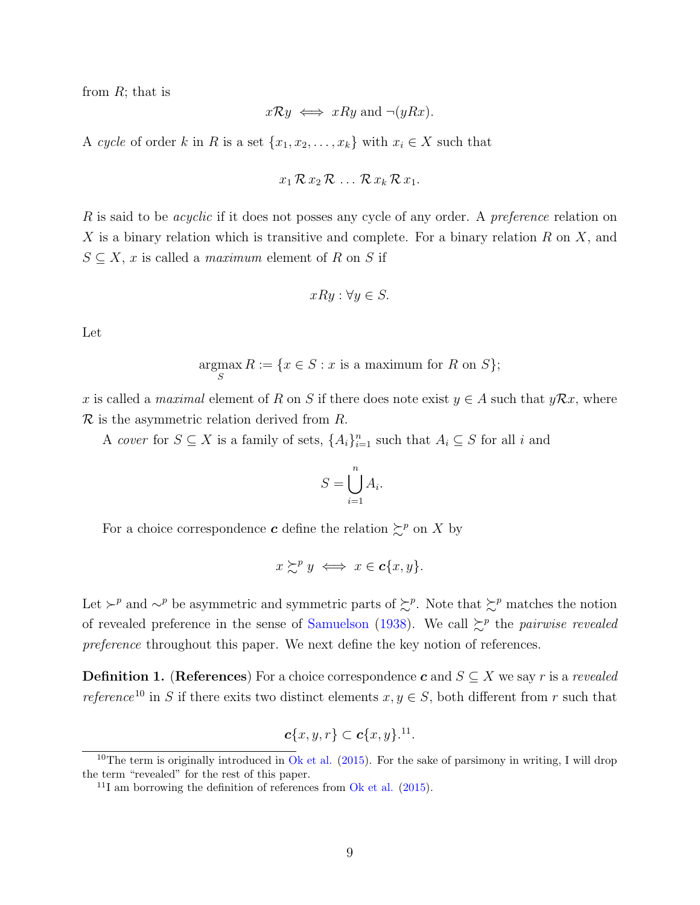from  $R$ ; that is

$$
x\mathcal{R}y \iff x\mathcal{R}y
$$
 and  $\neg(y\mathcal{R}x)$ .

A cycle of order k in R is a set  $\{x_1, x_2, \ldots, x_k\}$  with  $x_i \in X$  such that

$$
x_1\mathcal{R}\,x_2\mathcal{R}\,\ldots\,\mathcal{R}\,x_k\mathcal{R}\,x_1.
$$

R is said to be *acyclic* if it does not posses any cycle of any order. A *preference* relation on  $X$  is a binary relation which is transitive and complete. For a binary relation  $R$  on  $X$ , and  $S \subseteq X$ , x is called a *maximum* element of R on S if

$$
xRy: \forall y \in S.
$$

Let

$$
\operatorname*{argmax}_{S} R := \{ x \in S : x \text{ is a maximum for } R \text{ on } S \};
$$

x is called a maximal element of R on S if there does note exist  $y \in A$  such that  $y\mathcal{R}x$ , where  $\mathcal R$  is the asymmetric relation derived from  $R$ .

A cover for  $S \subseteq X$  is a family of sets,  $\{A_i\}_{i=1}^n$  such that  $A_i \subseteq S$  for all i and

$$
S = \bigcup_{i=1}^{n} A_i.
$$

For a choice correspondence **c** define the relation  $\sum^p$  on X by

$$
x \succsim^p y \iff x \in \mathbf{c}\{x, y\}.
$$

Let  $\succ^p$  and ∼<sup>p</sup> be asymmetric and symmetric parts of  $\succsim^p$ . Note that  $\succsim^p$  matches the notion of revealed preference in the sense of [Samuelson](#page-54-12) [\(1938\)](#page-54-12). We call  $\geq^p$  the *pairwise revealed* preference throughout this paper. We next define the key notion of references.

**Definition 1.** (References) For a choice correspondence c and  $S \subseteq X$  we say r is a revealed *reference*<sup>10</sup> in S if there exits two distinct elements  $x, y \in S$ , both different from r such that

$$
\boldsymbol{c}\{x,y,r\}\subset \boldsymbol{c}\{x,y\}^{.11}.
$$

<sup>&</sup>lt;sup>10</sup>The term is originally introduced in [Ok et al.](#page-54-2)  $(2015)$ . For the sake of parsimony in writing, I will drop the term "revealed" for the rest of this paper.

<sup>&</sup>lt;sup>11</sup>I am borrowing the definition of references from  $\overline{Ok}$  et al. [\(2015\)](#page-54-2).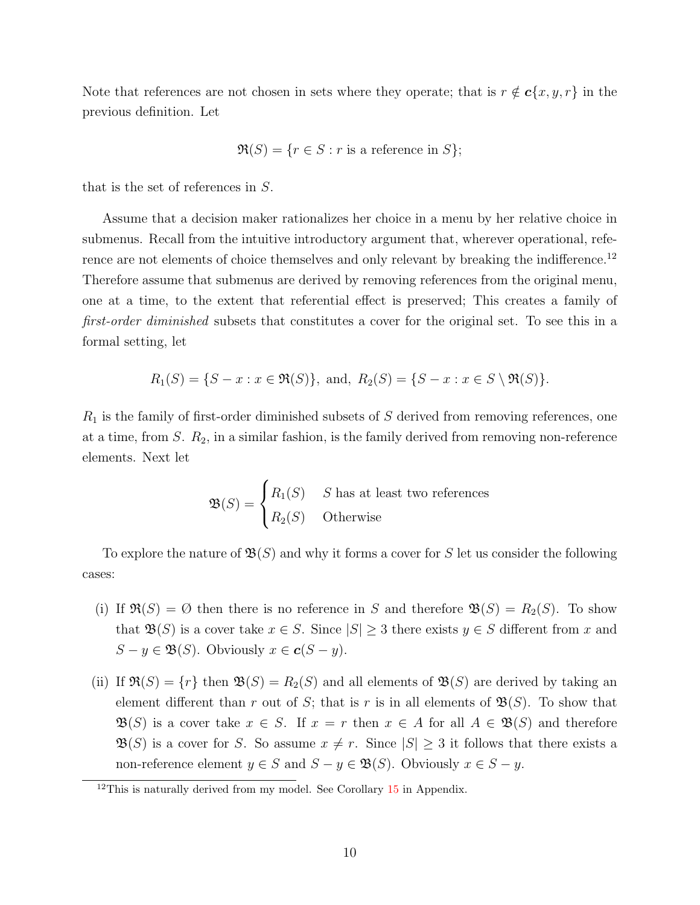Note that references are not chosen in sets where they operate; that is  $r \notin c\{x, y, r\}$  in the previous definition. Let

$$
\mathfrak{R}(S) = \{ r \in S : r \text{ is a reference in } S \};
$$

that is the set of references in S.

Assume that a decision maker rationalizes her choice in a menu by her relative choice in submenus. Recall from the intuitive introductory argument that, wherever operational, reference are not elements of choice themselves and only relevant by breaking the indifference.<sup>12</sup> Therefore assume that submenus are derived by removing references from the original menu, one at a time, to the extent that referential effect is preserved; This creates a family of first-order diminished subsets that constitutes a cover for the original set. To see this in a formal setting, let

$$
R_1(S) = \{S - x : x \in \mathfrak{R}(S)\}, \text{ and, } R_2(S) = \{S - x : x \in S \setminus \mathfrak{R}(S)\}.
$$

 $R_1$  is the family of first-order diminished subsets of  $S$  derived from removing references, one at a time, from  $S$ .  $R_2$ , in a similar fashion, is the family derived from removing non-reference elements. Next let

$$
\mathfrak{B}(S) = \begin{cases} R_1(S) & S \text{ has at least two references} \\ R_2(S) & \text{Otherwise} \end{cases}
$$

To explore the nature of  $\mathfrak{B}(S)$  and why it forms a cover for S let us consider the following cases:

- (i) If  $\Re(S) = \emptyset$  then there is no reference in S and therefore  $\Re(S) = R_2(S)$ . To show that  $\mathfrak{B}(S)$  is a cover take  $x \in S$ . Since  $|S| \geq 3$  there exists  $y \in S$  different from x and  $S - y \in \mathfrak{B}(S)$ . Obviously  $x \in \mathbf{c}(S - y)$ .
- (ii) If  $\Re(S) = \{r\}$  then  $\mathfrak{B}(S) = R_2(S)$  and all elements of  $\mathfrak{B}(S)$  are derived by taking an element different than r out of S; that is r is in all elements of  $\mathfrak{B}(S)$ . To show that  $\mathfrak{B}(S)$  is a cover take  $x \in S$ . If  $x = r$  then  $x \in A$  for all  $A \in \mathfrak{B}(S)$  and therefore  $\mathfrak{B}(S)$  is a cover for S. So assume  $x \neq r$ . Since  $|S| \geq 3$  it follows that there exists a non-reference element  $y \in S$  and  $S - y \in \mathfrak{B}(S)$ . Obviously  $x \in S - y$ .

 $12$ This is naturally derived from my model. See Corollary [15](#page-37-0) in Appendix.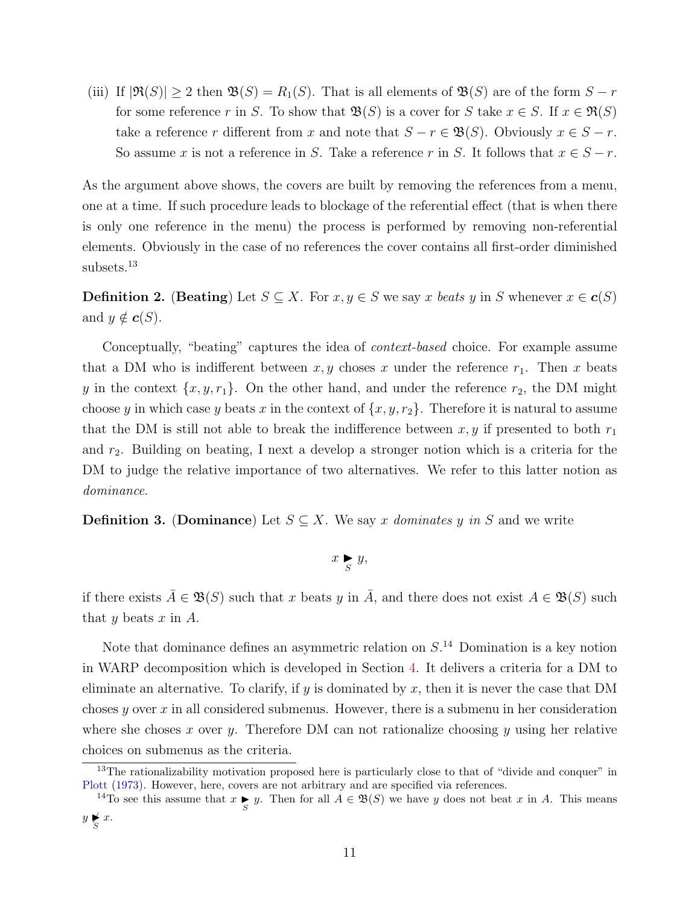(iii) If  $|\Re(S)| \geq 2$  then  $\mathfrak{B}(S) = R_1(S)$ . That is all elements of  $\mathfrak{B}(S)$  are of the form  $S - r$ for some reference r in S. To show that  $\mathfrak{B}(S)$  is a cover for S take  $x \in S$ . If  $x \in \mathfrak{R}(S)$ take a reference r different from x and note that  $S - r \in \mathfrak{B}(S)$ . Obviously  $x \in S - r$ . So assume x is not a reference in S. Take a reference r in S. It follows that  $x \in S - r$ .

As the argument above shows, the covers are built by removing the references from a menu, one at a time. If such procedure leads to blockage of the referential effect (that is when there is only one reference in the menu) the process is performed by removing non-referential elements. Obviously in the case of no references the cover contains all first-order diminished subsets.<sup>13</sup>

**Definition 2.** (Beating) Let  $S \subseteq X$ . For  $x, y \in S$  we say x beats y in S whenever  $x \in c(S)$ and  $y \notin c(S)$ .

Conceptually, "beating" captures the idea of *context-based* choice. For example assume that a DM who is indifferent between  $x, y$  choses x under the reference  $r_1$ . Then x beats y in the context  $\{x, y, r_1\}$ . On the other hand, and under the reference  $r_2$ , the DM might choose y in which case y beats x in the context of  $\{x, y, r_2\}$ . Therefore it is natural to assume that the DM is still not able to break the indifference between  $x, y$  if presented to both  $r_1$ and  $r_2$ . Building on beating, I next a develop a stronger notion which is a criteria for the DM to judge the relative importance of two alternatives. We refer to this latter notion as dominance.

**Definition 3.** (Dominance) Let  $S \subseteq X$ . We say x dominates y in S and we write

$$
x \underset{S}{\blacktriangleright} y,
$$

if there exists  $\bar{A} \in \mathfrak{B}(S)$  such that x beats y in  $\bar{A}$ , and there does not exist  $A \in \mathfrak{B}(S)$  such that y beats  $x$  in  $A$ .

Note that dominance defines an asymmetric relation on  $S<sup>14</sup>$  Domination is a key notion in WARP decomposition which is developed in Section [4.](#page-12-1) It delivers a criteria for a DM to eliminate an alternative. To clarify, if y is dominated by x, then it is never the case that DM choses y over  $x$  in all considered submenus. However, there is a submenu in her consideration where she choses x over y. Therefore DM can not rationalize choosing y using her relative choices on submenus as the criteria.

<sup>&</sup>lt;sup>13</sup>The rationalizability motivation proposed here is particularly close to that of "divide and conquer" in [Plott](#page-54-13) [\(1973\)](#page-54-13). However, here, covers are not arbitrary and are specified via references.

<sup>&</sup>lt;sup>14</sup>To see this assume that  $x \underset{S}{\blacktriangleright} y$ . Then for all  $A \in \mathfrak{B}(S)$  we have y does not beat x in A. This means  $y \nlessgtr x.$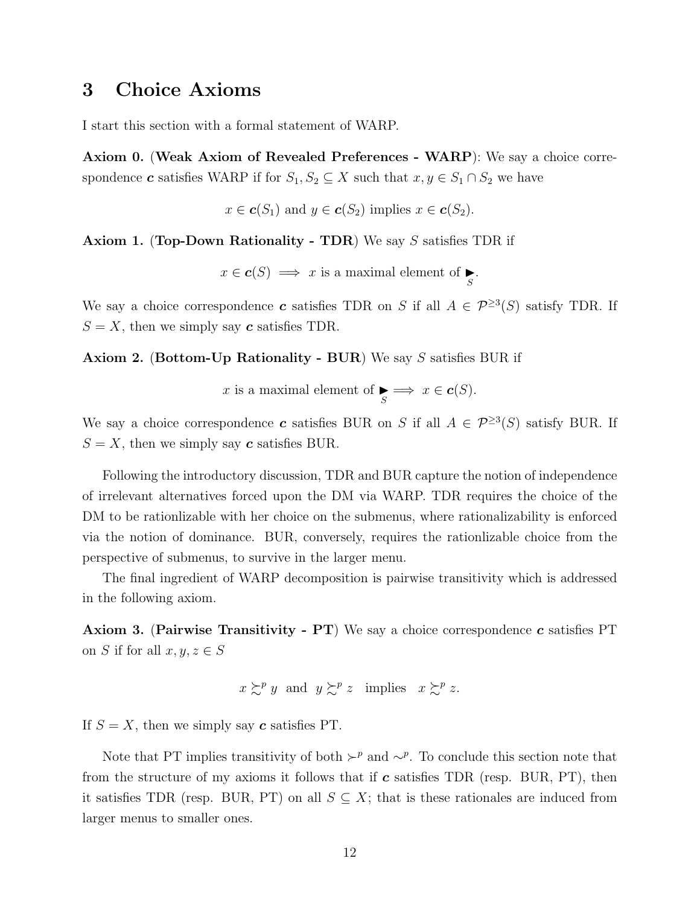# <span id="page-11-0"></span>3 Choice Axioms

I start this section with a formal statement of WARP.

Axiom 0. (Weak Axiom of Revealed Preferences - WARP): We say a choice correspondence **c** satisfies WARP if for  $S_1, S_2 \subseteq X$  such that  $x, y \in S_1 \cap S_2$  we have

 $x \in \mathbf{c}(S_1)$  and  $y \in \mathbf{c}(S_2)$  implies  $x \in \mathbf{c}(S_2)$ .

Axiom 1. (Top-Down Rationality - TDR) We say S satisfies TDR if

 $x \in c(S) \implies x$  is a maximal element of  $\sum_{S}$ .

We say a choice correspondence **c** satisfies TDR on S if all  $A \in \mathcal{P}^{\geq 3}(S)$  satisfy TDR. If  $S = X$ , then we simply say c satisfies TDR.

Axiom 2. (Bottom-Up Rationality - BUR) We say S satisfies BUR if

x is a maximal element of  $\underset{S}{\blacktriangleright} \Longrightarrow x \in \mathbf{c}(S)$ .

We say a choice correspondence **c** satisfies BUR on S if all  $A \in \mathcal{P}^{\geq 3}(S)$  satisfy BUR. If  $S = X$ , then we simply say c satisfies BUR.

Following the introductory discussion, TDR and BUR capture the notion of independence of irrelevant alternatives forced upon the DM via WARP. TDR requires the choice of the DM to be rationlizable with her choice on the submenus, where rationalizability is enforced via the notion of dominance. BUR, conversely, requires the rationlizable choice from the perspective of submenus, to survive in the larger menu.

The final ingredient of WARP decomposition is pairwise transitivity which is addressed in the following axiom.

**Axiom 3.** (Pairwise Transitivity - PT) We say a choice correspondence c satisfies PT on S if for all  $x, y, z \in S$ 

$$
x \succcurlyeq^p y
$$
 and  $y \succcurlyeq^p z$  implies  $x \succcurlyeq^p z$ .

If  $S = X$ , then we simply say c satisfies PT.

Note that PT implies transitivity of both  $\succ^p$  and  $\sim^p$ . To conclude this section note that from the structure of my axioms it follows that if  $c$  satisfies TDR (resp. BUR, PT), then it satisfies TDR (resp. BUR, PT) on all  $S \subseteq X$ ; that is these rationales are induced from larger menus to smaller ones.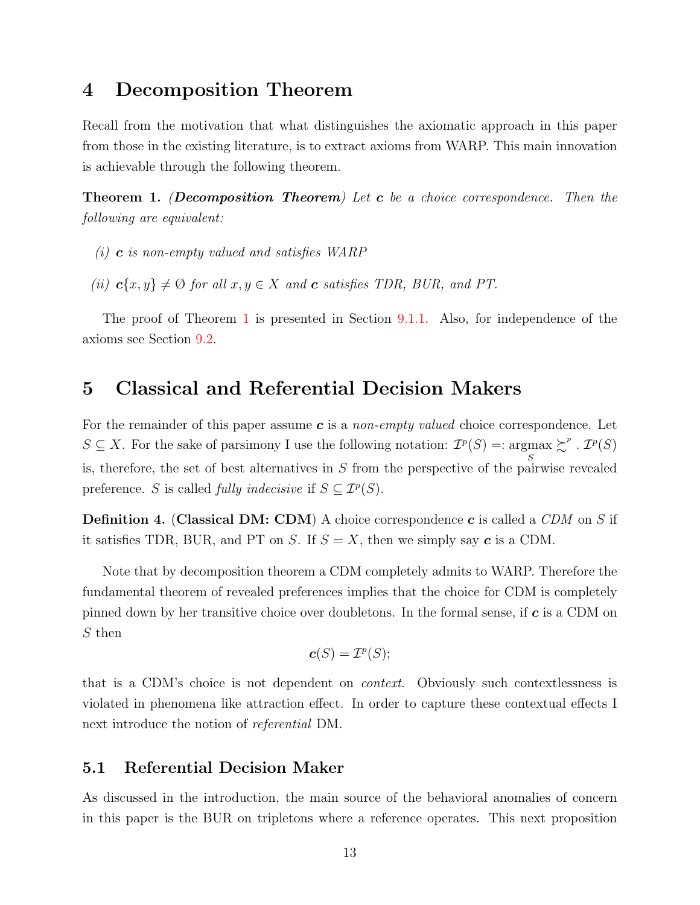# <span id="page-12-1"></span>4 Decomposition Theorem

Recall from the motivation that what distinguishes the axiomatic approach in this paper from those in the existing literature, is to extract axioms from WARP. This main innovation is achievable through the following theorem.

<span id="page-12-0"></span>**Theorem 1.** (Decomposition Theorem) Let  $c$  be a choice correspondence. Then the following are equivalent:

- $(i)$  **c** is non-empty valued and satisfies WARP
- (ii)  $\mathbf{c}\{x, y\} \neq \emptyset$  for all  $x, y \in X$  and  $\mathbf{c}$  satisfies TDR, BUR, and PT.

The proof of Theorem [1](#page-12-0) is presented in Section [9.1.1.](#page-28-0) Also, for independence of the axioms see Section [9.2.](#page-51-0)

# <span id="page-12-2"></span>5 Classical and Referential Decision Makers

For the remainder of this paper assume  $c$  is a non-empty valued choice correspondence. Let  $S \subseteq X$ . For the sake of parsimony I use the following notation:  $\mathcal{I}^p(S) =: \underset{S}{\text{argmax}} \succsim^p \mathcal{I}^p(S)$ is, therefore, the set of best alternatives in S from the perspective of the pairwise revealed preference. S is called *fully indecisive* if  $S \subseteq \mathcal{I}^p(S)$ .

**Definition 4.** (Classical DM: CDM) A choice correspondence c is called a  $CDM$  on S if it satisfies TDR, BUR, and PT on S. If  $S = X$ , then we simply say c is a CDM.

Note that by decomposition theorem a CDM completely admits to WARP. Therefore the fundamental theorem of revealed preferences implies that the choice for CDM is completely pinned down by her transitive choice over doubletons. In the formal sense, if  $c$  is a CDM on S then

$$
\boldsymbol{c}(S)=\mathcal{I}^p(S);
$$

that is a CDM's choice is not dependent on context. Obviously such contextlessness is violated in phenomena like attraction effect. In order to capture these contextual effects I next introduce the notion of *referential* DM.

## 5.1 Referential Decision Maker

As discussed in the introduction, the main source of the behavioral anomalies of concern in this paper is the BUR on tripletons where a reference operates. This next proposition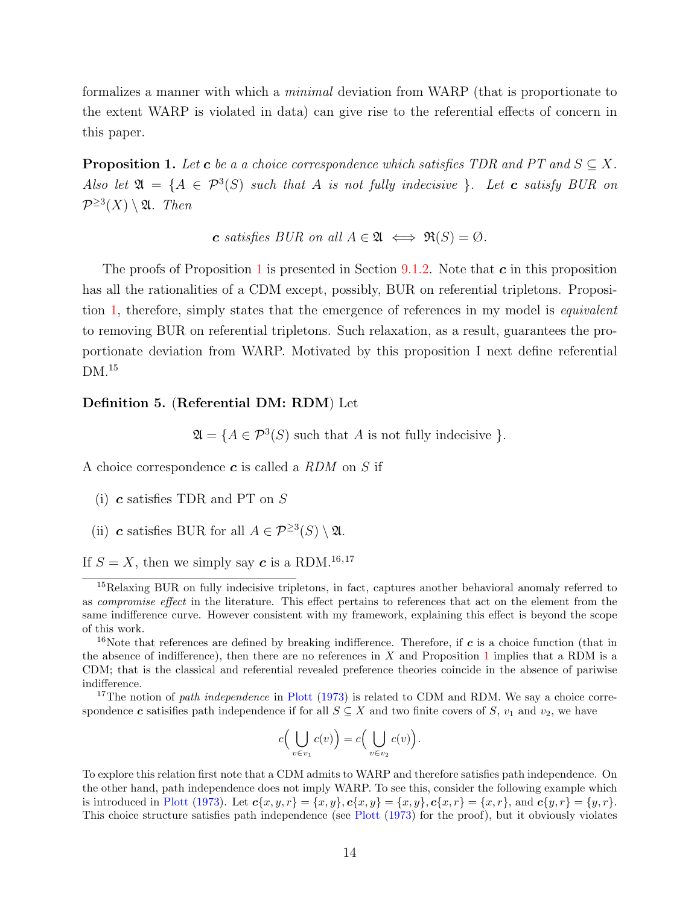formalizes a manner with which a minimal deviation from WARP (that is proportionate to the extent WARP is violated in data) can give rise to the referential effects of concern in this paper.

<span id="page-13-0"></span>**Proposition 1.** Let **c** be a a choice correspondence which satisfies TDR and PT and  $S \subseteq X$ . Also let  $\mathfrak{A} = \{A \in \mathcal{P}^3(S) \text{ such that } A \text{ is not fully indecisive } \}.$  Let **c** satisfy BUR on  $\mathcal{P}^{\geq 3}(X) \setminus \mathfrak{A}$ . Then

c satisfies BUR on all  $A \in \mathfrak{A} \iff \mathfrak{R}(S) = \emptyset$ .

The proofs of Proposition [1](#page-13-0) is presented in Section [9.1.2.](#page-32-0) Note that  $c$  in this proposition has all the rationalities of a CDM except, possibly, BUR on referential tripletons. Proposition [1,](#page-13-0) therefore, simply states that the emergence of references in my model is equivalent to removing BUR on referential tripletons. Such relaxation, as a result, guarantees the proportionate deviation from WARP. Motivated by this proposition I next define referential DM.<sup>15</sup>

#### Definition 5. (Referential DM: RDM) Let

 $\mathfrak{A} = \{ A \in \mathcal{P}^3(S) \text{ such that } A \text{ is not fully indecisive } \}.$ 

A choice correspondence  $\boldsymbol{c}$  is called a RDM on S if

- (i)  $c$  satisfies TDR and PT on  $S$
- (ii) **c** satisfies BUR for all  $A \in \mathcal{P}^{\geq 3}(S) \setminus \mathfrak{A}$ .

If  $S = X$ , then we simply say c is a RDM.<sup>16,17</sup>

<sup>16</sup>Note that references are defined by breaking indifference. Therefore, if  $c$  is a choice function (that in the absence of indifference), then there are no references in X and Proposition [1](#page-13-0) implies that a RDM is a CDM; that is the classical and referential revealed preference theories coincide in the absence of pariwise indifference.

<sup>17</sup>The notion of *path independence* in [Plott](#page-54-13) [\(1973\)](#page-54-13) is related to CDM and RDM. We say a choice correspondence c satisifies path independence if for all  $S \subseteq X$  and two finite covers of S,  $v_1$  and  $v_2$ , we have

$$
c\Big(\bigcup_{v\in v_1}c(v)\Big)=c\Big(\bigcup_{v\in v_2}c(v)\Big).
$$

To explore this relation first note that a CDM admits to WARP and therefore satisfies path independence. On the other hand, path independence does not imply WARP. To see this, consider the following example which is introduced in [Plott](#page-54-13) [\(1973\)](#page-54-13). Let  $c\{x, y, r\} = \{x, y\}$ ,  $c\{x, y\} = \{x, y\}$ ,  $c\{x, r\} = \{x, r\}$ , and  $c\{y, r\} = \{y, r\}$ . This choice structure satisfies path independence (see [Plott](#page-54-13) [\(1973\)](#page-54-13) for the proof), but it obviously violates

<sup>&</sup>lt;sup>15</sup>Relaxing BUR on fully indecisive tripletons, in fact, captures another behavioral anomaly referred to as compromise effect in the literature. This effect pertains to references that act on the element from the same indifference curve. However consistent with my framework, explaining this effect is beyond the scope of this work.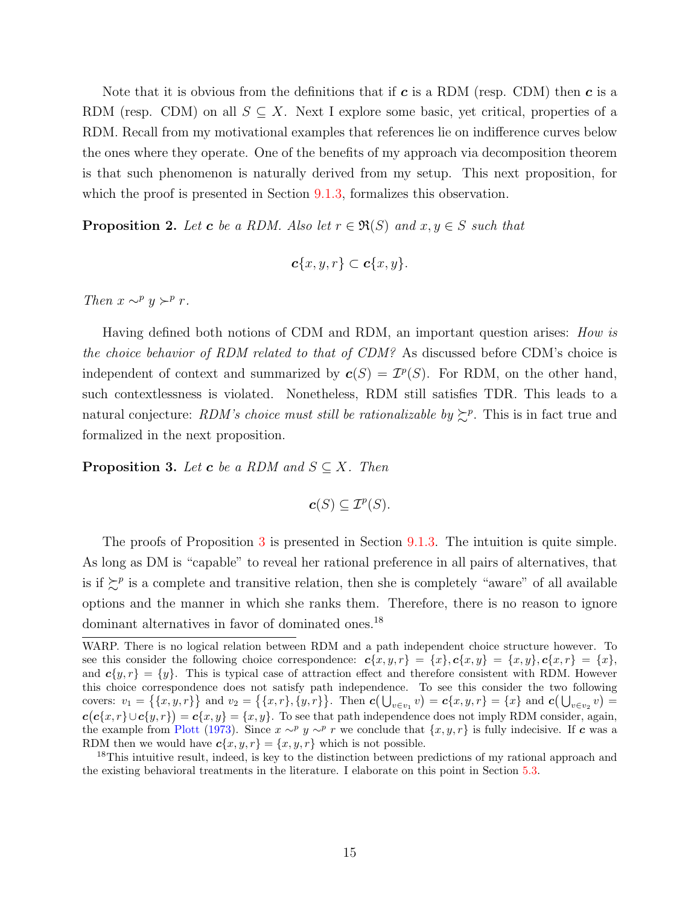Note that it is obvious from the definitions that if  $c$  is a RDM (resp. CDM) then  $c$  is a RDM (resp. CDM) on all  $S \subseteq X$ . Next I explore some basic, yet critical, properties of a RDM. Recall from my motivational examples that references lie on indifference curves below the ones where they operate. One of the benefits of my approach via decomposition theorem is that such phenomenon is naturally derived from my setup. This next proposition, for which the proof is presented in Section [9.1.3,](#page-33-0) formalizes this observation.

<span id="page-14-1"></span>**Proposition 2.** Let **c** be a RDM. Also let  $r \in \mathfrak{R}(S)$  and  $x, y \in S$  such that

$$
\boldsymbol{c}\{x,y,r\}\subset \boldsymbol{c}\{x,y\}.
$$

Then  $x \sim^p y \succ^p r$ .

Having defined both notions of CDM and RDM, an important question arises: How is the choice behavior of RDM related to that of CDM? As discussed before CDM's choice is independent of context and summarized by  $c(S) = \mathcal{I}^p(S)$ . For RDM, on the other hand, such contextlessness is violated. Nonetheless, RDM still satisfies TDR. This leads to a natural conjecture: RDM's choice must still be rationalizable by  $\gtrsim^p$ . This is in fact true and formalized in the next proposition.

<span id="page-14-0"></span>**Proposition 3.** Let **c** be a RDM and  $S \subseteq X$ . Then

$$
\boldsymbol{c}(S) \subseteq \mathcal{I}^p(S).
$$

The proofs of Proposition [3](#page-14-0) is presented in Section [9.1.3.](#page-33-0) The intuition is quite simple. As long as DM is "capable" to reveal her rational preference in all pairs of alternatives, that is if  $\sum^{p}$  is a complete and transitive relation, then she is completely "aware" of all available options and the manner in which she ranks them. Therefore, there is no reason to ignore dominant alternatives in favor of dominated ones.<sup>18</sup>

WARP. There is no logical relation between RDM and a path independent choice structure however. To see this consider the following choice correspondence:  $c\{x, y, r\} = \{x\}, c\{x, y\} = \{x, y\}, c\{x, r\} = \{x\}$ and  $c\{y, r\} = \{y\}$ . This is typical case of attraction effect and therefore consistent with RDM. However this choice correspondence does not satisfy path independence. To see this consider the two following covers:  $v_1 = \{\{x, y, r\}\}\$ and  $v_2 = \{\{x, r\}, \{y, r\}\}\$ . Then  $c(\bigcup_{v \in v_1} v) = c\{x, y, r\} = \{x\}$  and  $c(\bigcup_{v \in v_2} v) = c\{x, y, r\}$  $c(c\{x,r\} \cup c\{y,r\}) = c\{x,y\} = \{x,y\}.$  To see that path independence does not imply RDM consider, again, the example from [Plott](#page-54-13) [\(1973\)](#page-54-13). Since  $x \sim^p y \sim^p r$  we conclude that  $\{x, y, r\}$  is fully indecisive. If c was a RDM then we would have  $c\{x, y, r\} = \{x, y, r\}$  which is not possible.

<sup>&</sup>lt;sup>18</sup>This intuitive result, indeed, is key to the distinction between predictions of my rational approach and the existing behavioral treatments in the literature. I elaborate on this point in Section [5.3.](#page-15-0)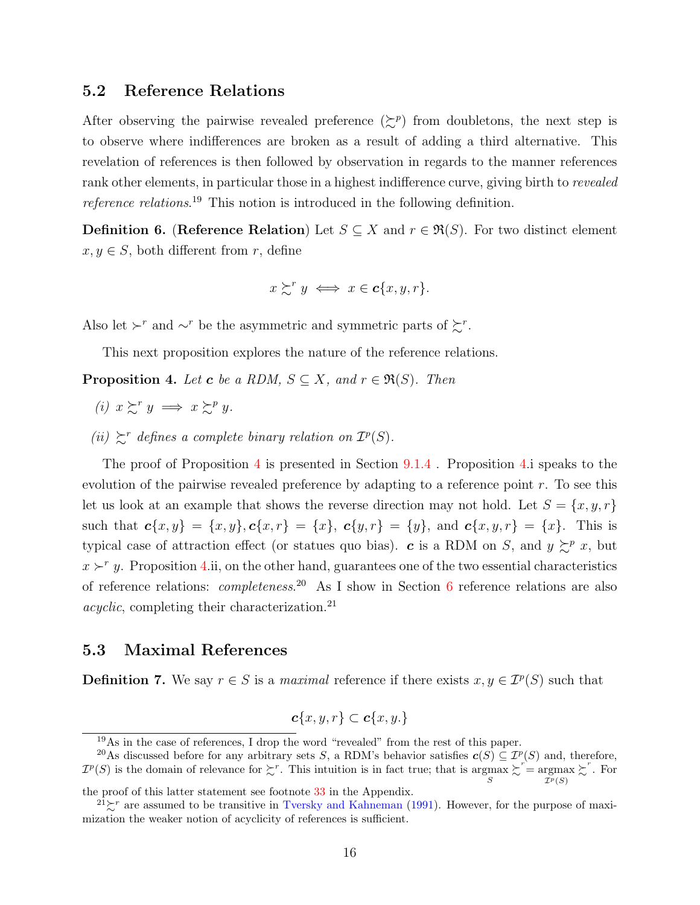## 5.2 Reference Relations

After observing the pairwise revealed preference  $(\succsim^p)$  from doubletons, the next step is to observe where indifferences are broken as a result of adding a third alternative. This revelation of references is then followed by observation in regards to the manner references rank other elements, in particular those in a highest indifference curve, giving birth to revealed reference relations. <sup>19</sup> This notion is introduced in the following definition.

**Definition 6.** (Reference Relation) Let  $S \subseteq X$  and  $r \in \mathfrak{R}(S)$ . For two distinct element  $x, y \in S$ , both different from r, define

$$
x \succsim^{r} y \iff x \in \mathbf{c} \{x, y, r\}.
$$

Also let  $\succ^r$  and  $\sim^r$  be the asymmetric and symmetric parts of  $\succsim^r$ .

This next proposition explores the nature of the reference relations.

<span id="page-15-1"></span>**Proposition 4.** Let **c** be a RDM,  $S \subseteq X$ , and  $r \in \Re(S)$ . Then

- (i)  $x \succsim^r y \implies x \succsim^p y$ .
- (ii)  $\mathcal{L}^r$  defines a complete binary relation on  $\mathcal{I}^p(S)$ .

The proof of Proposition [4](#page-15-1) is presented in Section  $9.1.4$ . Proposition [4.](#page-15-1)1 speaks to the evolution of the pairwise revealed preference by adapting to a reference point  $r$ . To see this let us look at an example that shows the reverse direction may not hold. Let  $S = \{x, y, r\}$ such that  $c\{x, y\} = \{x, y\}$ ,  $c\{x, r\} = \{x\}$ ,  $c\{y, r\} = \{y\}$ , and  $c\{x, y, r\} = \{x\}$ . This is typical case of attraction effect (or statues quo bias). c is a RDM on S, and  $y \succeq^p x$ , but  $x \succ^r y$ . Proposition [4.](#page-15-1)ii, on the other hand, guarantees one of the two essential characteristics of reference relations: *completeness*<sup>20</sup> As I show in Section [6](#page-18-0) reference relations are also  $acyclic$ , completing their characterization.<sup>21</sup>

## <span id="page-15-0"></span>5.3 Maximal References

**Definition 7.** We say  $r \in S$  is a *maximal* reference if there exists  $x, y \in \mathcal{I}^p(S)$  such that

$$
\boldsymbol{c}\{x,y,r\}\subset \boldsymbol{c}\{x,y.\}
$$

<sup>&</sup>lt;sup>19</sup>As in the case of references, I drop the word "revealed" from the rest of this paper.

<sup>&</sup>lt;sup>20</sup>As discussed before for any arbitrary sets S, a RDM's behavior satisfies  $c(S) \subseteq \mathcal{I}^p$ <sup>20</sup>As discussed before for any arbitrary sets S, a RDM's behavior satisfies  $c(S) \subseteq \mathcal{I}^p(S)$  and, therefore,  $\mathcal{I}^p(S)$  is the domain of relevance for  $\succsim^r$ . This intuition is in fact true; that is argmax  $\sum^r = \text{argmax}$  $\mathcal{I}^p(S)$  $\succsim^r$ . For

the proof of this latter statement see footnote [33](#page-39-0) in the Appendix.

<sup>&</sup>lt;sup>21</sup> $\succeq$ <sup>r</sup> are assumed to be transitive in [Tversky and Kahneman](#page-54-0) [\(1991\)](#page-54-0). However, for the purpose of maximization the weaker notion of acyclicity of references is sufficient.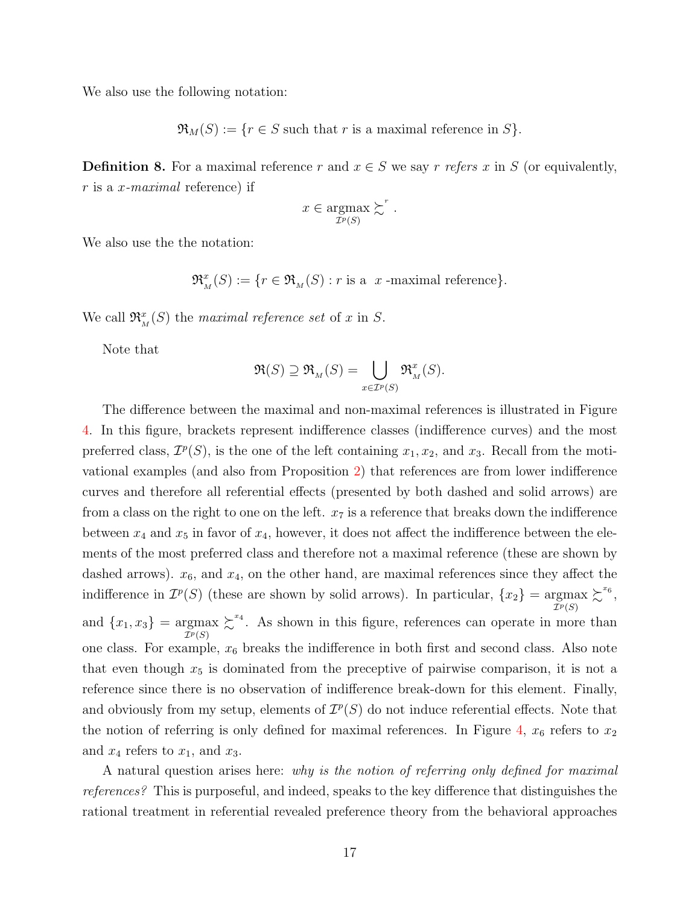We also use the following notation:

 $\mathfrak{R}_M(S) := \{r \in S \text{ such that } r \text{ is a maximal reference in } S\}.$ 

**Definition 8.** For a maximal reference r and  $x \in S$  we say r refers x in S (or equivalently,  $r$  is a x-maximal reference) if

$$
x \in \underset{\mathcal{I}^p(S)}{\operatorname{argmax}} \succsim^r.
$$

We also use the the notation:

$$
\mathfrak{R}_M^x(S) := \{ r \in \mathfrak{R}_M(S) : r \text{ is a } x \text{-maximal reference} \}.
$$

We call  $\mathfrak{R}_{M}^{x}(S)$  the maximal reference set of x in S.

Note that

$$
\mathfrak{R}(S)\supseteq \mathfrak{R}_{{}_M}(S)=\bigcup_{x\in \mathcal{I}^p(S)} \mathfrak{R}_{{}_M}^x(S).
$$

The difference between the maximal and non-maximal references is illustrated in Figure [4.](#page-17-0) In this figure, brackets represent indifference classes (indifference curves) and the most preferred class,  $\mathcal{I}^p(S)$ , is the one of the left containing  $x_1, x_2$ , and  $x_3$ . Recall from the motivational examples (and also from Proposition [2\)](#page-14-1) that references are from lower indifference curves and therefore all referential effects (presented by both dashed and solid arrows) are from a class on the right to one on the left.  $x_7$  is a reference that breaks down the indifference between  $x_4$  and  $x_5$  in favor of  $x_4$ , however, it does not affect the indifference between the elements of the most preferred class and therefore not a maximal reference (these are shown by dashed arrows).  $x_6$ , and  $x_4$ , on the other hand, are maximal references since they affect the indifference in  $\mathcal{I}^p(S)$  (these are shown by solid arrows). In particular,  $\{x_2\} = \underset{\mathcal{I}^p(S)}{\text{argmax}}$  $\succsim^{x_{6}},$ and  ${x_1, x_3}$  = argmax<br>  $\frac{T^p(S)}{T^p(S)}$  $\sum^{x_4}$ . As shown in this figure, references can operate in more than one class. For example,  $x_6$  breaks the indifference in both first and second class. Also note that even though  $x_5$  is dominated from the preceptive of pairwise comparison, it is not a reference since there is no observation of indifference break-down for this element. Finally, and obviously from my setup, elements of  $\mathcal{I}^p(S)$  do not induce referential effects. Note that the notion of referring is only defined for maximal references. In Figure [4,](#page-17-0)  $x_6$  refers to  $x_2$ and  $x_4$  refers to  $x_1$ , and  $x_3$ .

A natural question arises here: why is the notion of referring only defined for maximal references? This is purposeful, and indeed, speaks to the key difference that distinguishes the rational treatment in referential revealed preference theory from the behavioral approaches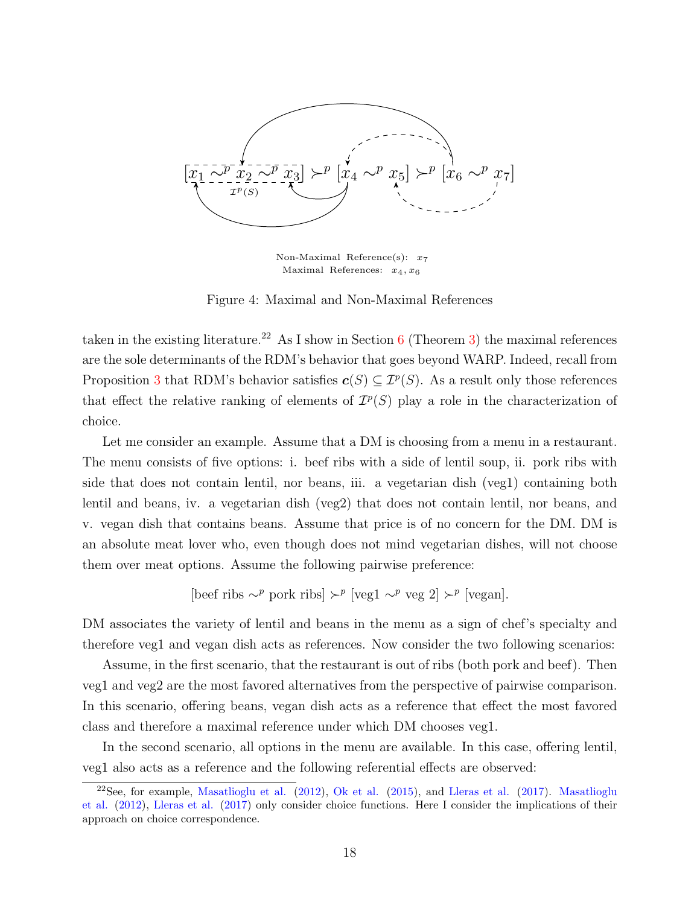<span id="page-17-0"></span>

Non-Maximal Reference(s):  $x_7$ Maximal References:  $x_4, x_6$ 

Figure 4: Maximal and Non-Maximal References

taken in the existing literature.<sup>22</sup> As I show in Section [6](#page-18-0) (Theorem [3\)](#page-19-1) the maximal references are the sole determinants of the RDM's behavior that goes beyond WARP. Indeed, recall from Proposition [3](#page-14-0) that RDM's behavior satisfies  $c(S) \subseteq \mathcal{I}^p(S)$ . As a result only those references that effect the relative ranking of elements of  $\mathcal{I}^p(S)$  play a role in the characterization of choice.

Let me consider an example. Assume that a DM is choosing from a menu in a restaurant. The menu consists of five options: i. beef ribs with a side of lentil soup, ii. pork ribs with side that does not contain lentil, nor beans, iii. a vegetarian dish (veg1) containing both lentil and beans, iv. a vegetarian dish (veg2) that does not contain lentil, nor beans, and v. vegan dish that contains beans. Assume that price is of no concern for the DM. DM is an absolute meat lover who, even though does not mind vegetarian dishes, will not choose them over meat options. Assume the following pairwise preference:

[beef ribs 
$$
\sim^p
$$
 *ports*  $r$   $\sim^p$  [ $\text{veg1}$   $\sim^p$   $\text{veg 2}$ ]  $\succ^p$  [ $\text{vegan}$ ].

DM associates the variety of lentil and beans in the menu as a sign of chef's specialty and therefore veg1 and vegan dish acts as references. Now consider the two following scenarios:

Assume, in the first scenario, that the restaurant is out of ribs (both pork and beef). Then veg1 and veg2 are the most favored alternatives from the perspective of pairwise comparison. In this scenario, offering beans, vegan dish acts as a reference that effect the most favored class and therefore a maximal reference under which DM chooses veg1.

In the second scenario, all options in the menu are available. In this case, offering lentil, veg1 also acts as a reference and the following referential effects are observed:

 $22$ See, for example, [Masatlioglu et al.](#page-54-1)  $(2012)$ , [Ok et al.](#page-54-2)  $(2015)$ , and [Lleras et al.](#page-53-8)  $(2017)$ . [Masatlioglu](#page-54-1) [et al.](#page-54-1) [\(2012\)](#page-54-1), [Lleras et al.](#page-53-8) [\(2017\)](#page-53-8) only consider choice functions. Here I consider the implications of their approach on choice correspondence.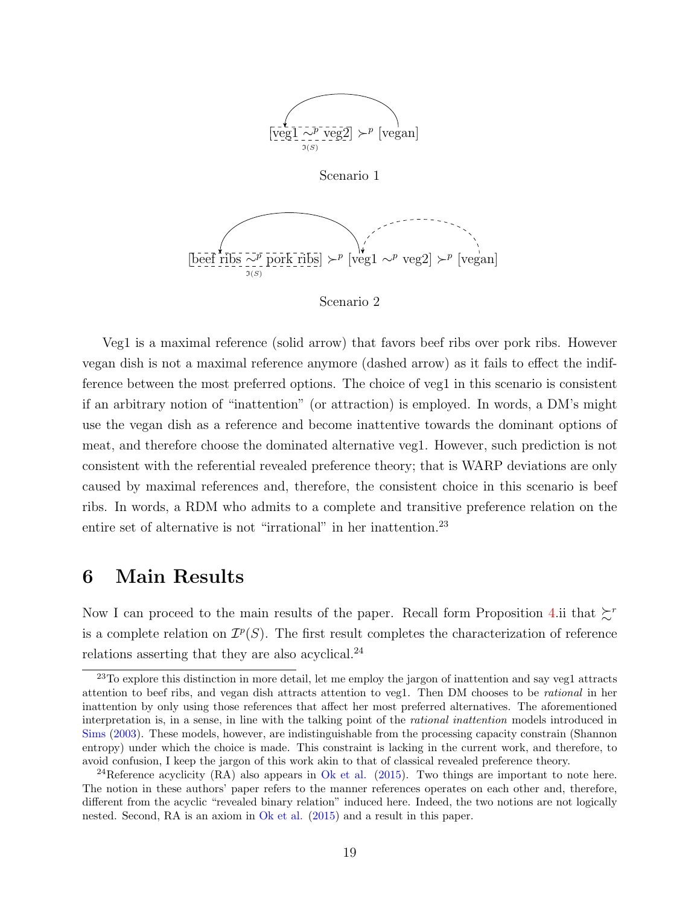

Veg1 is a maximal reference (solid arrow) that favors beef ribs over pork ribs. However vegan dish is not a maximal reference anymore (dashed arrow) as it fails to effect the indifference between the most preferred options. The choice of veg1 in this scenario is consistent if an arbitrary notion of "inattention" (or attraction) is employed. In words, a DM's might use the vegan dish as a reference and become inattentive towards the dominant options of meat, and therefore choose the dominated alternative veg1. However, such prediction is not consistent with the referential revealed preference theory; that is WARP deviations are only caused by maximal references and, therefore, the consistent choice in this scenario is beef ribs. In words, a RDM who admits to a complete and transitive preference relation on the entire set of alternative is not "irrational" in her inattention.<sup>23</sup>

# <span id="page-18-0"></span>6 Main Results

Now I can proceed to the main results of the paper. Recall form Proposition [4.](#page-15-1)ii that  $\zeta^r$ is a complete relation on  $\mathcal{I}^p(S)$ . The first result completes the characterization of reference relations asserting that they are also acyclical.<sup>24</sup>

<sup>&</sup>lt;sup>23</sup>To explore this distinction in more detail, let me employ the jargon of inattention and say veg1 attracts attention to beef ribs, and vegan dish attracts attention to veg1. Then DM chooses to be rational in her inattention by only using those references that affect her most preferred alternatives. The aforementioned interpretation is, in a sense, in line with the talking point of the rational inattention models introduced in [Sims](#page-54-14) [\(2003\)](#page-54-14). These models, however, are indistinguishable from the processing capacity constrain (Shannon entropy) under which the choice is made. This constraint is lacking in the current work, and therefore, to avoid confusion, I keep the jargon of this work akin to that of classical revealed preference theory.

<sup>&</sup>lt;sup>24</sup>Reference acyclicity (RA) also appears in [Ok et al.](#page-54-2) [\(2015\)](#page-54-2). Two things are important to note here. The notion in these authors' paper refers to the manner references operates on each other and, therefore, different from the acyclic "revealed binary relation" induced here. Indeed, the two notions are not logically nested. Second, RA is an axiom in [Ok et al.](#page-54-2) [\(2015\)](#page-54-2) and a result in this paper.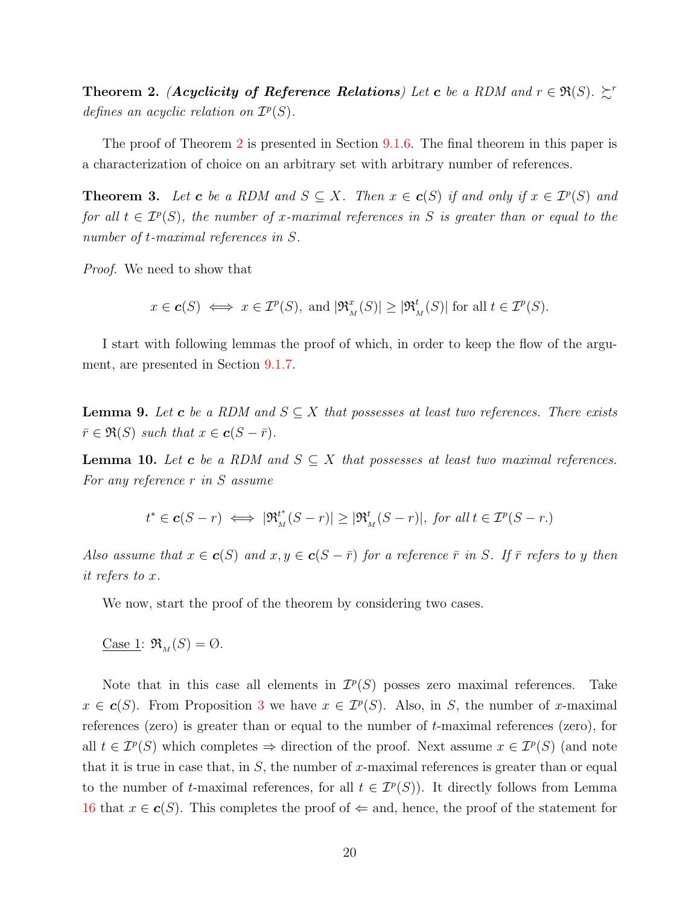<span id="page-19-0"></span>**Theorem 2.** (Acyclicity of Reference Relations) Let c be a RDM and  $r \in \Re(S)$ .  $\succsim^r$ defines an acyclic relation on  $\mathcal{I}^p(S)$ .

The proof of Theorem [2](#page-19-0) is presented in Section [9.1.6.](#page-39-1) The final theorem in this paper is a characterization of choice on an arbitrary set with arbitrary number of references.

<span id="page-19-1"></span>**Theorem 3.** Let **c** be a RDM and  $S \subseteq X$ . Then  $x \in c(S)$  if and only if  $x \in \mathcal{I}^p(S)$  and for all  $t \in \mathcal{I}^p(S)$ , the number of x-maximal references in S is greater than or equal to the number of t-maximal references in S.

Proof. We need to show that

 $x \in c(S) \iff x \in \mathcal{I}^p(S), \text{ and } |\mathfrak{R}_M^x(S)| \geq |\mathfrak{R}_M^t(S)| \text{ for all } t \in \mathcal{I}^p(S).$ 

I start with following lemmas the proof of which, in order to keep the flow of the argument, are presented in Section [9.1.7.](#page-46-0)

<span id="page-19-2"></span>**Lemma 9.** Let **c** be a RDM and  $S \subseteq X$  that possesses at least two references. There exists  $\bar{r} \in \Re(S)$  such that  $x \in \mathbf{c}(S - \bar{r}).$ 

<span id="page-19-3"></span>**Lemma 10.** Let **c** be a RDM and  $S \subseteq X$  that possesses at least two maximal references. For any reference r in S assume

$$
t^* \in \mathbf{c}(S-r) \iff |\mathfrak{R}_M^{t^*}(S-r)| \ge |\mathfrak{R}_M^{t}(S-r)|, \text{ for all } t \in \mathcal{I}^p(S-r).
$$

Also assume that  $x \in c(S)$  and  $x, y \in c(S - \overline{r})$  for a reference  $\overline{r}$  in S. If  $\overline{r}$  refers to y then it refers to x.

We now, start the proof of the theorem by considering two cases.

Case 1:  $\mathfrak{R}_M(S) = \emptyset$ .

Note that in this case all elements in  $\mathcal{I}^p(S)$  posses zero maximal references. Take  $x \in \mathbf{c}(S)$ . From Proposition [3](#page-14-0) we have  $x \in \mathcal{I}^p(S)$ . Also, in S, the number of x-maximal references (zero) is greater than or equal to the number of t-maximal references (zero), for all  $t \in \mathcal{I}^p(S)$  which completes  $\Rightarrow$  direction of the proof. Next assume  $x \in \mathcal{I}^p(S)$  (and note that it is true in case that, in  $S$ , the number of x-maximal references is greater than or equal to the number of t-maximal references, for all  $t \in \mathcal{I}^p(S)$ ). It directly follows from Lemma [16](#page-37-2) that  $x \in \mathbf{c}(S)$ . This completes the proof of  $\Leftarrow$  and, hence, the proof of the statement for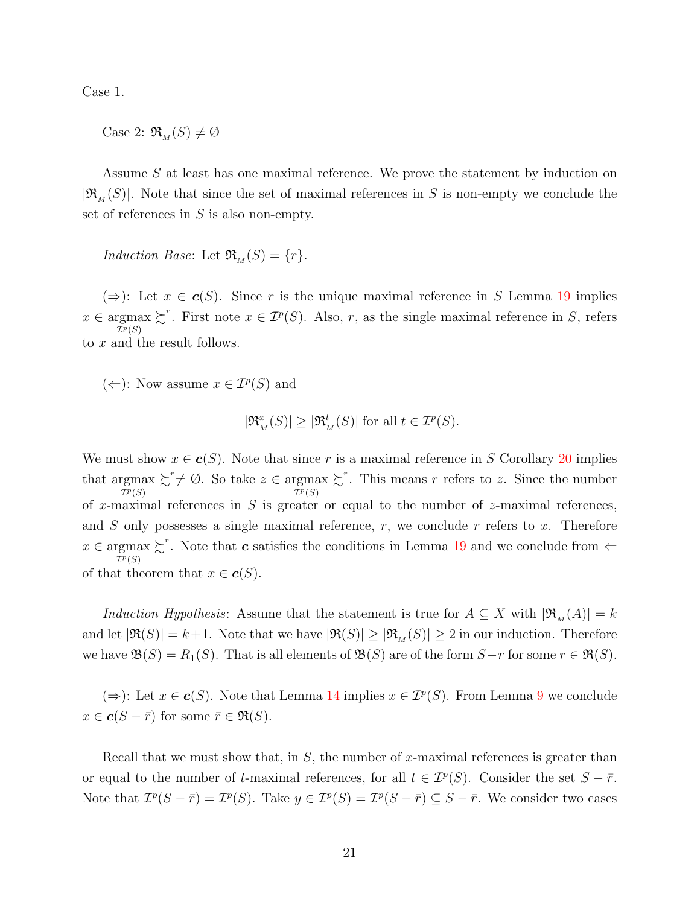Case 1.

Case 2:  $\mathfrak{R}_{M}(S) \neq \emptyset$ 

Assume S at least has one maximal reference. We prove the statement by induction on  $|\mathfrak{R}_{M}(S)|$ . Note that since the set of maximal references in S is non-empty we conclude the set of references in  $S$  is also non-empty.

Induction Base: Let  $\mathfrak{R}_{M}(S) = \{r\}.$ 

 $(\Rightarrow)$ : Let  $x \in c(S)$ . Since r is the unique maximal reference in S Lemma [19](#page-45-0) implies  $x \in \underset{\mathcal{I}^p(S)}{\operatorname{argmax}}$  $\succsim$ <sup>r</sup>. First note  $x \in \mathcal{I}^p(S)$ . Also, r, as the single maximal reference in S, refers to x and the result follows.

(←): Now assume  $x \in \mathcal{I}^p(S)$  and

$$
|\mathfrak{R}_M^x(S)| \ge |\mathfrak{R}_M^t(S)| \text{ for all } t \in \mathcal{I}^p(S).
$$

We must show  $x \in c(S)$ . Note that since r is a maximal reference in S Corollary [20](#page-46-1) implies that argmax  $\mathcal{I}^p(S)$  $\sum^r \neq \emptyset$ . So take  $z \in \underset{\mathcal{I}^p(S)}{\operatorname{argmax}}$  $\sum^r$ . This means r refers to z. Since the number of x-maximal references in  $S$  is greater or equal to the number of z-maximal references, and  $S$  only possesses a single maximal reference,  $r$ , we conclude  $r$  refers to  $x$ . Therefore  $x \in \operatorname{argmax}_{\tau \in C} \Sigma^r$ . Note that c satisfies the conditions in Lemma [19](#page-45-0) and we conclude from  $\Leftarrow$  $\overline{\mathcal{I}^p}(S)$ of that theorem that  $x \in \mathbf{c}(S)$ .

Induction Hypothesis: Assume that the statement is true for  $A \subseteq X$  with  $|\mathfrak{R}_{M}(A)| = k$ and let  $|\Re(S)| = k+1$ . Note that we have  $|\Re(S)| \geq |\Re(M)| \geq 2$  in our induction. Therefore we have  $\mathfrak{B}(S) = R_1(S)$ . That is all elements of  $\mathfrak{B}(S)$  are of the form  $S-r$  for some  $r \in \mathfrak{R}(S)$ .

(⇒): Let  $x \in c(S)$ . Note that Lemma [14](#page-36-0) implies  $x \in \mathcal{I}^p(S)$ . From Lemma [9](#page-19-2) we conclude  $x \in \mathbf{c}(S - \overline{r})$  for some  $\overline{r} \in \mathfrak{R}(S)$ .

Recall that we must show that, in  $S$ , the number of x-maximal references is greater than or equal to the number of t-maximal references, for all  $t \in \mathcal{I}^p(S)$ . Consider the set  $S - \bar{r}$ . Note that  $\mathcal{I}^p(S - \bar{r}) = \mathcal{I}^p(S)$ . Take  $y \in \mathcal{I}^p(S) = \mathcal{I}^p(S - \bar{r}) \subseteq S - \bar{r}$ . We consider two cases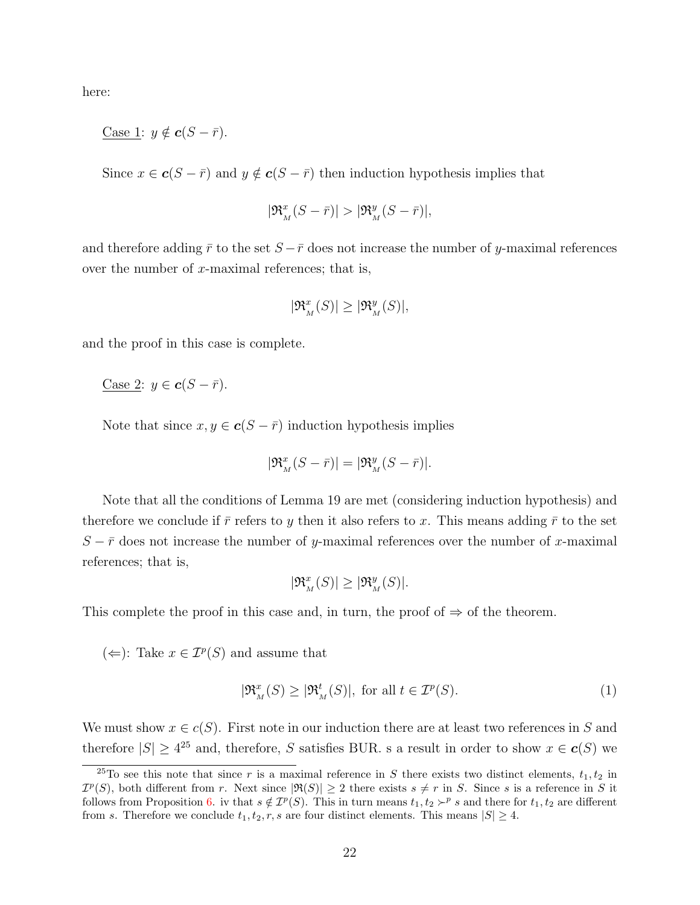here:

Case 1:  $y \notin c(S - \bar{r}).$ 

Since  $x \in c(S - \bar{r})$  and  $y \notin c(S - \bar{r})$  then induction hypothesis implies that

$$
|\mathfrak{R}_{_M}^x(S-\bar{r})|>|\mathfrak{R}_{_M}^y(S-\bar{r})|,
$$

and therefore adding  $\bar{r}$  to the set  $S - \bar{r}$  does not increase the number of y-maximal references over the number of  $x$ -maximal references; that is,

$$
|\mathfrak{R}_{{}_M}^x(S)|\geq |\mathfrak{R}_{{}_M}^y(S)|,
$$

and the proof in this case is complete.

$$
\underline{\text{Case 2}}: y \in \mathbf{c}(S - \bar{r}).
$$

Note that since  $x, y \in \mathbf{c}(S - \bar{r})$  induction hypothesis implies

$$
|\mathfrak{R}_M^x(S - \bar{r})| = |\mathfrak{R}_M^y(S - \bar{r})|.
$$

Note that all the conditions of Lemma 19 are met (considering induction hypothesis) and therefore we conclude if  $\bar{r}$  refers to y then it also refers to x. This means adding  $\bar{r}$  to the set  $S - \bar{r}$  does not increase the number of y-maximal references over the number of x-maximal references; that is,

$$
|\mathfrak{R}_{\scriptscriptstyle M}^x(S)|\geq |\mathfrak{R}_{\scriptscriptstyle M}^y(S)|.
$$

This complete the proof in this case and, in turn, the proof of  $\Rightarrow$  of the theorem.

(←): Take  $x \in \mathcal{I}^p(S)$  and assume that

$$
|\mathfrak{R}_M^x(S) \ge |\mathfrak{R}_M^t(S)|, \text{ for all } t \in \mathcal{I}^p(S). \tag{1}
$$

We must show  $x \in c(S)$ . First note in our induction there are at least two references in S and therefore  $|S| \geq 4^{25}$  and, therefore, S satisfies BUR. s a result in order to show  $x \in c(S)$  we

 $25T_0$  see this note that since r is a maximal reference in S there exists two distinct elements,  $t_1, t_2$  in  $\mathcal{I}^p(S)$ , both different from r. Next since  $|\Re(S)| \geq 2$  there exists  $s \neq r$  in S. Since s is a reference in S it follows from Proposition [6.](#page-33-1) iv that  $s \notin \mathcal{I}^p(S)$ . This in turn means  $t_1, t_2 \succ^p s$  and there for  $t_1, t_2$  are different from s. Therefore we conclude  $t_1, t_2, r, s$  are four distinct elements. This means  $|S| \geq 4$ .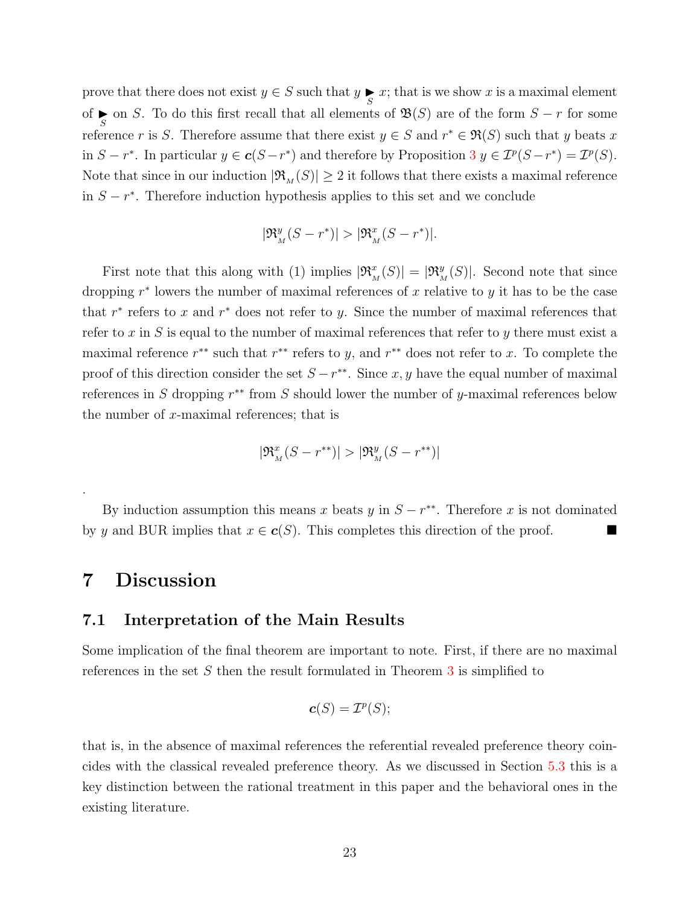prove that there does not exist  $y \in S$  such that  $y \in S$ ; that is we show x is a maximal element of  $\sum_{S}$  on S. To do this first recall that all elements of  $\mathfrak{B}(S)$  are of the form  $S - r$  for some reference r is S. Therefore assume that there exist  $y \in S$  and  $r^* \in \mathfrak{R}(S)$  such that y beats x in  $S - r^*$ . In particular  $y \in \mathbf{c}(S - r^*)$  and therefore by Proposition [3](#page-14-0)  $y \in \mathcal{I}^p(S - r^*) = \mathcal{I}^p(S)$ . Note that since in our induction  $|\mathfrak{R}_{M}(S)| \geq 2$  it follows that there exists a maximal reference in  $S - r^*$ . Therefore induction hypothesis applies to this set and we conclude

$$
|\mathfrak{R}_{{}_M}^y(S-r^*)|>|\mathfrak{R}_{{}_M}^x(S-r^*)|.
$$

First note that this along with (1) implies  $|\mathfrak{R}^x_M(S)| = |\mathfrak{R}^y_M(S)|$ . Second note that since dropping  $r^*$  lowers the number of maximal references of x relative to y it has to be the case that  $r^*$  refers to x and  $r^*$  does not refer to y. Since the number of maximal references that refer to  $x$  in  $S$  is equal to the number of maximal references that refer to  $y$  there must exist a maximal reference  $r^{**}$  such that  $r^{**}$  refers to y, and  $r^{**}$  does not refer to x. To complete the proof of this direction consider the set  $S - r^{**}$ . Since x, y have the equal number of maximal references in S dropping  $r^{**}$  from S should lower the number of y-maximal references below the number of  $x$ -maximal references; that is

$$
|\mathfrak{R}_{{}_M}^x(S-r^{**})|>|\mathfrak{R}_{{}_M}^y(S-r^{**})|
$$

By induction assumption this means x beats y in  $S - r^{**}$ . Therefore x is not dominated by y and BUR implies that  $x \in c(S)$ . This completes this direction of the proof.

# <span id="page-22-1"></span>7 Discussion

.

### <span id="page-22-0"></span>7.1 Interpretation of the Main Results

Some implication of the final theorem are important to note. First, if there are no maximal references in the set  $S$  then the result formulated in Theorem  $3$  is simplified to

$$
\boldsymbol{c}(S)=\mathcal{I}^p(S);
$$

that is, in the absence of maximal references the referential revealed preference theory coincides with the classical revealed preference theory. As we discussed in Section [5.3](#page-15-0) this is a key distinction between the rational treatment in this paper and the behavioral ones in the existing literature.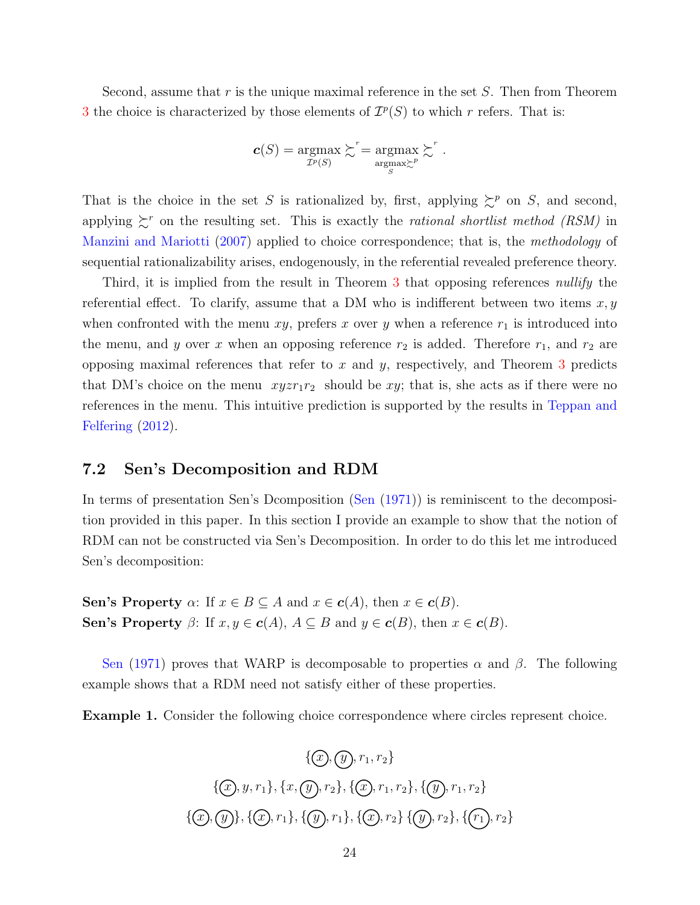Second, assume that r is the unique maximal reference in the set  $S$ . Then from Theorem [3](#page-19-1) the choice is characterized by those elements of  $\mathcal{I}^p(S)$  to which r refers. That is:

$$
\mathbf{c}(S) = \operatorname*{argmax}_{\mathcal{I}^p(S)} \succsim^r = \operatorname*{argmax}_{\operatorname*{argmax}_{S} \succsim^p} \succsim^r.
$$

That is the choice in the set S is rationalized by, first, applying  $\succeq^p$  on S, and second, applying  $\zeta^r$  on the resulting set. This is exactly the *rational shortlist method (RSM)* in [Manzini and Mariotti](#page-54-4) [\(2007\)](#page-54-4) applied to choice correspondence; that is, the methodology of sequential rationalizability arises, endogenously, in the referential revealed preference theory.

Third, it is implied from the result in Theorem [3](#page-19-1) that opposing references nullify the referential effect. To clarify, assume that a DM who is indifferent between two items  $x, y$ when confronted with the menu xy, prefers x over y when a reference  $r_1$  is introduced into the menu, and y over x when an opposing reference  $r_2$  is added. Therefore  $r_1$ , and  $r_2$  are opposing maximal references that refer to  $x$  and  $y$ , respectively, and Theorem [3](#page-19-1) predicts that DM's choice on the menu  $xyzr_1r_2$  should be xy; that is, she acts as if there were no references in the menu. This intuitive prediction is supported by the results in [Teppan and](#page-54-15) [Felfering](#page-54-15) [\(2012\)](#page-54-15).

## <span id="page-23-0"></span>7.2 Sen's Decomposition and RDM

In terms of presentation Sen's Dcomposition [\(Sen](#page-54-3) [\(1971\)](#page-54-3)) is reminiscent to the decomposition provided in this paper. In this section I provide an example to show that the notion of RDM can not be constructed via Sen's Decomposition. In order to do this let me introduced Sen's decomposition:

Sen's Property  $\alpha$ : If  $x \in B \subseteq A$  and  $x \in c(A)$ , then  $x \in c(B)$ . Sen's Property  $\beta$ : If  $x, y \in c(A)$ ,  $A \subseteq B$  and  $y \in c(B)$ , then  $x \in c(B)$ .

[Sen](#page-54-3) [\(1971\)](#page-54-3) proves that WARP is decomposable to properties  $\alpha$  and  $\beta$ . The following example shows that a RDM need not satisfy either of these properties.

Example 1. Consider the following choice correspondence where circles represent choice.

$$
\{\mathcal{D}, \mathcal{D}, r_1, r_2\}
$$
  

$$
\{\mathcal{D}, y, r_1\}, \{x, \mathcal{D}, r_2\}, \{\mathcal{D}, r_1, r_2\}, \{\mathcal{D}, r_1, r_2\}
$$
  

$$
\{\mathcal{D}, \mathcal{D}\}, \{\mathcal{D}, r_1\}, \{\mathcal{D}, r_1\}, \{\mathcal{D}, r_2\}, \{\mathcal{D}, r_2\}, \{\mathcal{C}_1\}, r_2\}
$$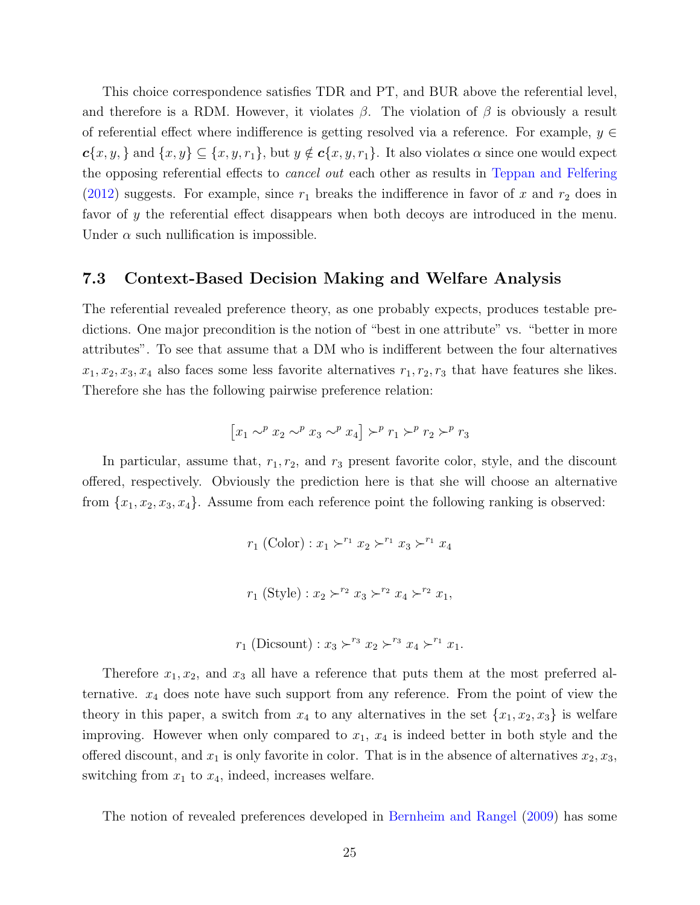This choice correspondence satisfies TDR and PT, and BUR above the referential level, and therefore is a RDM. However, it violates  $\beta$ . The violation of  $\beta$  is obviously a result of referential effect where indifference is getting resolved via a reference. For example,  $y \in$  $c\{x, y, \}$  and  $\{x, y\} \subseteq \{x, y, r_1\}$ , but  $y \notin c\{x, y, r_1\}$ . It also violates  $\alpha$  since one would expect the opposing referential effects to cancel out each other as results in [Teppan and Felfering](#page-54-15) [\(2012\)](#page-54-15) suggests. For example, since  $r_1$  breaks the indifference in favor of x and  $r_2$  does in favor of y the referential effect disappears when both decoys are introduced in the menu. Under  $\alpha$  such nullification is impossible.

## 7.3 Context-Based Decision Making and Welfare Analysis

The referential revealed preference theory, as one probably expects, produces testable predictions. One major precondition is the notion of "best in one attribute" vs. "better in more attributes". To see that assume that a DM who is indifferent between the four alternatives  $x_1, x_2, x_3, x_4$  also faces some less favorite alternatives  $r_1, r_2, r_3$  that have features she likes. Therefore she has the following pairwise preference relation:

$$
\left[x_1 \sim^p x_2 \sim^p x_3 \sim^p x_4\right] \succ^p r_1 \succ^p r_2 \succ^p r_3
$$

In particular, assume that,  $r_1, r_2$ , and  $r_3$  present favorite color, style, and the discount offered, respectively. Obviously the prediction here is that she will choose an alternative from  $\{x_1, x_2, x_3, x_4\}$ . Assume from each reference point the following ranking is observed:

- $r_1$  (Color) :  $x_1 \succ^{r_1} x_2 \succ^{r_1} x_3 \succ^{r_1} x_4$
- $r_1$  (Style) :  $x_2 \succ^{r_2} x_3 \succ^{r_2} x_4 \succ^{r_2} x_1$ ,
- $r_1$  (Dicsount) :  $x_3 \succ^{r_3} x_2 \succ^{r_3} x_4 \succ^{r_1} x_1$ .

Therefore  $x_1, x_2$ , and  $x_3$  all have a reference that puts them at the most preferred alternative.  $x_4$  does note have such support from any reference. From the point of view the theory in this paper, a switch from  $x_4$  to any alternatives in the set  $\{x_1, x_2, x_3\}$  is welfare improving. However when only compared to  $x_1, x_4$  is indeed better in both style and the offered discount, and  $x_1$  is only favorite in color. That is in the absence of alternatives  $x_2, x_3$ , switching from  $x_1$  to  $x_4$ , indeed, increases welfare.

The notion of revealed preferences developed in [Bernheim and Rangel](#page-53-10) [\(2009\)](#page-53-10) has some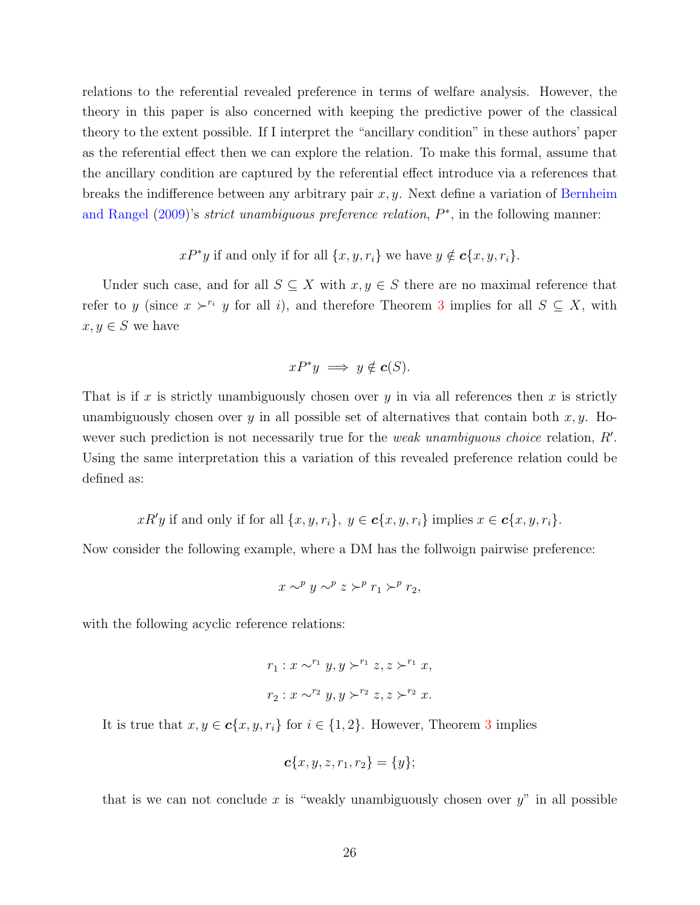relations to the referential revealed preference in terms of welfare analysis. However, the theory in this paper is also concerned with keeping the predictive power of the classical theory to the extent possible. If I interpret the "ancillary condition" in these authors' paper as the referential effect then we can explore the relation. To make this formal, assume that the ancillary condition are captured by the referential effect introduce via a references that breaks the indifference between any arbitrary pair  $x, y$ . Next define a variation of [Bernheim](#page-53-10) [and Rangel](#page-53-10)  $(2009)$ 's *strict unambiguous preference relation*,  $P^*$ , in the following manner:

 $xP^*y$  if and only if for all  $\{x, y, r_i\}$  we have  $y \notin \mathbf{c}\{x, y, r_i\}$ .

Under such case, and for all  $S \subseteq X$  with  $x, y \in S$  there are no maximal reference that refer to y (since  $x \succ^{r_i} y$  for all i), and therefore Theorem [3](#page-19-1) implies for all  $S \subseteq X$ , with  $x, y \in S$  we have

$$
xP^*y \implies y \notin c(S).
$$

That is if x is strictly unambiguously chosen over y in via all references then x is strictly unambiguously chosen over y in all possible set of alternatives that contain both  $x, y$ . However such prediction is not necessarily true for the *weak unambiguous choice* relation,  $R'$ . Using the same interpretation this a variation of this revealed preference relation could be defined as:

 $xR'y$  if and only if for all  $\{x, y, r_i\}$ ,  $y \in \mathbf{c}\{x, y, r_i\}$  implies  $x \in \mathbf{c}\{x, y, r_i\}$ .

Now consider the following example, where a DM has the follwoign pairwise preference:

$$
x \sim^p y \sim^p z \succ^p r_1 \succ^p r_2,
$$

with the following acyclic reference relations:

$$
r_1: x \sim^{r_1} y, y \succ^{r_1} z, z \succ^{r_1} x,
$$
  

$$
r_2: x \sim^{r_2} y, y \succ^{r_2} z, z \succ^{r_2} x.
$$

It is true that  $x, y \in \mathbf{c}\{x, y, r_i\}$  for  $i \in \{1, 2\}$ . However, Theorem [3](#page-19-1) implies

$$
\mathbf{c}\{x,y,z,r_1,r_2\} = \{y\};
$$

that is we can not conclude x is "weakly unambiguously chosen over  $y$ " in all possible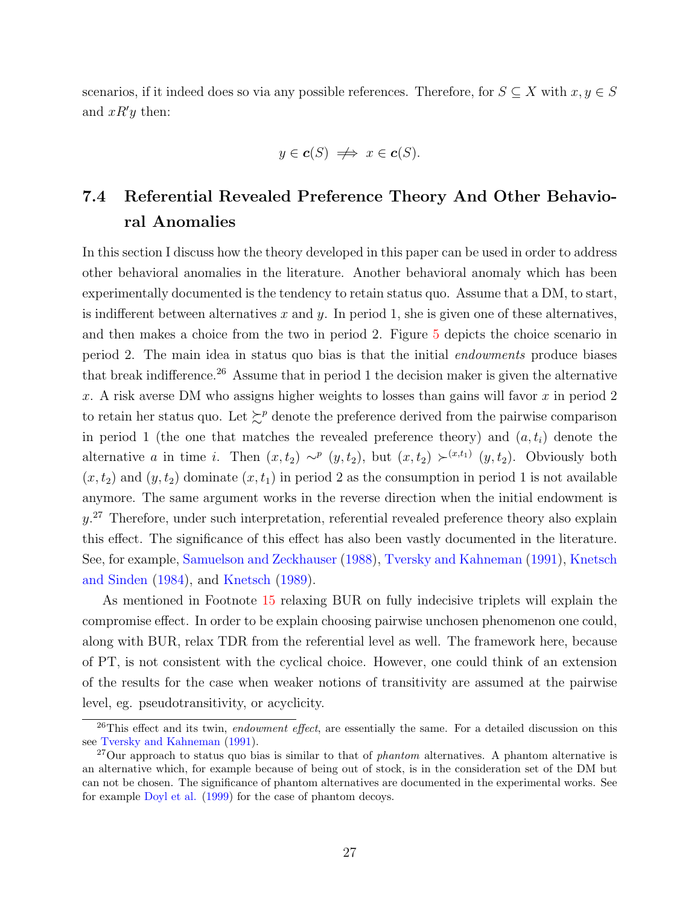scenarios, if it indeed does so via any possible references. Therefore, for  $S \subseteq X$  with  $x, y \in S$ and  $xR'y$  then:

$$
y \in \mathbf{c}(S) \iff x \in \mathbf{c}(S).
$$

# 7.4 Referential Revealed Preference Theory And Other Behavioral Anomalies

In this section I discuss how the theory developed in this paper can be used in order to address other behavioral anomalies in the literature. Another behavioral anomaly which has been experimentally documented is the tendency to retain status quo. Assume that a DM, to start, is indifferent between alternatives  $x$  and  $y$ . In period 1, she is given one of these alternatives, and then makes a choice from the two in period 2. Figure [5](#page-27-1) depicts the choice scenario in period 2. The main idea in status quo bias is that the initial endowments produce biases that break indifference.<sup>26</sup> Assume that in period 1 the decision maker is given the alternative x. A risk averse DM who assigns higher weights to losses than gains will favor  $x$  in period 2 to retain her status quo. Let  $\succeq^p$  denote the preference derived from the pairwise comparison in period 1 (the one that matches the revealed preference theory) and  $(a, t_i)$  denote the alternative a in time i. Then  $(x, t_2) \sim^p (y, t_2)$ , but  $(x, t_2) \succ^{(x,t_1)} (y, t_2)$ . Obviously both  $(x, t_2)$  and  $(y, t_2)$  dominate  $(x, t_1)$  in period 2 as the consumption in period 1 is not available anymore. The same argument works in the reverse direction when the initial endowment is  $y$ <sup>27</sup> Therefore, under such interpretation, referential revealed preference theory also explain this effect. The significance of this effect has also been vastly documented in the literature. See, for example, [Samuelson and Zeckhauser](#page-54-16) [\(1988\)](#page-54-16), [Tversky and Kahneman](#page-54-0) [\(1991\)](#page-54-0), [Knetsch](#page-53-11) [and Sinden](#page-53-11) [\(1984\)](#page-53-11), and [Knetsch](#page-53-12) [\(1989\)](#page-53-12).

As mentioned in Footnote [15](#page-13-0) relaxing BUR on fully indecisive triplets will explain the compromise effect. In order to be explain choosing pairwise unchosen phenomenon one could, along with BUR, relax TDR from the referential level as well. The framework here, because of PT, is not consistent with the cyclical choice. However, one could think of an extension of the results for the case when weaker notions of transitivity are assumed at the pairwise level, eg. pseudotransitivity, or acyclicity.

 $^{26}$ This effect and its twin, endowment effect, are essentially the same. For a detailed discussion on this see [Tversky and Kahneman](#page-54-0) [\(1991\)](#page-54-0).

 $^{27}$ Our approach to status quo bias is similar to that of *phantom* alternatives. A phantom alternative is an alternative which, for example because of being out of stock, is in the consideration set of the DM but can not be chosen. The significance of phantom alternatives are documented in the experimental works. See for example [Doyl et al.](#page-53-1) [\(1999\)](#page-53-1) for the case of phantom decoys.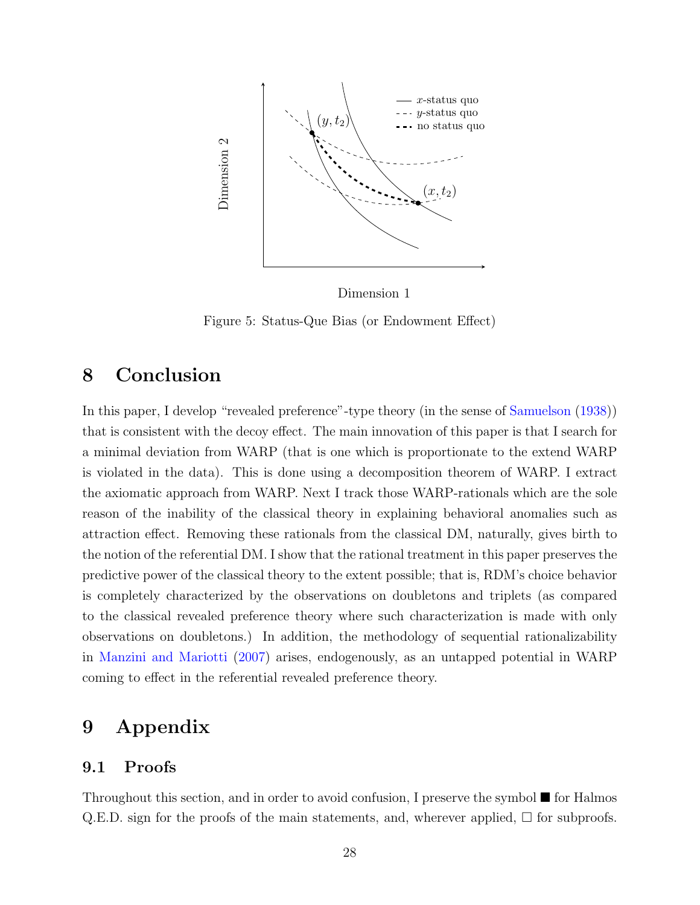<span id="page-27-1"></span>

Dimension 1

Figure 5: Status-Que Bias (or Endowment Effect)

# <span id="page-27-0"></span>8 Conclusion

In this paper, I develop "revealed preference"-type theory (in the sense of [Samuelson](#page-54-12) [\(1938\)](#page-54-12)) that is consistent with the decoy effect. The main innovation of this paper is that I search for a minimal deviation from WARP (that is one which is proportionate to the extend WARP is violated in the data). This is done using a decomposition theorem of WARP. I extract the axiomatic approach from WARP. Next I track those WARP-rationals which are the sole reason of the inability of the classical theory in explaining behavioral anomalies such as attraction effect. Removing these rationals from the classical DM, naturally, gives birth to the notion of the referential DM. I show that the rational treatment in this paper preserves the predictive power of the classical theory to the extent possible; that is, RDM's choice behavior is completely characterized by the observations on doubletons and triplets (as compared to the classical revealed preference theory where such characterization is made with only observations on doubletons.) In addition, the methodology of sequential rationalizability in [Manzini and Mariotti](#page-54-4) [\(2007\)](#page-54-4) arises, endogenously, as an untapped potential in WARP coming to effect in the referential revealed preference theory.

# 9 Appendix

## 9.1 Proofs

Throughout this section, and in order to avoid confusion, I preserve the symbol  $\blacksquare$  for Halmos Q.E.D. sign for the proofs of the main statements, and, wherever applied,  $\Box$  for subproofs.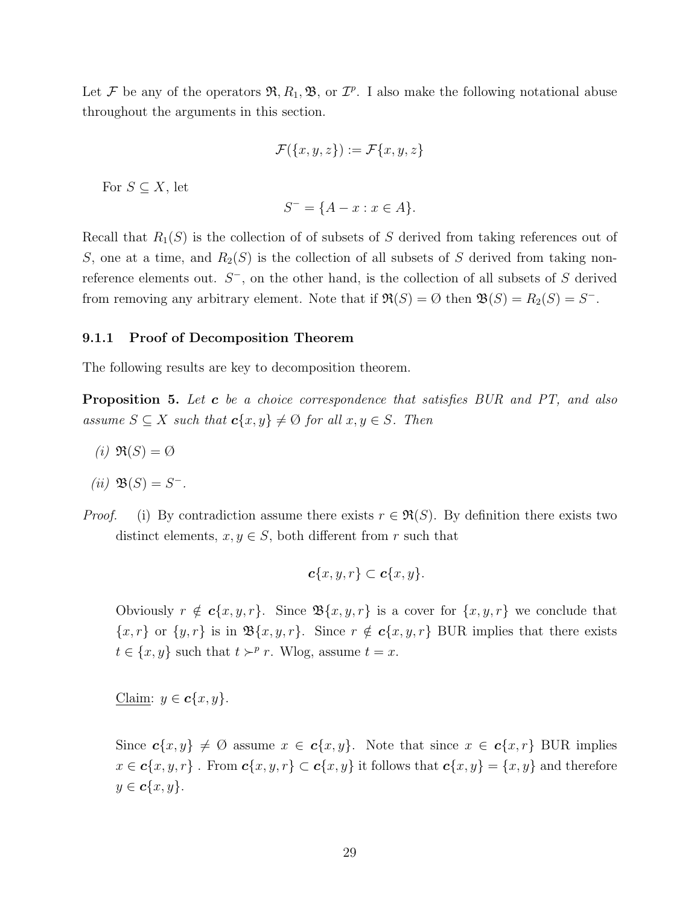Let F be any of the operators  $\mathfrak{R}, R_1, \mathfrak{B}$ , or  $\mathcal{I}^p$ . I also make the following notational abuse throughout the arguments in this section.

$$
\mathcal{F}(\{x,y,z\}):=\mathcal{F}\{x,y,z\}
$$

For  $S \subseteq X$ , let

$$
S^- = \{A - x : x \in A\}.
$$

Recall that  $R_1(S)$  is the collection of of subsets of S derived from taking references out of S, one at a time, and  $R_2(S)$  is the collection of all subsets of S derived from taking nonreference elements out.  $S^-$ , on the other hand, is the collection of all subsets of S derived from removing any arbitrary element. Note that if  $\Re(S) = \emptyset$  then  $\mathfrak{B}(S) = R_2(S) = S^-$ .

#### <span id="page-28-0"></span>9.1.1 Proof of Decomposition Theorem

The following results are key to decomposition theorem.

<span id="page-28-1"></span>**Proposition 5.** Let **c** be a choice correspondence that satisfies BUR and PT, and also assume  $S \subseteq X$  such that  $c\{x, y\} \neq \emptyset$  for all  $x, y \in S$ . Then

(i)  $\Re(S) = \emptyset$ 

$$
(ii) \mathfrak{B}(S) = S^-.
$$

*Proof.* (i) By contradiction assume there exists  $r \in \mathfrak{R}(S)$ . By definition there exists two distinct elements,  $x, y \in S$ , both different from r such that

$$
\boldsymbol{c}\{x,y,r\}\subset \boldsymbol{c}\{x,y\}.
$$

Obviously  $r \notin \mathbf{c}\{x, y, r\}$ . Since  $\mathfrak{B}\{x, y, r\}$  is a cover for  $\{x, y, r\}$  we conclude that  $\{x, r\}$  or  $\{y, r\}$  is in  $\mathfrak{B}\{x, y, r\}$ . Since  $r \notin c\{x, y, r\}$  BUR implies that there exists  $t \in \{x, y\}$  such that  $t \succ^p r$ . Wlog, assume  $t = x$ .

Claim:  $y \in \mathbf{c}\{x, y\}$ .

Since  $c\{x, y\} \neq \emptyset$  assume  $x \in c\{x, y\}$ . Note that since  $x \in c\{x, r\}$  BUR implies  $x \in \mathbf{c}\{x, y, r\}$ . From  $\mathbf{c}\{x, y, r\} \subset \mathbf{c}\{x, y\}$  it follows that  $\mathbf{c}\{x, y\} = \{x, y\}$  and therefore  $y \in \mathbf{c}\{x,y\}.$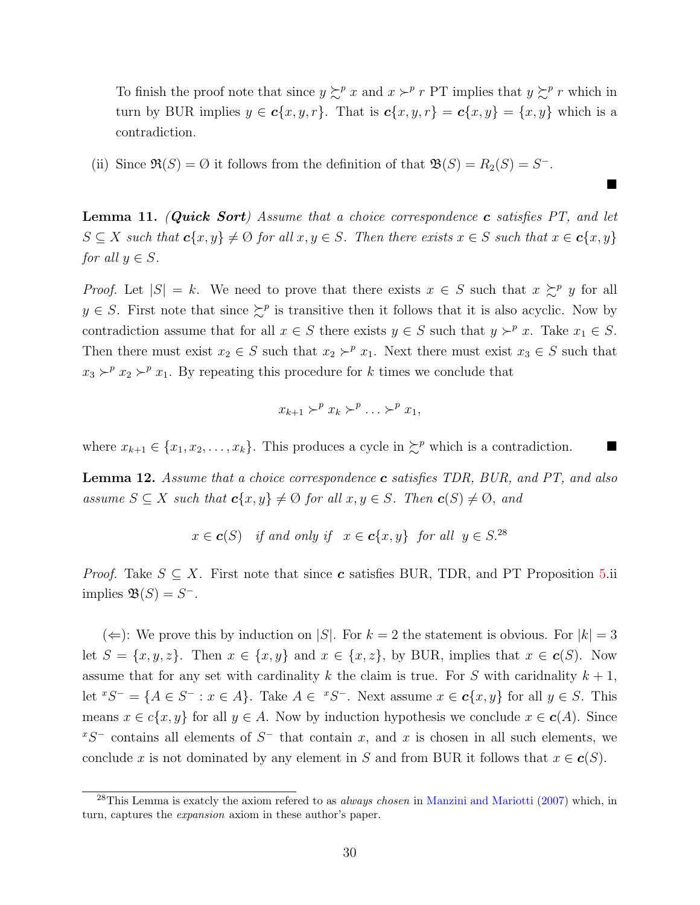To finish the proof note that since  $y \succsim^p x$  and  $x \succ^p r$  PT implies that  $y \succsim^p r$  which in turn by BUR implies  $y \in c\{x, y, r\}$ . That is  $c\{x, y, r\} = c\{x, y\} = \{x, y\}$  which is a contradiction.

 $\blacksquare$ 

(ii) Since  $\Re(S) = \emptyset$  it follows from the definition of that  $\Re(S) = R_2(S) = S^-$ .

**Lemma 11.** (Quick Sort) Assume that a choice correspondence c satisfies  $PT$ , and let  $S \subseteq X$  such that  $c\{x, y\} \neq \emptyset$  for all  $x, y \in S$ . Then there exists  $x \in S$  such that  $x \in c\{x, y\}$ for all  $y \in S$ .

*Proof.* Let  $|S| = k$ . We need to prove that there exists  $x \in S$  such that  $x \succeq^p y$  for all  $y \in S$ . First note that since  $\succeq^p$  is transitive then it follows that it is also acyclic. Now by contradiction assume that for all  $x \in S$  there exists  $y \in S$  such that  $y \succ^p x$ . Take  $x_1 \in S$ . Then there must exist  $x_2 \in S$  such that  $x_2 \succ^p x_1$ . Next there must exist  $x_3 \in S$  such that  $x_3 \succ^p x_2 \succ^p x_1$ . By repeating this procedure for k times we conclude that

$$
x_{k+1} \succ^p x_k \succ^p \ldots \succ^p x_1,
$$

where  $x_{k+1} \in \{x_1, x_2, \ldots, x_k\}$ . This produces a cycle in  $\succeq^p$  which is a contradiction.

<span id="page-29-0"></span>**Lemma 12.** Assume that a choice correspondence  $c$  satisfies TDR, BUR, and PT, and also assume  $S \subseteq X$  such that  $c\{x, y\} \neq \emptyset$  for all  $x, y \in S$ . Then  $c(S) \neq \emptyset$ , and

$$
x \in \mathbf{c}(S)
$$
 if and only if  $x \in \mathbf{c}\{x, y\}$  for all  $y \in S^{28}$ 

*Proof.* Take  $S \subseteq X$ . First note that since **c** satisfies BUR, TDR, and PT Proposition [5.](#page-28-1)ii implies  $\mathfrak{B}(S) = S^-$ .

 $(\Leftarrow):$  We prove this by induction on  $|S|$ . For  $k = 2$  the statement is obvious. For  $|k| = 3$ let  $S = \{x, y, z\}$ . Then  $x \in \{x, y\}$  and  $x \in \{x, z\}$ , by BUR, implies that  $x \in c(S)$ . Now assume that for any set with cardinality k the claim is true. For S with caridnality  $k + 1$ , let  ${}^xS^- = \{A \in S^- : x \in A\}$ . Take  $A \in {}^xS^-$ . Next assume  $x \in c\{x, y\}$  for all  $y \in S$ . This means  $x \in c\{x, y\}$  for all  $y \in A$ . Now by induction hypothesis we conclude  $x \in c(A)$ . Since  $xS^-$  contains all elements of  $S^-$  that contain x, and x is chosen in all such elements, we conclude x is not dominated by any element in S and from BUR it follows that  $x \in c(S)$ .

<sup>&</sup>lt;sup>28</sup>This Lemma is exatcly the axiom refered to as *always chosen* in [Manzini and Mariotti](#page-54-4) [\(2007\)](#page-54-4) which, in turn, captures the expansion axiom in these author's paper.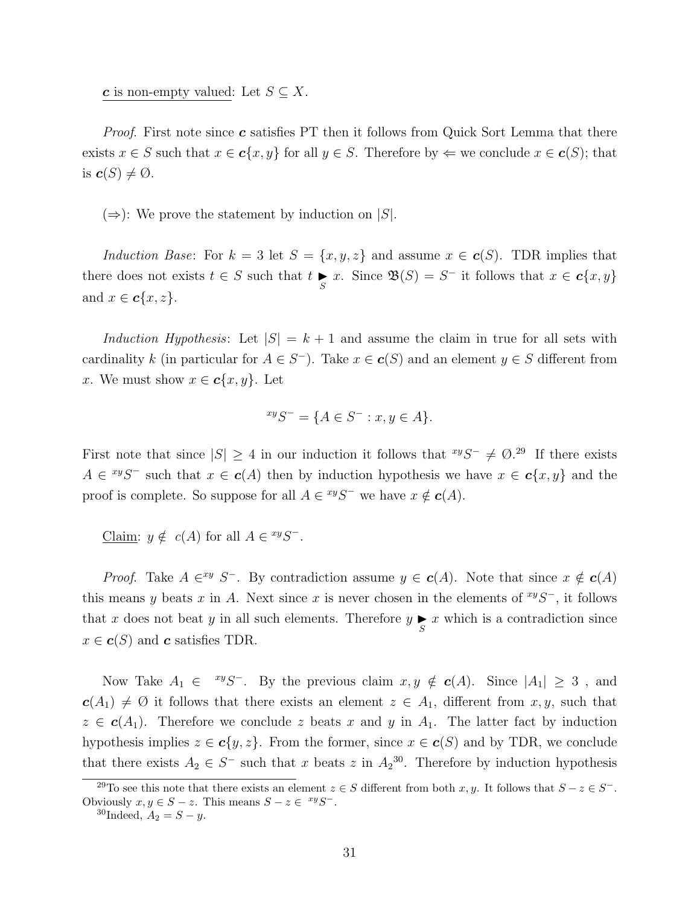c is non-empty valued: Let  $S \subseteq X$ .

*Proof.* First note since  $c$  satisfies PT then it follows from Quick Sort Lemma that there exists  $x \in S$  such that  $x \in c\{x, y\}$  for all  $y \in S$ . Therefore by  $\Leftarrow$  we conclude  $x \in c(S)$ ; that is  $c(S) \neq \emptyset$ .

 $(\Rightarrow)$ : We prove the statement by induction on |S|.

Induction Base: For  $k = 3$  let  $S = \{x, y, z\}$  and assume  $x \in \mathbf{c}(S)$ . TDR implies that there does not exists  $t \in S$  such that  $t \underset{S}{\blacktriangleright} x$ . Since  $\mathfrak{B}(S) = S^-$  it follows that  $x \in c\{x, y\}$ and  $x \in \mathbf{c}\{x, z\}$ .

Induction Hypothesis: Let  $|S| = k + 1$  and assume the claim in true for all sets with cardinality k (in particular for  $A \in S^-$ ). Take  $x \in c(S)$  and an element  $y \in S$  different from x. We must show  $x \in \mathbf{c}\{x, y\}$ . Let

$$
^{xy}S^{-} = \{ A \in S^{-} : x, y \in A \}.
$$

First note that since  $|S| \geq 4$  in our induction it follows that  $\sqrt[xy]{S^-} \neq \emptyset$ .<sup>29</sup> If there exists  $A \in {}^{xy}S^-$  such that  $x \in c(A)$  then by induction hypothesis we have  $x \in c\{x, y\}$  and the proof is complete. So suppose for all  $A \in {}^{xy}S^-$  we have  $x \notin c(A)$ .

Claim:  $y \notin c(A)$  for all  $A \in {}^{xy}S^-$ .

*Proof.* Take  $A \in X^y$  S<sup>-</sup>. By contradiction assume  $y \in c(A)$ . Note that since  $x \notin c(A)$ this means y beats x in A. Next since x is never chosen in the elements of  $\frac{xyS}{}$ , it follows that x does not beat y in all such elements. Therefore  $y \underset{S}{\blacktriangleright} x$  which is a contradiction since  $x \in \mathbf{c}(S)$  and  $\mathbf{c}$  satisfies TDR.

Now Take  $A_1 \in {}^{xy}S^-$ . By the previous claim  $x, y \notin c(A)$ . Since  $|A_1| \geq 3$ , and  $c(A_1) \neq \emptyset$  it follows that there exists an element  $z \in A_1$ , different from  $x, y$ , such that  $z \in c(A_1)$ . Therefore we conclude z beats x and y in  $A_1$ . The latter fact by induction hypothesis implies  $z \in c\{y, z\}$ . From the former, since  $x \in c(S)$  and by TDR, we conclude that there exists  $A_2 \in S^-$  such that x beats z in  $A_2^{30}$ . Therefore by induction hypothesis

<sup>&</sup>lt;sup>29</sup>To see this note that there exists an element  $z \in S$  different from both x, y. It follows that  $S - z \in S^-$ . Obviously  $x, y \in S - z$ . This means  $S - z \in {}^{xy}S^{-}$ .

 ${}^{30}$ Indeed,  $A_2 = S - y$ .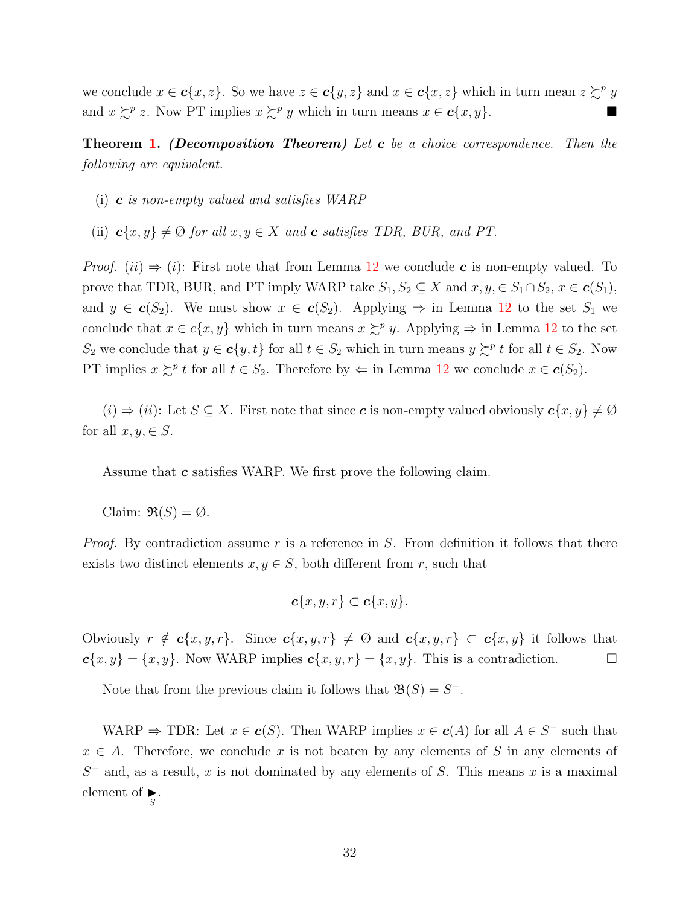we conclude  $x \in \mathbf{c}\{x, z\}$ . So we have  $z \in \mathbf{c}\{y, z\}$  and  $x \in \mathbf{c}\{x, z\}$  which in turn mean  $z \succsim^p y$ and  $x \succeq^p z$ . Now PT implies  $x \succeq^p y$  which in turn means  $x \in c\{x, y\}$ .

**Theorem [1.](#page-12-0)** (Decomposition Theorem) Let  $c$  be a choice correspondence. Then the following are equivalent.

- (i)  $\boldsymbol{c}$  is non-empty valued and satisfies WARP
- (ii)  $\mathbf{c}\{x, y\} \neq \emptyset$  for all  $x, y \in X$  and  $\mathbf{c}$  satisfies TDR, BUR, and PT.

*Proof.* (ii)  $\Rightarrow$  (i): First note that from Lemma [12](#page-29-0) we conclude c is non-empty valued. To prove that TDR, BUR, and PT imply WARP take  $S_1, S_2 \subseteq X$  and  $x, y \in S_1 \cap S_2$ ,  $x \in c(S_1)$ , and  $y \in c(S_2)$ . We must show  $x \in c(S_2)$ . Applying  $\Rightarrow$  in Lemma [12](#page-29-0) to the set  $S_1$  we conclude that  $x \in c\{x, y\}$  which in turn means  $x \succsim^p y$ . Applying  $\Rightarrow$  in Lemma [12](#page-29-0) to the set S<sub>2</sub> we conclude that  $y \in c\{y, t\}$  for all  $t \in S_2$  which in turn means  $y \succcurlyeq^p t$  for all  $t \in S_2$ . Now PT implies  $x \succeq^p t$  for all  $t \in S_2$ . Therefore by  $\Leftarrow$  in Lemma [12](#page-29-0) we conclude  $x \in c(S_2)$ .

 $(i) \Rightarrow (ii)$ : Let  $S \subseteq X$ . First note that since c is non-empty valued obviously  $c\{x, y\} \neq \emptyset$ for all  $x, y \in S$ .

Assume that  $c$  satisfies WARP. We first prove the following claim.

Claim:  $\mathfrak{R}(S) = \emptyset$ .

*Proof.* By contradiction assume r is a reference in S. From definition it follows that there exists two distinct elements  $x, y \in S$ , both different from r, such that

$$
\boldsymbol{c}\{x,y,r\}\subset \boldsymbol{c}\{x,y\}.
$$

Obviously  $r \notin c\{x, y, r\}$ . Since  $c\{x, y, r\} \neq \emptyset$  and  $c\{x, y, r\} \subset c\{x, y\}$  it follows that  $c\{x, y\} = \{x, y\}$ . Now WARP implies  $c\{x, y, r\} = \{x, y\}$ . This is a contradiction.

Note that from the previous claim it follows that  $\mathfrak{B}(S) = S^{-}$ .

WARP  $\Rightarrow$  TDR: Let  $x \in c(S)$ . Then WARP implies  $x \in c(A)$  for all  $A \in S^-$  such that  $x \in A$ . Therefore, we conclude x is not beaten by any elements of S in any elements of  $S^-$  and, as a result, x is not dominated by any elements of S. This means x is a maximal element of  $\sum_{S}$ .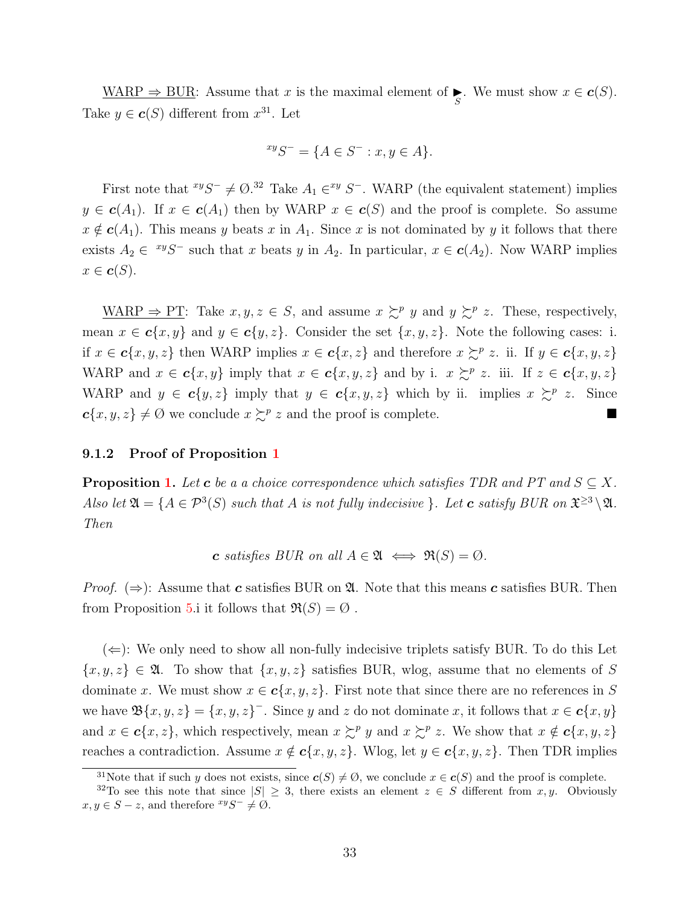WARP  $\Rightarrow$  BUR: Assume that x is the maximal element of  $\sum_{S}$ . We must show  $x \in c(S)$ . Take  $y \in \mathbf{c}(S)$  different from  $x^{31}$ . Let

$$
^{xy}S^{-} = \{ A \in S^{-} : x, y \in A \}.
$$

First note that  $^{xy}S^{-} \neq \emptyset$ .<sup>32</sup> Take  $A_1 \in^{xy} S^{-}$ . WARP (the equivalent statement) implies  $y \in c(A_1)$ . If  $x \in c(A_1)$  then by WARP  $x \in c(S)$  and the proof is complete. So assume  $x \notin \mathbf{c}(A_1)$ . This means y beats x in  $A_1$ . Since x is not dominated by y it follows that there exists  $A_2 \in {}^{xy}S^-$  such that x beats y in  $A_2$ . In particular,  $x \in c(A_2)$ . Now WARP implies  $x \in \mathbf{c}(S)$ .

WARP  $\Rightarrow$  PT: Take  $x, y, z \in S$ , and assume  $x \succsim^{p} y$  and  $y \succsim^{p} z$ . These, respectively, mean  $x \in \mathbf{c}\{x, y\}$  and  $y \in \mathbf{c}\{y, z\}$ . Consider the set  $\{x, y, z\}$ . Note the following cases: i. if  $x \in \mathbf{c}\{x, y, z\}$  then WARP implies  $x \in \mathbf{c}\{x, z\}$  and therefore  $x \succsim^{p} z$ . ii. If  $y \in \mathbf{c}\{x, y, z\}$ WARP and  $x \in \mathbf{c}\{x, y\}$  imply that  $x \in \mathbf{c}\{x, y, z\}$  and by i.  $x \succsim^p z$ . iii. If  $z \in \mathbf{c}\{x, y, z\}$ WARP and  $y \in c\{y, z\}$  imply that  $y \in c\{x, y, z\}$  which by ii. implies  $x \succeq^p z$ . Since  $c\{x, y, z\} \neq \emptyset$  we conclude  $x \succcurlyeq^p z$  and the proof is complete.

## <span id="page-32-0"></span>9.[1](#page-13-0).2 Proof of Proposition 1

**Proposition [1.](#page-13-0)** Let **c** be a a choice correspondence which satisfies TDR and PT and  $S \subseteq X$ . Also let  $\mathfrak{A} = \{A \in \mathcal{P}^3(S) \text{ such that } A \text{ is not fully indecisive } \}.$  Let **c** satisfy BUR on  $\mathfrak{X}^{\geq 3} \setminus \mathfrak{A}$ . Then

c satisfies BUR on all  $A \in \mathfrak{A} \iff \mathfrak{R}(S) = \emptyset$ .

*Proof.* ( $\Rightarrow$ ): Assume that **c** satisfies BUR on **2.** Note that this means **c** satisfies BUR. Then from Proposition [5.](#page-28-1)i it follows that  $\Re(S) = \emptyset$ .

 $(\Leftarrow)$ : We only need to show all non-fully indecisive triplets satisfy BUR. To do this Let  $\{x, y, z\} \in \mathfrak{A}$ . To show that  $\{x, y, z\}$  satisfies BUR, wlog, assume that no elements of S dominate x. We must show  $x \in \mathbf{c}\{x, y, z\}$ . First note that since there are no references in S we have  $\mathfrak{B}\{x,y,z\} = \{x,y,z\}^-$ . Since y and z do not dominate x, it follows that  $x \in \mathbf{c}\{x,y\}$ and  $x \in \mathbf{c}\{x, z\}$ , which respectively, mean  $x \succsim^p y$  and  $x \succsim^p z$ . We show that  $x \notin \mathbf{c}\{x, y, z\}$ reaches a contradiction. Assume  $x \notin c\{x, y, z\}$ . Wlog, let  $y \in c\{x, y, z\}$ . Then TDR implies

<sup>&</sup>lt;sup>31</sup>Note that if such y does not exists, since  $c(S) \neq \emptyset$ , we conclude  $x \in c(S)$  and the proof is complete.

<sup>&</sup>lt;sup>32</sup>To see this note that since  $|S| \geq 3$ , there exists an element  $z \in S$  different from x, y. Obviously  $x, y \in S - z$ , and therefore  $xyS^{-} \neq \emptyset$ .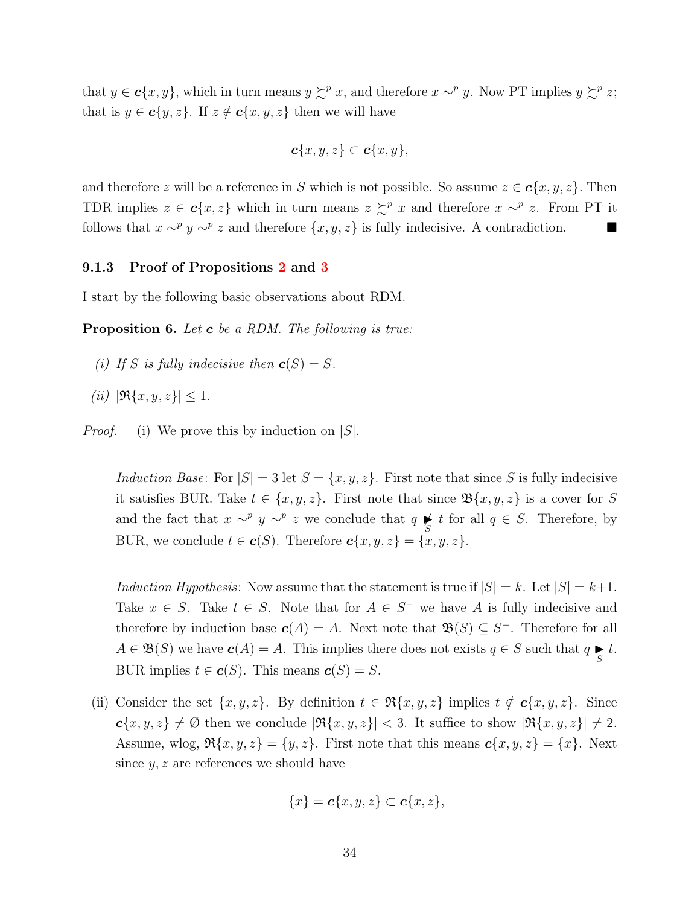that  $y \in \mathbf{c}\{x, y\}$ , which in turn means  $y \succcurlyeq^p x$ , and therefore  $x \sim^p y$ . Now PT implies  $y \succcurlyeq^p z$ ; that is  $y \in c\{y, z\}$ . If  $z \notin c\{x, y, z\}$  then we will have

$$
\boldsymbol{c}\{x,y,z\}\subset \boldsymbol{c}\{x,y\},\
$$

and therefore z will be a reference in S which is not possible. So assume  $z \in \mathbf{c}\{x, y, z\}$ . Then TDR implies  $z \in \mathbf{c} \{x, z\}$  which in turn means  $z \succcurlyeq^p x$  and therefore  $x \sim^p z$ . From PT it follows that  $x \sim^p y \sim^p z$  and therefore  $\{x, y, z\}$  is fully indecisive. A contradiction.  $\blacksquare$ 

#### <span id="page-33-0"></span>9.1.3 Proof of Propositions [2](#page-14-1) and [3](#page-14-0)

I start by the following basic observations about RDM.

<span id="page-33-1"></span>**Proposition 6.** Let  $\boldsymbol{c}$  be a RDM. The following is true:

- (i) If S is fully indecisive then  $\mathbf{c}(S) = S$ .
- (*ii*)  $|\Re\{x, y, z\}| \leq 1$ .
- *Proof.* (i) We prove this by induction on  $|S|$ .

Induction Base: For  $|S| = 3$  let  $S = \{x, y, z\}$ . First note that since S is fully indecisive it satisfies BUR. Take  $t \in \{x, y, z\}$ . First note that since  $\mathfrak{B}\{x, y, z\}$  is a cover for S and the fact that  $x \sim^p y \sim^p z$  we conclude that  $q \underset{S}{\blacktriangleright} t$  for all  $q \in S$ . Therefore, by BUR, we conclude  $t \in \mathbf{c}(S)$ . Therefore  $\mathbf{c}\{x, y, z\} = \{x, y, z\}$ .

Induction Hypothesis: Now assume that the statement is true if  $|S| = k$ . Let  $|S| = k+1$ . Take  $x \in S$ . Take  $t \in S$ . Note that for  $A \in S^-$  we have A is fully indecisive and therefore by induction base  $c(A) = A$ . Next note that  $\mathfrak{B}(S) \subseteq S^-$ . Therefore for all  $A \in \mathfrak{B}(S)$  we have  $c(A) = A$ . This implies there does not exists  $q \in S$  such that  $q \underset{S}{\blacktriangleright} t$ . BUR implies  $t \in \mathbf{c}(S)$ . This means  $\mathbf{c}(S) = S$ .

(ii) Consider the set  $\{x, y, z\}$ . By definition  $t \in \Re\{x, y, z\}$  implies  $t \notin c\{x, y, z\}$ . Since  $c\{x, y, z\} \neq \emptyset$  then we conclude  $|\Re\{x, y, z\}| < 3$ . It suffice to show  $|\Re\{x, y, z\}| \neq 2$ . Assume, wlog,  $\Re\{x, y, z\} = \{y, z\}$ . First note that this means  $\mathbf{c}\{x, y, z\} = \{x\}$ . Next since  $y, z$  are references we should have

$$
\{x\} = \mathbf{c}\{x, y, z\} \subset \mathbf{c}\{x, z\},\
$$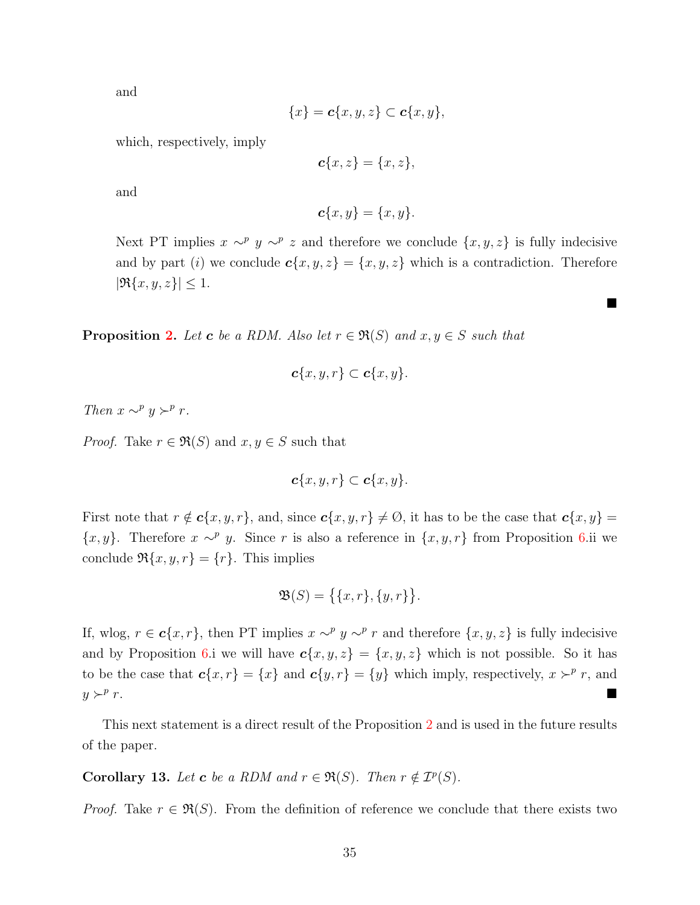and

$$
\{x\} = \mathbf{c}\{x, y, z\} \subset \mathbf{c}\{x, y\},\
$$

which, respectively, imply

$$
\mathbf{c}\{x,z\} = \{x,z\},\
$$

and

$$
\mathbf{c}\{x,y\} = \{x,y\}.
$$

Next PT implies  $x \sim^p y \sim^p z$  and therefore we conclude  $\{x, y, z\}$  is fully indecisive and by part (i) we conclude  $c\{x, y, z\} = \{x, y, z\}$  which is a contradiction. Therefore  $|\Re\{x,y,z\}| \leq 1.$ 

 $\blacksquare$ 

**Proposition [2.](#page-14-1)** Let **c** be a RDM. Also let  $r \in \mathfrak{R}(S)$  and  $x, y \in S$  such that

$$
\boldsymbol{c}\{x,y,r\}\subset \boldsymbol{c}\{x,y\}.
$$

Then  $x \sim^p y \succ^p r$ .

*Proof.* Take  $r \in \mathfrak{R}(S)$  and  $x, y \in S$  such that

$$
\boldsymbol{c}\{x,y,r\}\subset \boldsymbol{c}\{x,y\}.
$$

First note that  $r \notin \mathbf{c}\{x, y, r\}$ , and, since  $\mathbf{c}\{x, y, r\} \neq \emptyset$ , it has to be the case that  $\mathbf{c}\{x, y\} =$  $\{x, y\}$ . Therefore  $x \sim^p y$ . Since r is also a reference in  $\{x, y, r\}$  from Proposition [6.](#page-33-1)ii we conclude  $\Re\{x, y, r\} = \{r\}$ . This implies

$$
\mathfrak{B}(S) = \big\{ \{x, r\}, \{y, r\} \big\}.
$$

If, wlog,  $r \in \mathbf{c}\{x,r\}$ , then PT implies  $x \sim^p y \sim^p r$  and therefore  $\{x,y,z\}$  is fully indecisive and by Proposition [6.](#page-33-1)i we will have  $c\{x, y, z\} = \{x, y, z\}$  which is not possible. So it has to be the case that  $c\{x, r\} = \{x\}$  and  $c\{y, r\} = \{y\}$  which imply, respectively,  $x \succ^p r$ , and  $y \succ^p r$ . r.

This next statement is a direct result of the Proposition [2](#page-14-1) and is used in the future results of the paper.

<span id="page-34-0"></span>**Corollary 13.** Let **c** be a RDM and  $r \in \mathfrak{R}(S)$ . Then  $r \notin \mathcal{I}^p(S)$ .

*Proof.* Take  $r \in \mathfrak{R}(S)$ . From the definition of reference we conclude that there exists two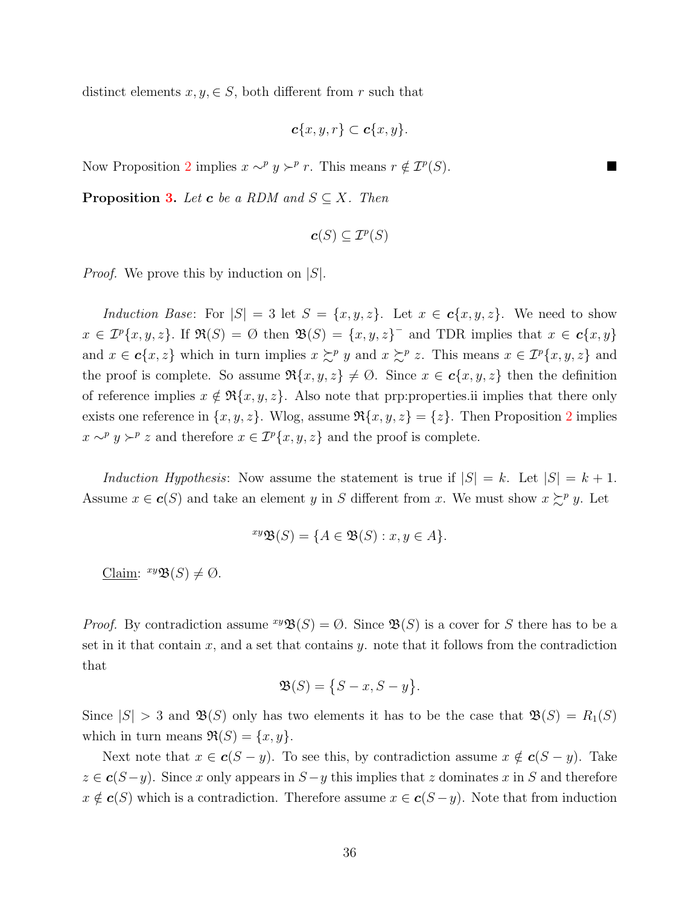distinct elements  $x, y \in S$ , both different from r such that

$$
\boldsymbol{c}\{x,y,r\}\subset \boldsymbol{c}\{x,y\}.
$$

Now Proposition [2](#page-14-1) implies  $x \sim^p y \succ^p r$ . This means  $r \notin \mathcal{I}^p(S)$ . ■

**Proposition [3.](#page-14-0)** Let **c** be a RDM and  $S \subseteq X$ . Then

$$
\boldsymbol{c}(S)\subseteq \mathcal{I}^p(S)
$$

*Proof.* We prove this by induction on  $|S|$ .

Induction Base: For  $|S| = 3$  let  $S = \{x, y, z\}$ . Let  $x \in c\{x, y, z\}$ . We need to show  $x \in \mathcal{I}^p\{x,y,z\}$ . If  $\Re(S) = \emptyset$  then  $\mathfrak{B}(S) = \{x,y,z\}^-$  and TDR implies that  $x \in \mathbf{c}\{x,y\}$ and  $x \in \mathbf{c}\{x, z\}$  which in turn implies  $x \succsim^p y$  and  $x \succsim^p z$ . This means  $x \in \mathcal{I}^p\{x, y, z\}$  and the proof is complete. So assume  $\Re\{x, y, z\} \neq \emptyset$ . Since  $x \in c\{x, y, z\}$  then the definition of reference implies  $x \notin \mathfrak{R}\{x, y, z\}$ . Also note that prp:properties.ii implies that there only exists one reference in  $\{x, y, z\}$ . Wlog, assume  $\Re\{x, y, z\} = \{z\}$ . Then Proposition [2](#page-14-1) implies  $x \sim^p y \succ^p z$  and therefore  $x \in \mathcal{I}^p\{x, y, z\}$  and the proof is complete.

Induction Hypothesis: Now assume the statement is true if  $|S| = k$ . Let  $|S| = k + 1$ . Assume  $x \in \mathbf{c}(S)$  and take an element y in S different from x. We must show  $x \succsim^p y$ . Let

$$
^{xy}\mathfrak{B}(S) = \{ A \in \mathfrak{B}(S) : x, y \in A \}.
$$

Claim:  $^{xy}\mathfrak{B}(S) \neq \emptyset$ .

*Proof.* By contradiction assume  $^{xy}\mathfrak{B}(S) = \emptyset$ . Since  $\mathfrak{B}(S)$  is a cover for S there has to be a set in it that contain  $x$ , and a set that contains  $y$ , note that it follows from the contradiction that

$$
\mathfrak{B}(S) = \{S - x, S - y\}.
$$

Since  $|S| > 3$  and  $\mathfrak{B}(S)$  only has two elements it has to be the case that  $\mathfrak{B}(S) = R_1(S)$ which in turn means  $\Re(S) = \{x, y\}.$ 

Next note that  $x \in c(S - y)$ . To see this, by contradiction assume  $x \notin c(S - y)$ . Take  $z \in \mathbf{c}(S-y)$ . Since x only appears in  $S-y$  this implies that z dominates x in S and therefore  $x \notin c(S)$  which is a contradiction. Therefore assume  $x \in c(S-y)$ . Note that from induction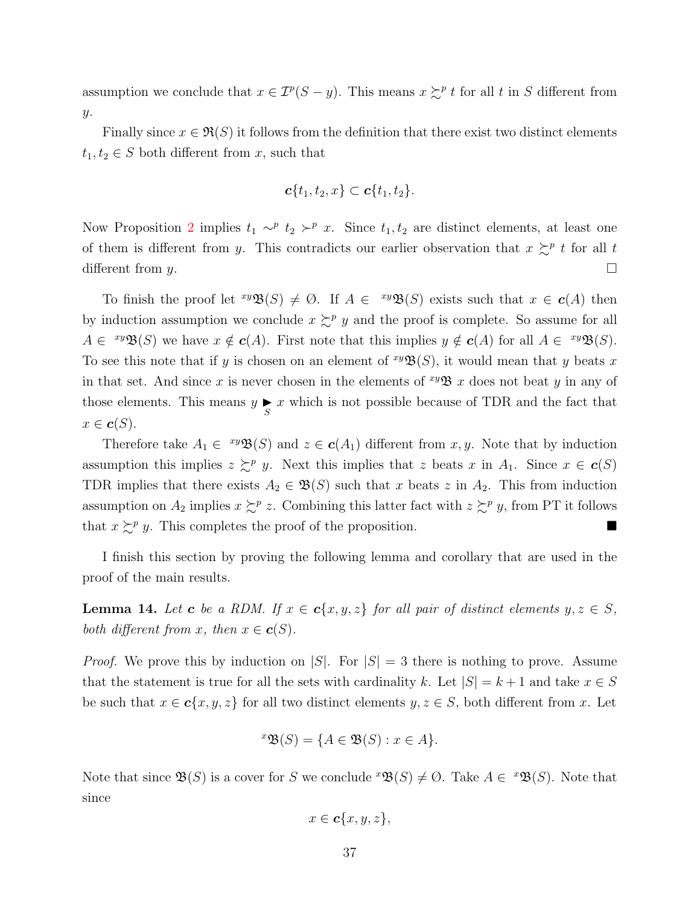assumption we conclude that  $x \in \mathcal{I}^p(S - y)$ . This means  $x \succsim^p t$  for all t in S different from y.

Finally since  $x \in \mathfrak{R}(S)$  it follows from the definition that there exist two distinct elements  $t_1, t_2 \in S$  both different from x, such that

$$
\boldsymbol{c}\{t_1,t_2,x\}\subset \boldsymbol{c}\{t_1,t_2\}.
$$

Now Proposition [2](#page-14-1) implies  $t_1 \sim^p t_2 \succ^p x$ . Since  $t_1, t_2$  are distinct elements, at least one of them is different from y. This contradicts our earlier observation that  $x \succeq^p t$  for all t different from y.  $\Box$ 

To finish the proof let  $^{xy}\mathfrak{B}(S) \neq \emptyset$ . If  $A \in {^{xy}\mathfrak{B}(S)}$  exists such that  $x \in c(A)$  then by induction assumption we conclude  $x \succsim^{p} y$  and the proof is complete. So assume for all  $A \in {}^{xy}\mathfrak{B}(S)$  we have  $x \notin c(A)$ . First note that this implies  $y \notin c(A)$  for all  $A \in {}^{xy}\mathfrak{B}(S)$ . To see this note that if y is chosen on an element of  $\mathcal{W}(S)$ , it would mean that y beats x in that set. And since x is never chosen in the elements of  $\mathscr{W} \mathscr{B}$  x does not beat y in any of those elements. This means  $y \underset{S}{\blacktriangleright} x$  which is not possible because of TDR and the fact that  $x \in \mathbf{c}(S)$ .

Therefore take  $A_1 \in {}^{xy}\mathfrak{B}(S)$  and  $z \in c(A_1)$  different from  $x, y$ . Note that by induction assumption this implies  $z \succeq^p y$ . Next this implies that z beats x in  $A_1$ . Since  $x \in c(S)$ TDR implies that there exists  $A_2 \in \mathfrak{B}(S)$  such that x beats z in  $A_2$ . This from induction assumption on  $A_2$  implies  $x \succsim^p z$ . Combining this latter fact with  $z \succsim^p y$ , from PT it follows that  $x \succeq^p y$ . This completes the proof of the proposition.

I finish this section by proving the following lemma and corollary that are used in the proof of the main results.

<span id="page-36-0"></span>**Lemma 14.** Let **c** be a RDM. If  $x \in c\{x, y, z\}$  for all pair of distinct elements  $y, z \in S$ , both different from x, then  $x \in \mathbf{c}(S)$ .

*Proof.* We prove this by induction on  $|S|$ . For  $|S| = 3$  there is nothing to prove. Assume that the statement is true for all the sets with cardinality k. Let  $|S| = k + 1$  and take  $x \in S$ be such that  $x \in \mathbf{c}\{x, y, z\}$  for all two distinct elements  $y, z \in S$ , both different from x. Let

$$
{}^{x}\mathfrak{B}(S) = \{ A \in \mathfrak{B}(S) : x \in A \}.
$$

Note that since  $\mathfrak{B}(S)$  is a cover for S we conclude  $^x\mathfrak{B}(S) \neq \emptyset$ . Take  $A \in {}^x\mathfrak{B}(S)$ . Note that since

$$
x \in \mathbf{c}\{x, y, z\},\
$$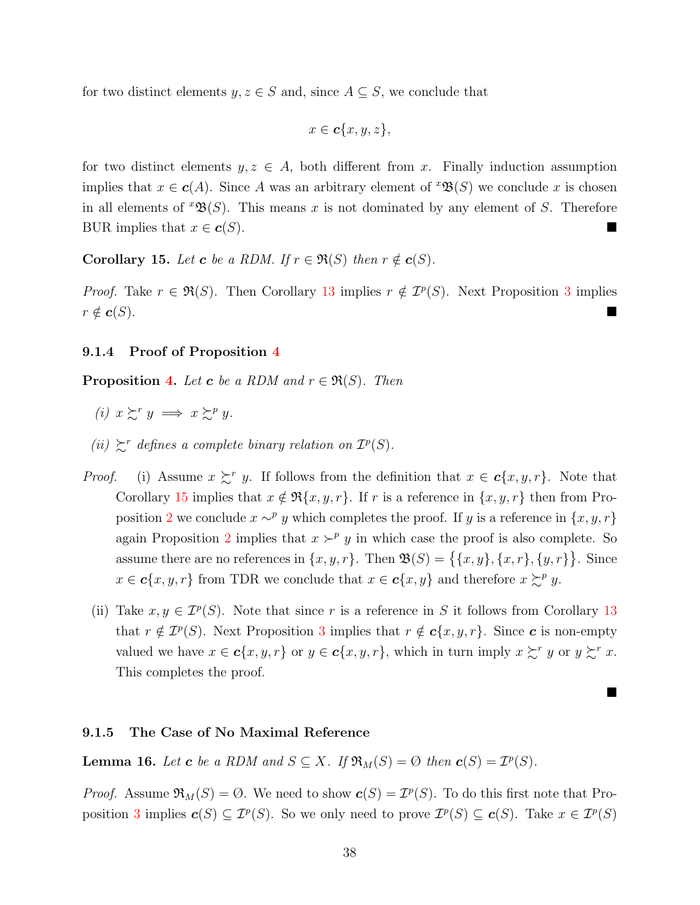for two distinct elements  $y, z \in S$  and, since  $A \subseteq S$ , we conclude that

$$
x \in \mathbf{c}\{x, y, z\},\
$$

for two distinct elements  $y, z \in A$ , both different from x. Finally induction assumption implies that  $x \in \mathbf{c}(A)$ . Since A was an arbitrary element of  $\mathfrak{B}(S)$  we conclude x is chosen in all elements of  $^x\mathfrak{B}(S)$ . This means x is not dominated by any element of S. Therefore BUR implies that  $x \in \mathbf{c}(S)$ .

<span id="page-37-0"></span>Corollary 15. Let c be a RDM. If  $r \in \mathfrak{R}(S)$  then  $r \notin \mathbf{c}(S)$ .

*Proof.* Take  $r \in \mathfrak{R}(S)$ . Then Corollary [13](#page-34-0) implies  $r \notin \mathcal{I}^p(S)$ . Next Proposition [3](#page-14-0) implies  $r \notin \mathbf{c}(S)$ .

### <span id="page-37-1"></span>9.1.4 Proof of Proposition [4](#page-15-1)

**Proposition [4.](#page-15-1)** Let **c** be a RDM and  $r \in \mathfrak{R}(S)$ . Then

- (i)  $x \succsim^r y \implies x \succsim^p y$ .
- (ii)  $\mathcal{L}^r$  defines a complete binary relation on  $\mathcal{I}^p(S)$ .
- *Proof.* (i) Assume  $x \succeq^r y$ . If follows from the definition that  $x \in c\{x, y, r\}$ . Note that Corollary [15](#page-37-0) implies that  $x \notin \Re\{x, y, r\}$ . If r is a reference in  $\{x, y, r\}$  then from Pro-position [2](#page-14-1) we conclude  $x \sim^p y$  which completes the proof. If y is a reference in  $\{x, y, r\}$ again Proposition [2](#page-14-1) implies that  $x \succ^p y$  in which case the proof is also complete. So assume there are no references in  $\{x, y, r\}$ . Then  $\mathfrak{B}(S) = \{\{x, y\}, \{x, r\}, \{y, r\}\}\.$  Since  $x \in \mathbf{c}\{x, y, r\}$  from TDR we conclude that  $x \in \mathbf{c}\{x, y\}$  and therefore  $x \succcurlyeq^p y$ .
	- (ii) Take  $x, y \in \mathcal{I}^p(S)$ . Note that since r is a reference in S it follows from Corollary [13](#page-34-0) that  $r \notin \mathcal{I}^p(S)$ . Next Proposition [3](#page-14-0) implies that  $r \notin \mathbf{c}\{x, y, r\}$ . Since  $\mathbf{c}$  is non-empty valued we have  $x \in \mathbf{c}\{x, y, r\}$  or  $y \in \mathbf{c}\{x, y, r\}$ , which in turn imply  $x \succsim^{r} y$  or  $y \succsim^{r} x$ . This completes the proof.

П

#### 9.1.5 The Case of No Maximal Reference

<span id="page-37-2"></span>**Lemma 16.** Let **c** be a RDM and  $S \subseteq X$ . If  $\Re_M(S) = \emptyset$  then  $c(S) = \mathcal{I}^p(S)$ .

*Proof.* Assume  $\Re_M(S) = \emptyset$ . We need to show  $c(S) = \mathcal{I}^p(S)$ . To do this first note that Pro-position [3](#page-14-0) implies  $c(S) \subseteq \mathcal{I}^p(S)$ . So we only need to prove  $\mathcal{I}^p(S) \subseteq c(S)$ . Take  $x \in \mathcal{I}^p(S)$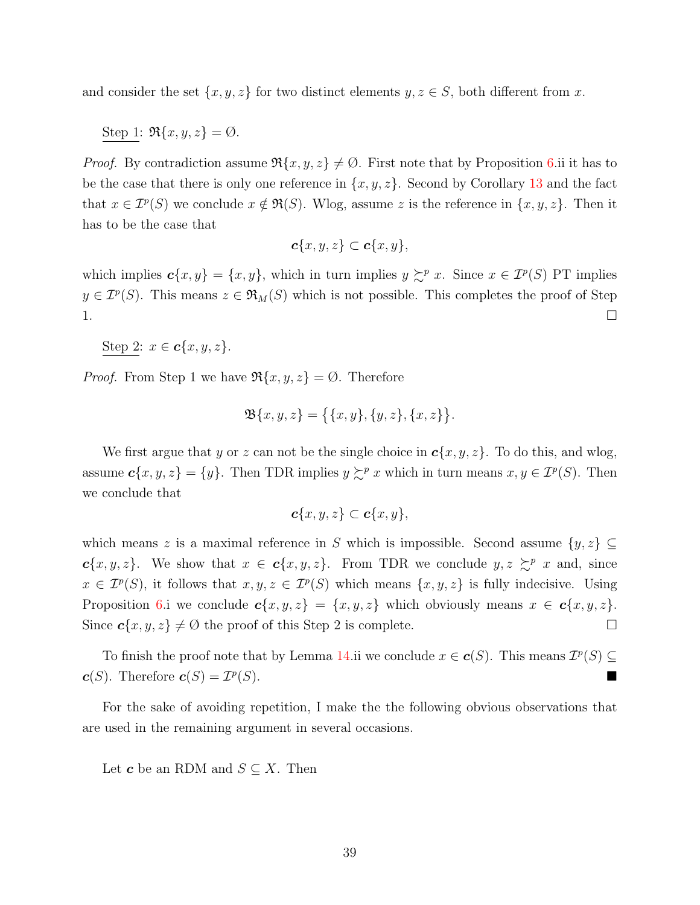and consider the set  $\{x, y, z\}$  for two distinct elements  $y, z \in S$ , both different from x.

Step 1:  $\Re\{x, y, z\} = \emptyset$ .

*Proof.* By contradiction assume  $\Re\{x, y, z\} \neq \emptyset$ . First note that by Proposition [6.](#page-33-1)ii it has to be the case that there is only one reference in  $\{x, y, z\}$ . Second by Corollary [13](#page-34-0) and the fact that  $x \in \mathcal{I}^p(S)$  we conclude  $x \notin \mathfrak{R}(S)$ . Wlog, assume z is the reference in  $\{x, y, z\}$ . Then it has to be the case that

$$
\boldsymbol{c}\{x,y,z\}\subset \boldsymbol{c}\{x,y\},\
$$

which implies  $c\{x, y\} = \{x, y\}$ , which in turn implies  $y \succsim^p x$ . Since  $x \in \mathcal{I}^p(S)$  PT implies  $y \in \mathcal{I}^p(S)$ . This means  $z \in \mathfrak{R}_M(S)$  which is not possible. This completes the proof of Step  $1.$ 

Step 2:  $x \in \mathbf{c}\{x, y, z\}$ .

*Proof.* From Step 1 we have  $\Re\{x, y, z\} = \emptyset$ . Therefore

$$
\mathfrak{B}\{x,y,z\} = \big\{\{x,y\},\{y,z\},\{x,z\}\big\}.
$$

We first argue that y or z can not be the single choice in  $c\{x, y, z\}$ . To do this, and wlog, assume  $c\{x, y, z\} = \{y\}$ . Then TDR implies  $y \succsim^p x$  which in turn means  $x, y \in \mathcal{I}^p(S)$ . Then we conclude that

$$
\boldsymbol{c}\{x,y,z\}\subset \boldsymbol{c}\{x,y\},
$$

which means z is a maximal reference in S which is impossible. Second assume  $\{y, z\} \subseteq$  $c\{x, y, z\}.$  We show that  $x \in c\{x, y, z\}.$  From TDR we conclude  $y, z \succeq^p x$  and, since  $x \in \mathcal{I}^p(S)$ , it follows that  $x, y, z \in \mathcal{I}^p(S)$  which means  $\{x, y, z\}$  is fully indecisive. Using Proposition [6.](#page-33-1)i we conclude  $c\{x, y, z\} = \{x, y, z\}$  which obviously means  $x \in c\{x, y, z\}$ . Since  $c\{x, y, z\} \neq \emptyset$  the proof of this Step 2 is complete.

To finish the proof note that by Lemma [14.](#page-36-0)ii we conclude  $x \in \mathbf{c}(S)$ . This means  $\mathcal{I}^p(S) \subseteq$  $\boldsymbol{c}(S)$ . Therefore  $\boldsymbol{c}(S) = \mathcal{I}^p$  $(S)$ .

For the sake of avoiding repetition, I make the the following obvious observations that are used in the remaining argument in several occasions.

Let **c** be an RDM and  $S \subseteq X$ . Then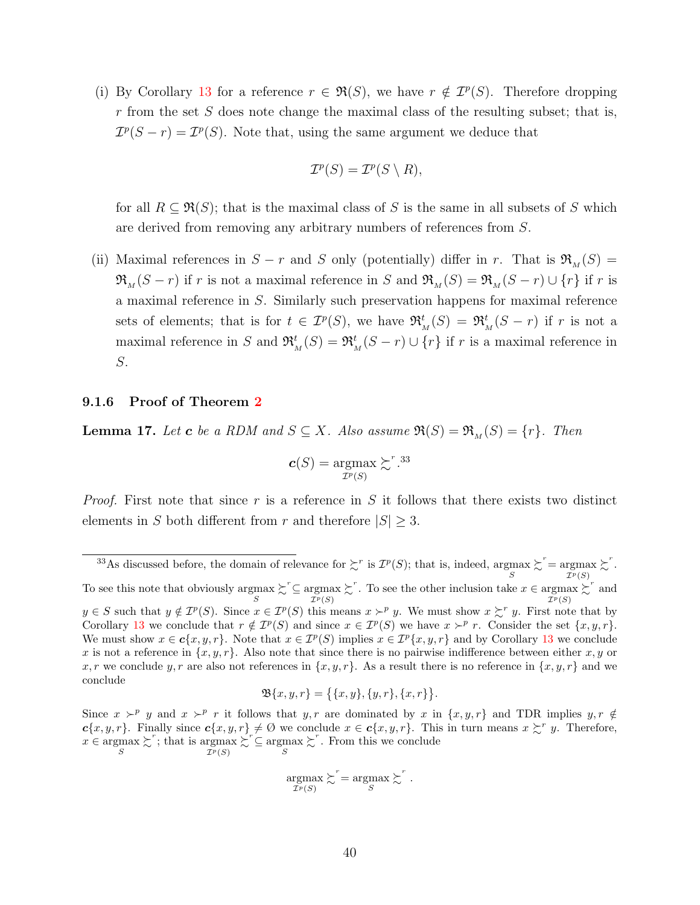(i) By Corollary [13](#page-34-0) for a reference  $r \in \mathfrak{R}(S)$ , we have  $r \notin \mathcal{I}^p(S)$ . Therefore dropping  $r$  from the set  $S$  does note change the maximal class of the resulting subset; that is,  $\mathcal{I}^p(S-r) = \mathcal{I}^p(S)$ . Note that, using the same argument we deduce that

$$
\mathcal{I}^p(S) = \mathcal{I}^p(S \setminus R),
$$

for all  $R \subseteq \mathfrak{R}(S)$ ; that is the maximal class of S is the same in all subsets of S which are derived from removing any arbitrary numbers of references from S.

(ii) Maximal references in  $S - r$  and S only (potentially) differ in r. That is  $\mathfrak{R}_{M}(S) =$  $\mathfrak{R}_{M}(S-r)$  if r is not a maximal reference in S and  $\mathfrak{R}_{M}(S) = \mathfrak{R}_{M}(S-r) \cup \{r\}$  if r is a maximal reference in S. Similarly such preservation happens for maximal reference sets of elements; that is for  $t \in \mathcal{I}^p(S)$ , we have  $\mathfrak{R}^t_M(S) = \mathfrak{R}^t_M(S - r)$  if r is not a maximal reference in S and  $\mathfrak{R}^t_M(S) = \mathfrak{R}^t_M(S - r) \cup \{r\}$  if r is a maximal reference in S.

### <span id="page-39-1"></span>9.1.6 Proof of Theorem [2](#page-19-0)

<span id="page-39-0"></span>**Lemma 17.** Let **c** be a RDM and  $S \subseteq X$ . Also assume  $\Re(S) = \Re_M(S) = \{r\}$ . Then

$$
\boldsymbol{c}(S) = \operatorname*{argmax}_{\mathcal{I}^p(S)} \succsim^{r.33}
$$

*Proof.* First note that since r is a reference in S it follows that there exists two distinct elements in S both different from r and therefore  $|S| \geq 3$ .

$$
\mathfrak{B}\{x,y,r\} = \{\{x,y\},\{y,r\},\{x,r\}\}.
$$

$$
\underset{\mathcal{I}^p(S)}{\text{argmax}} \succsim^r = \underset{S}{\text{argmax}} \succsim^r.
$$

<sup>&</sup>lt;sup>33</sup>As discussed before, the domain of relevance for  $\sum^r$  is  $\mathcal{I}^p(S)$ ; that is, indeed,  $\underset{S}{\text{argmax}}$  $\sum^r = \text{argmax}$  $\mathcal{I}^p(S)$  $\succsim^r$ . To see this note that obviously  $\operatornamewithlimits{argmax}_{S}$  $\mathcal{L}^r \subseteq \underset{\mathcal{I}^p(S)}{\operatorname{argmax}}$  $\sum^r$ . To see the other inclusion take  $x \in \operatorname*{argmax}_{\mathcal{I}^p(S)}$  $\sum^r$  and  $y \in S$  such that  $y \notin \mathcal{I}^p(S)$ . Since  $x \in \mathcal{I}^p(S)$  this means  $x \succ^p y$ . We must show  $x \succ^r y$ . First note that by Corollary [13](#page-34-0) we conclude that  $r \notin \mathcal{I}^p(S)$  and since  $x \in \mathcal{I}^p(S)$  we have  $x \succ^p r$ . Consider the set  $\{x, y, r\}$ . We must show  $x \in \mathbf{c}\{x, y, r\}$ . Note that  $x \in \mathcal{I}^p(S)$  implies  $x \in \mathcal{I}^p\{x, y, r\}$  and by Corollary [13](#page-34-0) we conclude x is not a reference in  $\{x, y, r\}$ . Also note that since there is no pairwise indifference between either x, y or x, r we conclude y, r are also not references in  $\{x, y, r\}$ . As a result there is no reference in  $\{x, y, r\}$  and we conclude

Since  $x \succ^p y$  and  $x \succ^p r$  it follows that  $y, r$  are dominated by  $x$  in  $\{x, y, r\}$  and TDR implies  $y, r \notin$  $c\{x, y, r\}$ . Finally since  $c\{x, y, r\} \neq \emptyset$  we conclude  $x \in c\{x, y, r\}$ . This in turn means  $x \succsim^{r} y$ . Therefore,  $x \in \operatornamewithlimits{argmax}_S$  $\sum^r$ ; that is argmax  $\mathcal{I}^p(S)$  $\sum_{S}^{r} \subseteq \operatorname*{argmax}_{S}$  $\sum$ <sup>r</sup>. From this we conclude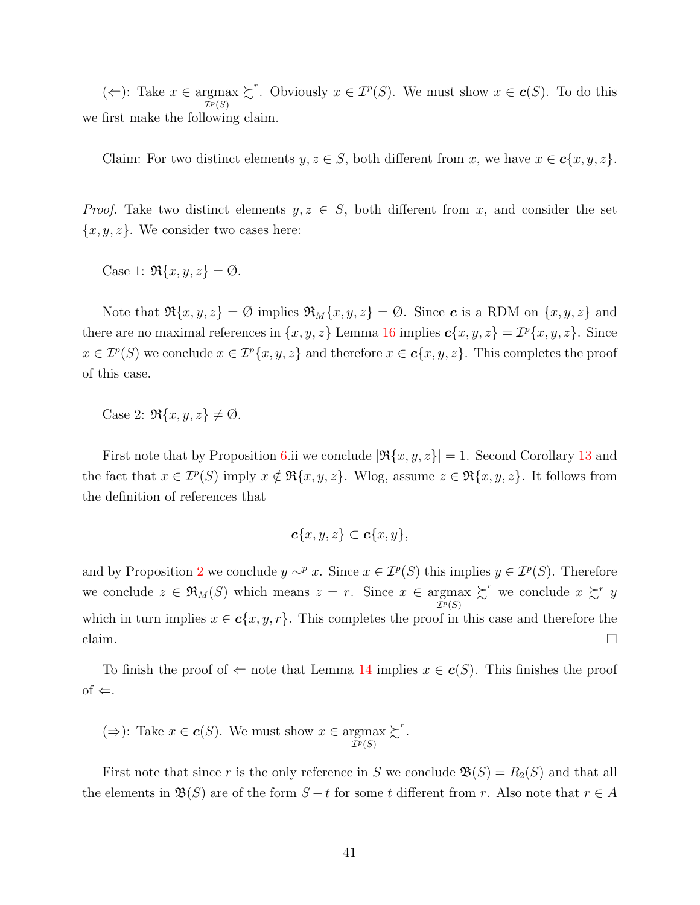(←): Take  $x \in \underset{\mathcal{I}^p(S)}{\operatorname{argmax}}$  $\succsim^r$ . Obviously  $x \in \mathcal{I}^p(S)$ . We must show  $x \in \mathbf{c}(S)$ . To do this we first make the following claim.

Claim: For two distinct elements  $y, z \in S$ , both different from x, we have  $x \in c\{x, y, z\}$ .

*Proof.* Take two distinct elements  $y, z \in S$ , both different from x, and consider the set  ${x, y, z}$ . We consider two cases here:

Case 1:  $\Re\{x, y, z\} = \emptyset$ .

Note that  $\Re\{x, y, z\} = \emptyset$  implies  $\Re_M\{x, y, z\} = \emptyset$ . Since c is a RDM on  $\{x, y, z\}$  and there are no maximal references in  $\{x, y, z\}$  Lemma [16](#page-37-2) implies  $c\{x, y, z\} = \mathcal{I}^p\{x, y, z\}$ . Since  $x \in \mathcal{I}^p(S)$  we conclude  $x \in \mathcal{I}^p\{x, y, z\}$  and therefore  $x \in \mathbf{c}\{x, y, z\}$ . This completes the proof of this case.

Case 2:  $\Re\{x, y, z\} \neq \emptyset$ .

First note that by Proposition [6.](#page-33-1)ii we conclude  $|\Re\{x, y, z\}| = 1$ . Second Corollary [13](#page-34-0) and the fact that  $x \in \mathcal{I}^p(S)$  imply  $x \notin \Re\{x, y, z\}$ . Wlog, assume  $z \in \Re\{x, y, z\}$ . It follows from the definition of references that

$$
\boldsymbol{c}\{x,y,z\}\subset \boldsymbol{c}\{x,y\},\
$$

and by Proposition [2](#page-14-1) we conclude  $y \sim^p x$ . Since  $x \in \mathcal{I}^p(S)$  this implies  $y \in \mathcal{I}^p(S)$ . Therefore we conclude  $z \in \mathfrak{R}_M(S)$  which means  $z = r$ . Since  $x \in \mathop{\rm argmax}_{\mathcal{I}^p(S)}$  $\sum^r$  we conclude  $x \sum^r y$ which in turn implies  $x \in \mathbf{c}\{x, y, r\}$ . This completes the proof in this case and therefore the claim.  $\Box$ 

To finish the proof of  $\Leftarrow$  note that Lemma [14](#page-36-0) implies  $x \in c(S)$ . This finishes the proof  $of \Leftarrow$ .

$$
(\Rightarrow)
$$
: Take  $x \in c(S)$ . We must show  $x \in \underset{\mathcal{I}^p(S)}{\operatorname{argmax}} \succsim^r$ .

First note that since r is the only reference in S we conclude  $\mathfrak{B}(S) = R_2(S)$  and that all the elements in  $\mathfrak{B}(S)$  are of the form  $S-t$  for some t different from r. Also note that  $r \in A$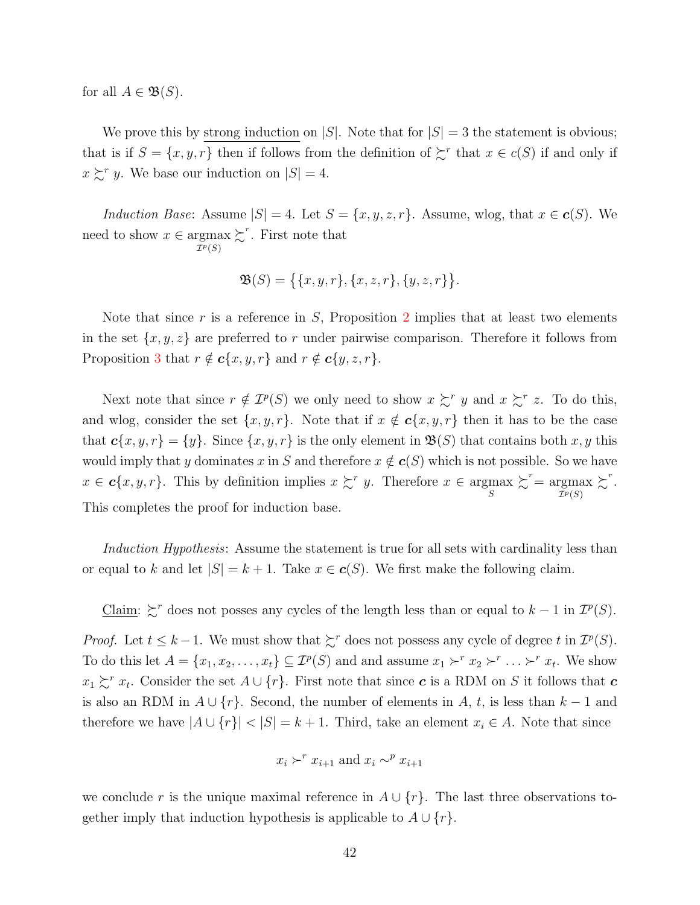for all  $A \in \mathfrak{B}(S)$ .

We prove this by strong induction on  $|S|$ . Note that for  $|S| = 3$  the statement is obvious; that is if  $S = \{x, y, r\}$  then if follows from the definition of  $\sum^r$  that  $x \in c(S)$  if and only if  $x \succsim^{r} y$ . We base our induction on  $|S| = 4$ .

Induction Base: Assume  $|S| = 4$ . Let  $S = \{x, y, z, r\}$ . Assume, wlog, that  $x \in c(S)$ . We need to show  $x \in \operatornamewithlimits{argmax}_{\mathcal{I}^p(S)}$  $\sum^r$ . First note that

$$
\mathfrak{B}(S) = \big\{ \{x, y, r\}, \{x, z, r\}, \{y, z, r\} \big\}.
$$

Note that since r is a reference in S, Proposition [2](#page-14-1) implies that at least two elements in the set  $\{x, y, z\}$  are preferred to r under pairwise comparison. Therefore it follows from Proposition [3](#page-14-0) that  $r \notin c\{x, y, r\}$  and  $r \notin c\{y, z, r\}.$ 

Next note that since  $r \notin \mathcal{I}^p(S)$  we only need to show  $x \succsim^r y$  and  $x \succsim^r z$ . To do this, and wlog, consider the set  $\{x, y, r\}$ . Note that if  $x \notin c\{x, y, r\}$  then it has to be the case that  $c\{x, y, r\} = \{y\}$ . Since  $\{x, y, r\}$  is the only element in  $\mathfrak{B}(S)$  that contains both x, y this would imply that y dominates x in S and therefore  $x \notin c(S)$  which is not possible. So we have  $x \in \mathbf{c}\{x, y, r\}$ . This by definition implies  $x \succsim^r y$ . Therefore  $x \in \mathop{\rm argmax}_{S}$  $\sum^r = \text{argmax}$  $\mathcal{I}^p(S)$  $\succsim^r$ . This completes the proof for induction base.

Induction Hypothesis: Assume the statement is true for all sets with cardinality less than or equal to k and let  $|S| = k + 1$ . Take  $x \in c(S)$ . We first make the following claim.

Claim:  $\zeta^r$  does not posses any cycles of the length less than or equal to  $k-1$  in  $\mathcal{I}^p(S)$ .

*Proof.* Let  $t \leq k - 1$ . We must show that  $\sum^r$  does not possess any cycle of degree t in  $\mathcal{I}^p(S)$ . To do this let  $A = \{x_1, x_2, \ldots, x_t\} \subseteq \mathcal{I}^p(S)$  and and assume  $x_1 \succ^r x_2 \succ^r \ldots \succ^r x_t$ . We show  $x_1 \succsim^r x_t$ . Consider the set  $A \cup \{r\}$ . First note that since c is a RDM on S it follows that c is also an RDM in  $A \cup \{r\}$ . Second, the number of elements in A, t, is less than  $k-1$  and therefore we have  $|A \cup \{r\}| < |S| = k + 1$ . Third, take an element  $x_i \in A$ . Note that since

$$
x_i \succ^r x_{i+1}
$$
 and  $x_i \sim^p x_{i+1}$ 

we conclude r is the unique maximal reference in  $A \cup \{r\}$ . The last three observations together imply that induction hypothesis is applicable to  $A \cup \{r\}$ .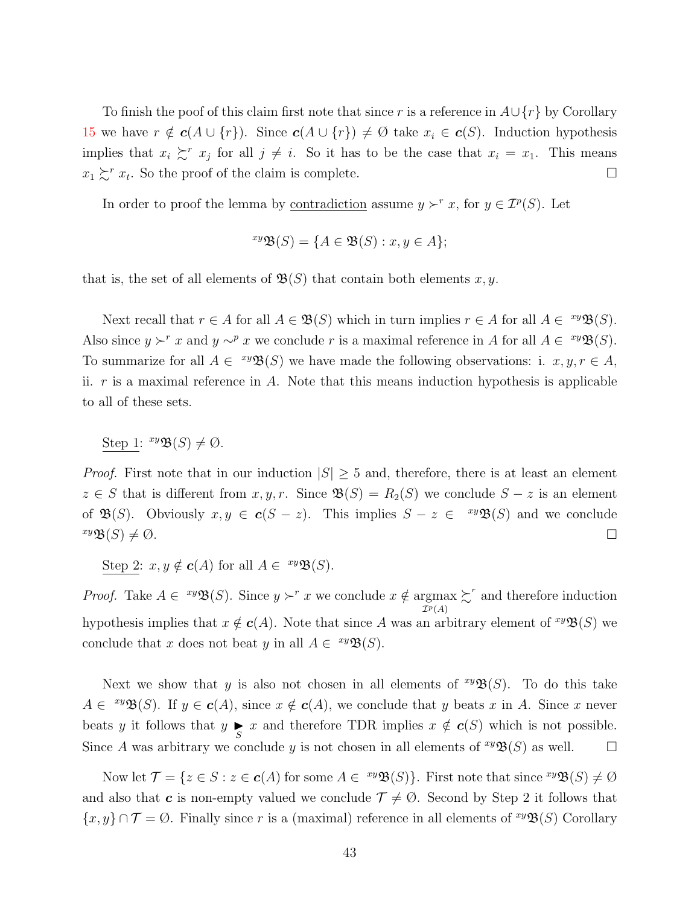To finish the poof of this claim first note that since r is a reference in  $A \cup \{r\}$  by Corollary [15](#page-37-0) we have  $r \notin c(A \cup \{r\})$ . Since  $c(A \cup \{r\}) \neq \emptyset$  take  $x_i \in c(S)$ . Induction hypothesis implies that  $x_i \succsim^r x_j$  for all  $j \neq i$ . So it has to be the case that  $x_i = x_1$ . This means  $x_1 \succsim^r x_t$ . So the proof of the claim is complete.

In order to proof the lemma by <u>contradiction</u> assume  $y \succ^r x$ , for  $y \in \mathcal{I}^p(S)$ . Let

$$
^{xy}\mathfrak{B}(S) = \{ A \in \mathfrak{B}(S) : x, y \in A \};
$$

that is, the set of all elements of  $\mathfrak{B}(S)$  that contain both elements x, y.

Next recall that  $r \in A$  for all  $A \in \mathfrak{B}(S)$  which in turn implies  $r \in A$  for all  $A \in {}^{xy}\mathfrak{B}(S)$ . Also since  $y \succ^r x$  and  $y \sim^p x$  we conclude r is a maximal reference in A for all  $A \in {}^{xy}\mathfrak{B}(S)$ . To summarize for all  $A \in {}^{xy}\mathfrak{B}(S)$  we have made the following observations: i.  $x, y, r \in A$ , ii.  $r$  is a maximal reference in  $A$ . Note that this means induction hypothesis is applicable to all of these sets.

Step 1:  $^{xy}\mathfrak{B}(S) \neq \emptyset$ .

*Proof.* First note that in our induction  $|S| > 5$  and, therefore, there is at least an element  $z \in S$  that is different from  $x, y, r$ . Since  $\mathfrak{B}(S) = R_2(S)$  we conclude  $S - z$  is an element of  $\mathfrak{B}(S)$ . Obviously  $x, y \in \mathbf{c}(S - z)$ . This implies  $S - z \in {xy\mathfrak{B}(S)}$  and we conclude  $x \mathfrak{B}(S) \neq \emptyset.$ 

Step 2:  $x, y \notin c(A)$  for all  $A \in {}^{xy} \mathfrak{B}(S)$ .

*Proof.* Take  $A \in {}^{xy}\mathfrak{B}(S)$ . Since  $y \succ^r x$  we conclude  $x \notin \operatorname{argmax}_{\mathcal{I} \subset \mathcal{I}} \sum^r$  and therefore induction  $\mathcal I^p(A)$ hypothesis implies that  $x \notin c(A)$ . Note that since A was an arbitrary element of  $\mathfrak{xyB}(S)$  we conclude that x does not beat y in all  $A \in {}^{xy}\mathfrak{B}(S)$ .

Next we show that y is also not chosen in all elements of  $\mathcal{W}(S)$ . To do this take  $A \in {}^{xy}\mathfrak{B}(S)$ . If  $y \in c(A)$ , since  $x \notin c(A)$ , we conclude that y beats x in A. Since x never beats y it follows that  $y \underset{S}{\blacktriangleright} x$  and therefore TDR implies  $x \notin c(S)$  which is not possible. Since A was arbitrary we conclude y is not chosen in all elements of  $\mathcal{B}(S)$  as well.  $\Box$ 

Now let  $\mathcal{T} = \{z \in S : z \in \mathbf{c}(A) \text{ for some } A \in \{xy\}\mathfrak{B}(S)\}\$ . First note that since  $\{xy\mathfrak{B}(S) \neq \emptyset\}$ and also that c is non-empty valued we conclude  $\mathcal{T} \neq \emptyset$ . Second by Step 2 it follows that  $\{x, y\} \cap \mathcal{T} = \emptyset$ . Finally since r is a (maximal) reference in all elements of  $\{xy\}\mathfrak{B}(S)$  Corollary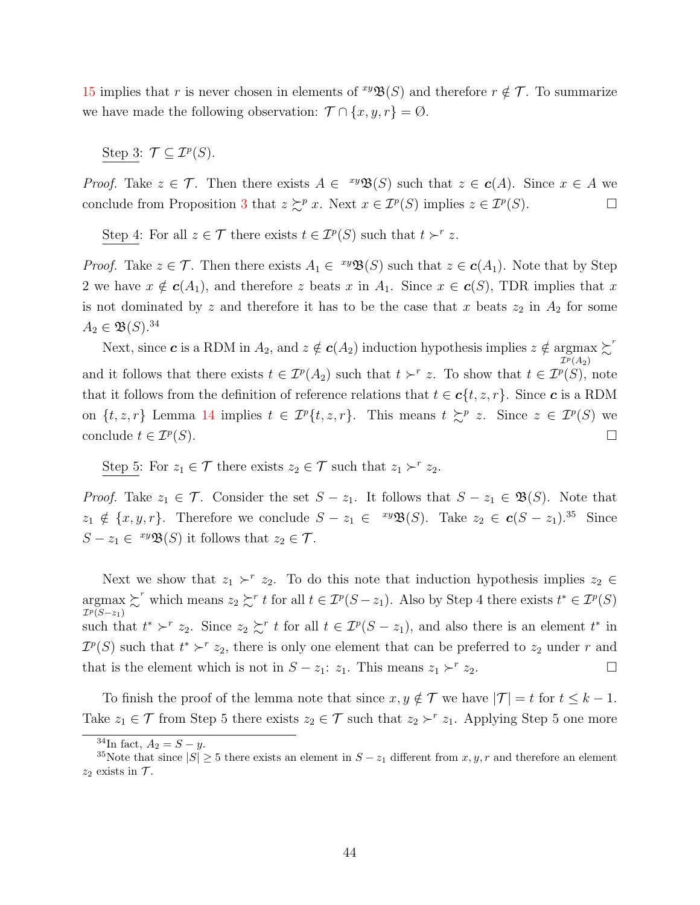[15](#page-37-0) implies that r is never chosen in elements of  $\mathcal{B}(S)$  and therefore  $r \notin \mathcal{T}$ . To summarize we have made the following observation:  $\mathcal{T} \cap \{x, y, r\} = \emptyset$ .

Step 3:  $\mathcal{T} \subseteq \mathcal{I}^p(S)$ .

*Proof.* Take  $z \in \mathcal{T}$ . Then there exists  $A \in {}^{xy}\mathfrak{B}(S)$  such that  $z \in \mathbf{c}(A)$ . Since  $x \in A$  we conclude from Proposition [3](#page-14-0) that  $z \succsim^p x$ . Next  $x \in \mathcal{I}^p(S)$  implies  $z \in \mathcal{I}^p(S)$ .

Step 4: For all  $z \in \mathcal{T}$  there exists  $t \in \mathcal{I}^p(S)$  such that  $t \succ^r z$ .

*Proof.* Take  $z \in \mathcal{T}$ . Then there exists  $A_1 \in {}^{xy}\mathfrak{B}(S)$  such that  $z \in \mathbf{c}(A_1)$ . Note that by Step 2 we have  $x \notin c(A_1)$ , and therefore z beats x in  $A_1$ . Since  $x \in c(S)$ , TDR implies that x is not dominated by z and therefore it has to be the case that x beats  $z_2$  in  $A_2$  for some  $A_2 \in \mathfrak{B}(S).^{34}$ 

Next, since **c** is a RDM in  $A_2$ , and  $z \notin c(A_2)$  induction hypothesis implies  $z \notin \mathop{\rm argmax}_{\mathcal{I}^p(A_2)}$  $\succ^r$ and it follows that there exists  $t \in \mathcal{I}^p(A_2)$  such that  $t \succ^r z$ . To show that  $t \in \mathcal{I}^p(S)$ , note that it follows from the definition of reference relations that  $t \in c\{t, z, r\}$ . Since c is a RDM on  $\{t, z, r\}$  Lemma [14](#page-36-0) implies  $t \in \mathcal{I}^p\{t, z, r\}$ . This means  $t \succsim^p z$ . Since  $z \in \mathcal{I}^p(S)$  we conclude  $t \in \mathcal{I}^p(S)$ .  $(S)$ .

Step 5: For  $z_1 \in \mathcal{T}$  there exists  $z_2 \in \mathcal{T}$  such that  $z_1 \succ^r z_2$ .

*Proof.* Take  $z_1 \in \mathcal{T}$ . Consider the set  $S - z_1$ . It follows that  $S - z_1 \in \mathfrak{B}(S)$ . Note that  $z_1 \notin \{x, y, r\}$ . Therefore we conclude  $S - z_1 \in {xy\mathfrak{B}(S)}$ . Take  $z_2 \in {\bf c}(S - z_1)^{35}$  Since  $S - z_1 \in {}^{xy} \mathfrak{B}(S)$  it follows that  $z_2 \in \mathcal{T}$ .

Next we show that  $z_1 \succ^r z_2$ . To do this note that induction hypothesis implies  $z_2 \in$  $\operatorname*{argmax}_{\tau \in \mathcal{L}} \sum_{i=1}^{r}$  which means  $z_2 \sum_{i=1}^{r} t$  for all  $t \in \mathcal{I}^p(S - z_1)$ . Also by Step 4 there exists  $t^* \in \mathcal{I}^p(S)$  $\mathcal{I}^p(S-z_1)$ such that  $t^* \succ^r z_2$ . Since  $z_2 \succsim^r t$  for all  $t \in \mathcal{I}^p(S - z_1)$ , and also there is an element  $t^*$  in  $\mathcal{I}^p(S)$  such that  $t^* \succ^r z_2$ , there is only one element that can be preferred to  $z_2$  under r and that is the element which is not in  $S - z_1$ :  $z_1$ . This means  $z_1 \succ^r z_2$ .  $z_2$ .

To finish the proof of the lemma note that since  $x, y \notin \mathcal{T}$  we have  $|\mathcal{T}| = t$  for  $t \leq k - 1$ . Take  $z_1 \in \mathcal{T}$  from Step 5 there exists  $z_2 \in \mathcal{T}$  such that  $z_2 \succ^r z_1$ . Applying Step 5 one more

 $^{34}$ In fact,  $A_2 = S - y$ .

<sup>&</sup>lt;sup>35</sup>Note that since  $|S| \geq 5$  there exists an element in  $S - z_1$  different from x, y, r and therefore an element  $z_2$  exists in  $\mathcal{T}$ .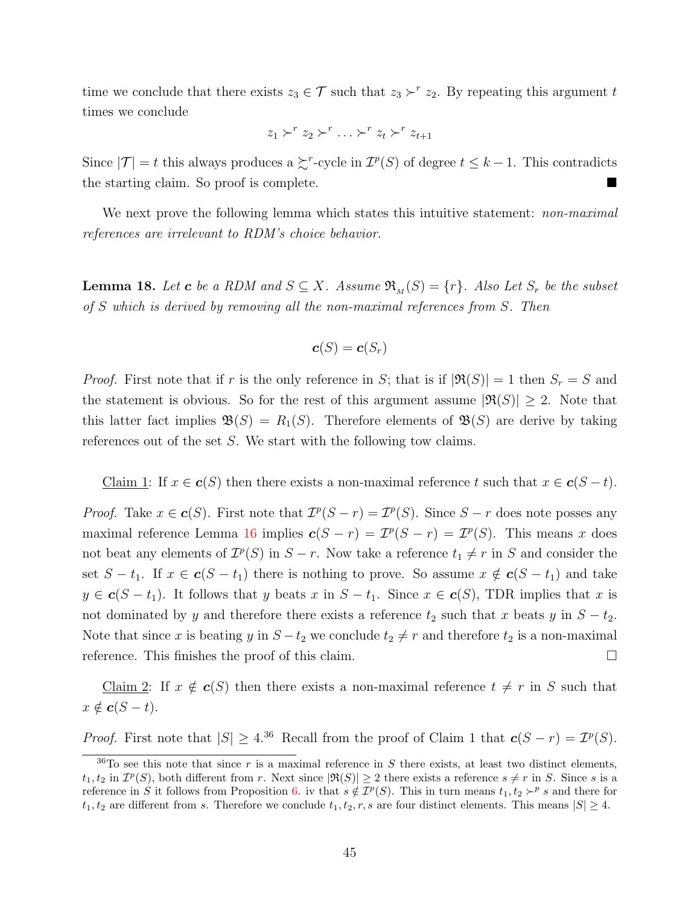time we conclude that there exists  $z_3 \in \mathcal{T}$  such that  $z_3 \succ^r z_2$ . By repeating this argument t times we conclude

$$
z_1 \succ^r z_2 \succ^r \ldots \succ^r z_t \succ^r z_{t+1}
$$

Since  $|\mathcal{T}| = t$  this always produces a  $\succsim^r$ -cycle in  $\mathcal{I}^p(S)$  of degree  $t \leq k - 1$ . This contradicts the starting claim. So proof is complete.

We next prove the following lemma which states this intuitive statement: *non-maximal* references are irrelevant to RDM's choice behavior.

<span id="page-44-0"></span>**Lemma 18.** Let **c** be a RDM and  $S \subseteq X$ . Assume  $\mathfrak{R}_{M}(S) = \{r\}$ . Also Let  $S_r$  be the subset of S which is derived by removing all the non-maximal references from S. Then

$$
\boldsymbol{c}(S)=\boldsymbol{c}(S_r)
$$

*Proof.* First note that if r is the only reference in S; that is if  $|\Re(S)| = 1$  then  $S_r = S$  and the statement is obvious. So for the rest of this argument assume  $|\Re(S)| \geq 2$ . Note that this latter fact implies  $\mathfrak{B}(S) = R_1(S)$ . Therefore elements of  $\mathfrak{B}(S)$  are derive by taking references out of the set S. We start with the following tow claims.

Claim 1: If  $x \in \mathbf{c}(S)$  then there exists a non-maximal reference t such that  $x \in \mathbf{c}(S-t)$ .

*Proof.* Take  $x \in \mathbf{c}(S)$ . First note that  $\mathcal{I}^p(S - r) = \mathcal{I}^p(S)$ . Since  $S - r$  does note posses any maximal reference Lemma [16](#page-37-2) implies  $c(S - r) = \mathcal{I}^p(S - r) = \mathcal{I}^p(S)$ . This means x does not beat any elements of  $\mathcal{I}^p(S)$  in  $S - r$ . Now take a reference  $t_1 \neq r$  in S and consider the set  $S - t_1$ . If  $x \in c(S - t_1)$  there is nothing to prove. So assume  $x \notin c(S - t_1)$  and take  $y \in \mathbf{c}(S-t_1)$ . It follows that y beats x in  $S-t_1$ . Since  $x \in \mathbf{c}(S)$ , TDR implies that x is not dominated by y and therefore there exists a reference  $t_2$  such that x beats y in  $S - t_2$ . Note that since x is beating y in  $S-t_2$  we conclude  $t_2 \neq r$  and therefore  $t_2$  is a non-maximal reference. This finishes the proof of this claim.

<u>Claim 2</u>: If  $x \notin c(S)$  then there exists a non-maximal reference  $t \neq r$  in S such that  $x \notin c(S - t).$ 

*Proof.* First note that  $|S| \geq 4^{36}$  Recall from the proof of Claim 1 that  $c(S - r) = T^p(S)$ .

 $36\text{To see this note that since } r \text{ is a maximal reference in } S \text{ there exists, at least two distinct elements, }$  $t_1, t_2$  in  $\mathcal{I}^p(S)$ , both different from r. Next since  $|\Re(S)| \geq 2$  there exists a reference  $s \neq r$  in S. Since s is a reference in S it follows from Proposition [6.](#page-33-1) iv that  $s \notin \mathcal{I}^p(S)$ . This in turn means  $t_1, t_2 \succ^p s$  and there for  $t_1, t_2$  are different from s. Therefore we conclude  $t_1, t_2, r, s$  are four distinct elements. This means  $|S| \geq 4$ .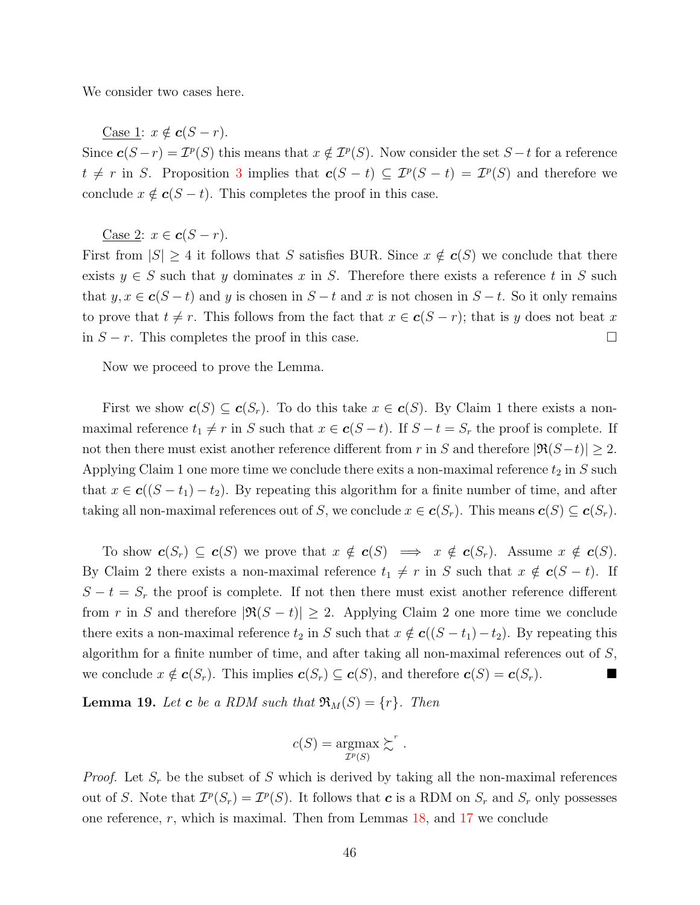We consider two cases here.

Case 1:  $x \notin c(S - r)$ .

Since  $c(S - r) = \mathcal{I}^p(S)$  this means that  $x \notin \mathcal{I}^p(S)$ . Now consider the set  $S - t$  for a reference  $t \neq r$  in S. Proposition [3](#page-14-0) implies that  $c(S - t) \subseteq \mathcal{I}^p(S - t) = \mathcal{I}^p(S)$  and therefore we conclude  $x \notin c(S - t)$ . This completes the proof in this case.

Case 2:  $x \in c(S - r)$ .

First from  $|S| \geq 4$  it follows that S satisfies BUR. Since  $x \notin c(S)$  we conclude that there exists  $y \in S$  such that y dominates x in S. Therefore there exists a reference t in S such that  $y, x \in \mathbf{c}(S-t)$  and y is chosen in  $S-t$  and x is not chosen in  $S-t$ . So it only remains to prove that  $t \neq r$ . This follows from the fact that  $x \in c(S - r)$ ; that is y does not beat x in  $S - r$ . This completes the proof in this case.  $□$ 

Now we proceed to prove the Lemma.

First we show  $c(S) \subseteq c(S_r)$ . To do this take  $x \in c(S)$ . By Claim 1 there exists a nonmaximal reference  $t_1 \neq r$  in S such that  $x \in c(S - t)$ . If  $S - t = S_r$  the proof is complete. If not then there must exist another reference different from r in S and therefore  $|\Re(S-t)| \geq 2$ . Applying Claim 1 one more time we conclude there exits a non-maximal reference  $t_2$  in S such that  $x \in c((S - t_1) - t_2)$ . By repeating this algorithm for a finite number of time, and after taking all non-maximal references out of S, we conclude  $x \in c(S_r)$ . This means  $c(S) \subseteq c(S_r)$ .

To show  $c(S_r) \subseteq c(S)$  we prove that  $x \notin c(S) \implies x \notin c(S_r)$ . Assume  $x \notin c(S)$ . By Claim 2 there exists a non-maximal reference  $t_1 \neq r$  in S such that  $x \notin c(S - t)$ . If  $S - t = S_r$  the proof is complete. If not then there must exist another reference different from r in S and therefore  $|\Re(S - t)| \geq 2$ . Applying Claim 2 one more time we conclude there exits a non-maximal reference  $t_2$  in S such that  $x \notin c((S - t_1) - t_2)$ . By repeating this algorithm for a finite number of time, and after taking all non-maximal references out of  $S$ , we conclude  $x \notin \mathbf{c}(S_r)$ . This implies  $\mathbf{c}(S_r) \subseteq \mathbf{c}(S)$ , and therefore  $\mathbf{c}(S) = \mathbf{c}(S_r)$ .

<span id="page-45-0"></span>**Lemma 19.** Let **c** be a RDM such that  $\mathfrak{R}_M(S) = \{r\}$ . Then

$$
c(S) = \underset{\mathcal{I}^p(S)}{\text{argmax}} \succsim^r.
$$

*Proof.* Let  $S_r$  be the subset of S which is derived by taking all the non-maximal references out of S. Note that  $\mathcal{I}^p(S_r) = \mathcal{I}^p(S)$ . It follows that **c** is a RDM on  $S_r$  and  $S_r$  only possesses one reference,  $r$ , which is maximal. Then from Lemmas  $18$ , and  $17$  we conclude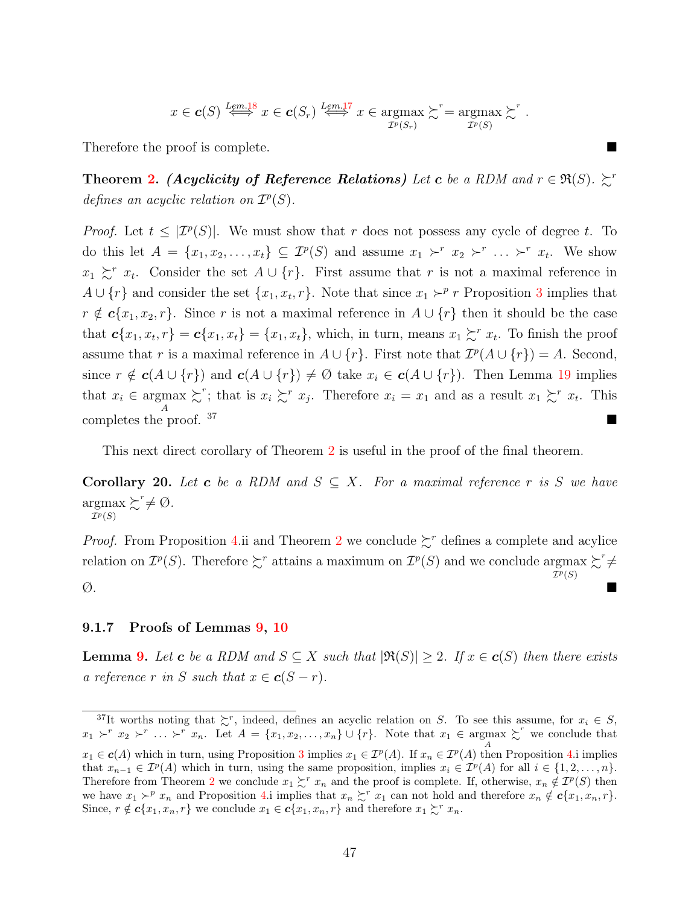$$
x \in c(S)
$$
  $\overset{Lem.18}{\Longleftrightarrow} x \in c(S_r) \overset{Lem.17}{\Longleftrightarrow} x \in \underset{\mathcal{I}^p(S_r)}{\text{argmax}} \succsim^r = \underset{\mathcal{I}^p(S)}{\text{argmax}} \succsim^r.$ 

Therefore the proof is complete.

**Theorem [2.](#page-19-0)** (Acyclicity of Reference Relations) Let c be a RDM and  $r \in \Re(S)$ .  $\succsim r$ defines an acyclic relation on  $\mathcal{I}^p(S)$ .

*Proof.* Let  $t \leq |\mathcal{I}^p(S)|$ . We must show that r does not possess any cycle of degree t. To do this let  $A = \{x_1, x_2, \ldots, x_t\} \subseteq \mathcal{I}^p(S)$  and assume  $x_1 \succ^r x_2 \succ^r \ldots \succ^r x_t$ . We show  $x_1 \succsim^r x_t$ . Consider the set  $A \cup \{r\}$ . First assume that r is not a maximal reference in  $A \cup \{r\}$  and consider the set  $\{x_1, x_t, r\}$ . Note that since  $x_1 \succ^p r$  Proposition [3](#page-14-0) implies that  $r \notin \mathbf{c}\{x_1, x_2, r\}$ . Since r is not a maximal reference in  $A \cup \{r\}$  then it should be the case that  $c\{x_1, x_t, r\} = c\{x_1, x_t\} = \{x_1, x_t\}$ , which, in turn, means  $x_1 \succsim^r x_t$ . To finish the proof assume that r is a maximal reference in  $A \cup \{r\}$ . First note that  $\mathcal{I}^p(A \cup \{r\}) = A$ . Second, since  $r \notin c(A \cup \{r\})$  and  $c(A \cup \{r\}) \neq \emptyset$  take  $x_i \in c(A \cup \{r\})$ . Then Lemma [19](#page-45-0) implies that  $x_i \in \text{argmax}_{\lambda} \succsim^r$ ; that is  $x_i \succsim^r x_j$ . Therefore  $x_i = x_1$  and as a result  $x_1 \succsim^r x_t$ . This  $\sum_{i=1}^{A}$  completes the proof. 37

This next direct corollary of Theorem [2](#page-19-0) is useful in the proof of the final theorem.

<span id="page-46-1"></span>**Corollary 20.** Let **c** be a RDM and  $S \subseteq X$ . For a maximal reference r is S we have argmax  $\mathcal{I}^p(S)$  $\succsim^r \neq \emptyset$ .

*Proof.* From Proposition [4.](#page-15-1)ii and Theorem [2](#page-19-0) we conclude  $\sum^r$  defines a complete and acylice relation on  $\mathcal{I}^p(S)$ . Therefore  $\succsim^r$  attains a maximum on  $\mathcal{I}^p(S)$  and we conclude argmax  $\succsim^r \neq$  $\mathcal{I}^p(S)$  $\emptyset$ .

### <span id="page-46-0"></span>9.1.7 Proofs of Lemmas [9,](#page-19-2) [10](#page-19-3)

**Lemma [9.](#page-19-2)** Let **c** be a RDM and  $S \subseteq X$  such that  $|\Re(S)| \geq 2$ . If  $x \in c(S)$  then there exists a reference r in S such that  $x \in c(S - r)$ .

<sup>&</sup>lt;sup>37</sup>It worths noting that  $\gtrsim^r$ , indeed, defines an acyclic relation on S. To see this assume, for  $x_i \in S$ ,  $x_1 \succ^r x_2 \succ^r \ldots \succ^r x_n$ . Let  $A = \{x_1, x_2, \ldots, x_n\} \cup \{r\}$ . Note that  $x_1 \in \operatorname{argmax}_{A} \succ^r w$  we conclude that  $x_1 \in \mathbf{c}(A)$  which in turn, using Proposition [3](#page-14-0) implies  $x_1 \in \mathcal{I}^p(A)$ . If  $x_n \in \mathcal{I}^p(A)$  then Proposition [4.](#page-15-1)i implies that  $x_{n-1} \in \mathcal{I}^p(A)$  which in turn, using the same proposition, implies  $x_i \in \mathcal{I}^p(A)$  for all  $i \in \{1, 2, ..., n\}$ . Therefore from Theorem [2](#page-19-0) we conclude  $x_1 \succsim^r x_n$  and the proof is complete. If, otherwise,  $x_n \notin \mathcal{I}^p(S)$  then we have  $x_1 \succ^p x_n$  and Proposition [4.](#page-15-1)i implies that  $x_n \succsim^r x_1$  can not hold and therefore  $x_n \notin c\{x_1, x_n, r\}.$ Since,  $r \notin \mathbf{c}\{x_1, x_n, r\}$  we conclude  $x_1 \in \mathbf{c}\{x_1, x_n, r\}$  and therefore  $x_1 \succsim^r x_n$ .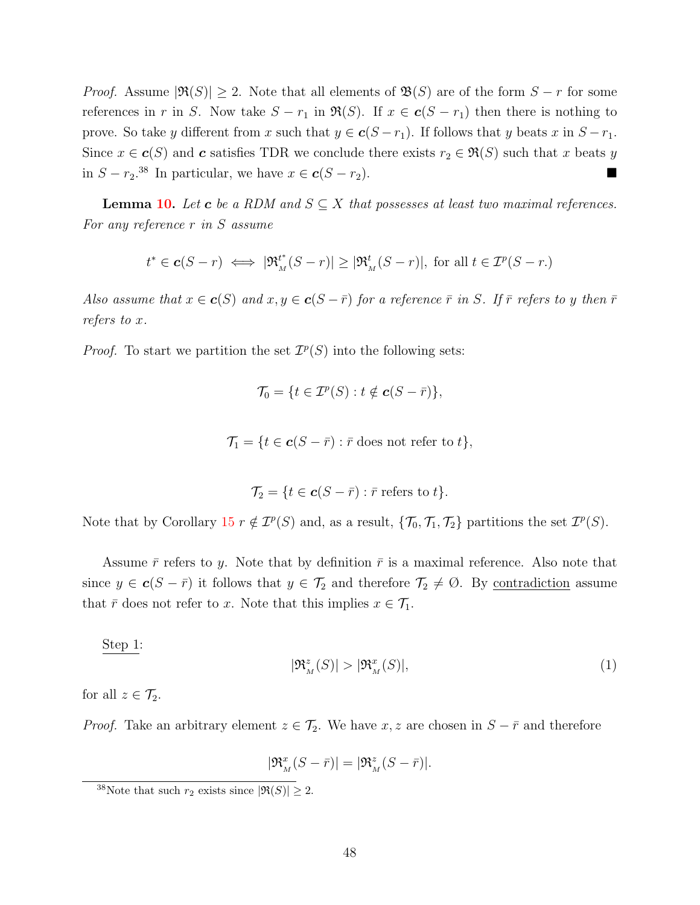*Proof.* Assume  $|\Re(S)| \ge 2$ . Note that all elements of  $\Re(S)$  are of the form  $S - r$  for some references in r in S. Now take  $S - r_1$  in  $\Re(S)$ . If  $x \in c(S - r_1)$  then there is nothing to prove. So take y different from x such that  $y \in c(S - r_1)$ . If follows that y beats x in  $S - r_1$ . Since  $x \in c(S)$  and c satisfies TDR we conclude there exists  $r_2 \in \mathfrak{R}(S)$  such that x beats y in  $S - r_2$ <sup>38</sup> In particular, we have  $x \in c(S - r_2)$ . ■

**Lemma [10.](#page-19-3)** Let **c** be a RDM and  $S \subseteq X$  that possesses at least two maximal references. For any reference r in S assume

$$
t^* \in \mathbf{c}(S-r) \iff |\mathfrak{R}_M^{t^*}(S-r)| \ge |\mathfrak{R}_M^{t}(S-r)|
$$
, for all  $t \in \mathcal{I}^p(S-r)$ .

Also assume that  $x \in \mathbf{c}(S)$  and  $x, y \in \mathbf{c}(S - \bar{r})$  for a reference  $\bar{r}$  in S. If  $\bar{r}$  refers to y then  $\bar{r}$ refers to x.

*Proof.* To start we partition the set  $\mathcal{I}^p(S)$  into the following sets:

$$
\mathcal{T}_0 = \{ t \in \mathcal{I}^p(S) : t \notin \mathbf{c}(S - \bar{r}) \},\
$$

$$
\mathcal{T}_1 = \{ t \in \mathbf{c}(S - \bar{r}) : \bar{r} \text{ does not refer to } t \},
$$

$$
\mathcal{T}_2 = \{ t \in \mathbf{c}(S - \bar{r}) : \bar{r} \text{ refers to } t \}.
$$

Note that by Corollary  $15 \rvert r \notin \mathcal{I}^p(S)$  $15 \rvert r \notin \mathcal{I}^p(S)$  and, as a result,  $\{\mathcal{T}_0, \mathcal{T}_1, \mathcal{T}_2\}$  partitions the set  $\mathcal{I}^p(S)$ .

Assume  $\bar{r}$  refers to y. Note that by definition  $\bar{r}$  is a maximal reference. Also note that since  $y \in \mathbf{c}(S - \bar{r})$  it follows that  $y \in \mathcal{T}_2$  and therefore  $\mathcal{T}_2 \neq \emptyset$ . By <u>contradiction</u> assume that  $\bar{r}$  does not refer to x. Note that this implies  $x \in \mathcal{T}_1$ .

Step 1:

$$
|\mathfrak{R}_M^z(S)| > |\mathfrak{R}_M^x(S)|,\tag{1}
$$

for all  $z \in \mathcal{T}_2$ .

*Proof.* Take an arbitrary element  $z \in \mathcal{T}_2$ . We have  $x, z$  are chosen in  $S - \bar{r}$  and therefore

$$
|\mathfrak{R}_M^x(S - \bar{r})| = |\mathfrak{R}_M^z(S - \bar{r})|.
$$

<sup>&</sup>lt;sup>38</sup>Note that such  $r_2$  exists since  $|\Re(S)| \geq 2$ .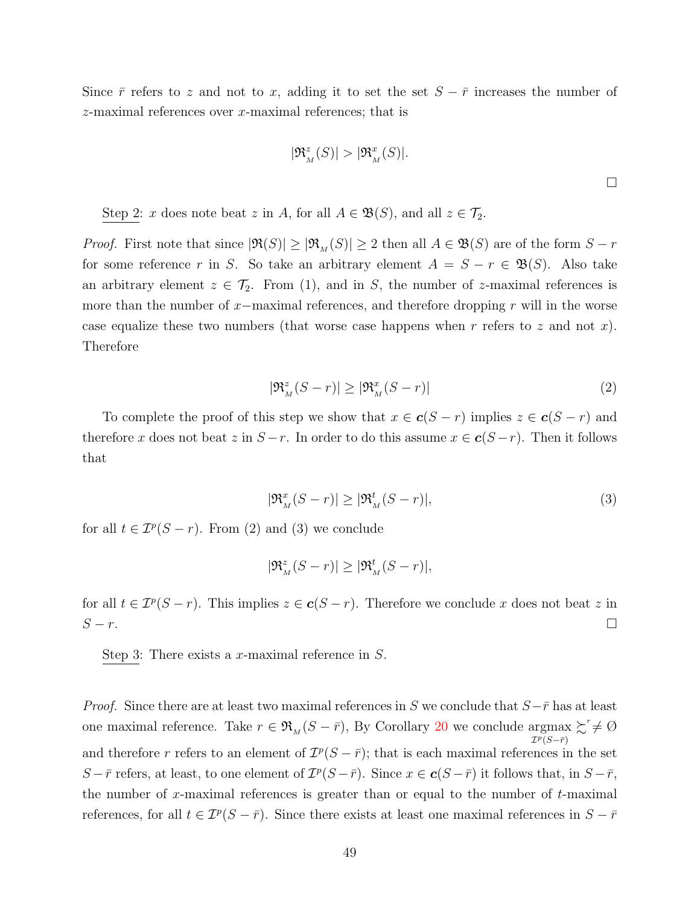Since  $\bar{r}$  refers to z and not to x, adding it to set the set  $S - \bar{r}$  increases the number of z-maximal references over x-maximal references; that is

$$
|\mathfrak{R}_{M}^{z}(S)| > |\mathfrak{R}_{M}^{x}(S)|.
$$

Step 2: x does note beat z in A, for all  $A \in \mathfrak{B}(S)$ , and all  $z \in \mathcal{T}_2$ .

*Proof.* First note that since  $|\Re(S)| \geq |\Re_M(S)| \geq 2$  then all  $A \in \mathfrak{B}(S)$  are of the form  $S - r$ for some reference r in S. So take an arbitrary element  $A = S - r \in \mathfrak{B}(S)$ . Also take an arbitrary element  $z \in \mathcal{T}_2$ . From (1), and in S, the number of z-maximal references is more than the number of  $x$ −maximal references, and therefore dropping r will in the worse case equalize these two numbers (that worse case happens when  $r$  refers to  $z$  and not  $x$ ). Therefore

$$
|\mathfrak{R}_M^z(S - r)| \ge |\mathfrak{R}_M^x(S - r)| \tag{2}
$$

To complete the proof of this step we show that  $x \in c(S - r)$  implies  $z \in c(S - r)$  and therefore x does not beat z in  $S - r$ . In order to do this assume  $x \in c(S - r)$ . Then it follows that

$$
|\mathfrak{R}_M^x(S-r)| \ge |\mathfrak{R}_M^t(S-r)|,\tag{3}
$$

for all  $t \in \mathcal{I}^p(S - r)$ . From (2) and (3) we conclude

$$
|\mathfrak{R}_{\scriptscriptstyle M}^z(S-r)| \geq |\mathfrak{R}_{\scriptscriptstyle M}^t(S-r)|,
$$

for all  $t \in \mathcal{I}^p(S-r)$ . This implies  $z \in \mathbf{c}(S-r)$ . Therefore we conclude x does not beat z in  $S-r$ .

Step 3: There exists a x-maximal reference in S.

*Proof.* Since there are at least two maximal references in S we conclude that  $S-\bar{r}$  has at least one maximal reference. Take  $r \in \mathfrak{R}_M(S - \bar{r})$ , By Corollary [20](#page-46-1) we conclude argmax  $\mathcal{I}^p(S - \bar{r})$  $\succsim^r \neq \emptyset$ and therefore r refers to an element of  $\mathcal{I}^p(S-\bar{r})$ ; that is each maximal references in the set S –  $\bar{r}$  refers, at least, to one element of  $\mathcal{I}^p(S-\bar{r})$ . Since  $x \in \mathbf{c}(S-\bar{r})$  it follows that, in  $S-\bar{r}$ , the number of x-maximal references is greater than or equal to the number of  $t$ -maximal references, for all  $t \in \mathcal{I}^p(S - \bar{r})$ . Since there exists at least one maximal references in  $S - \bar{r}$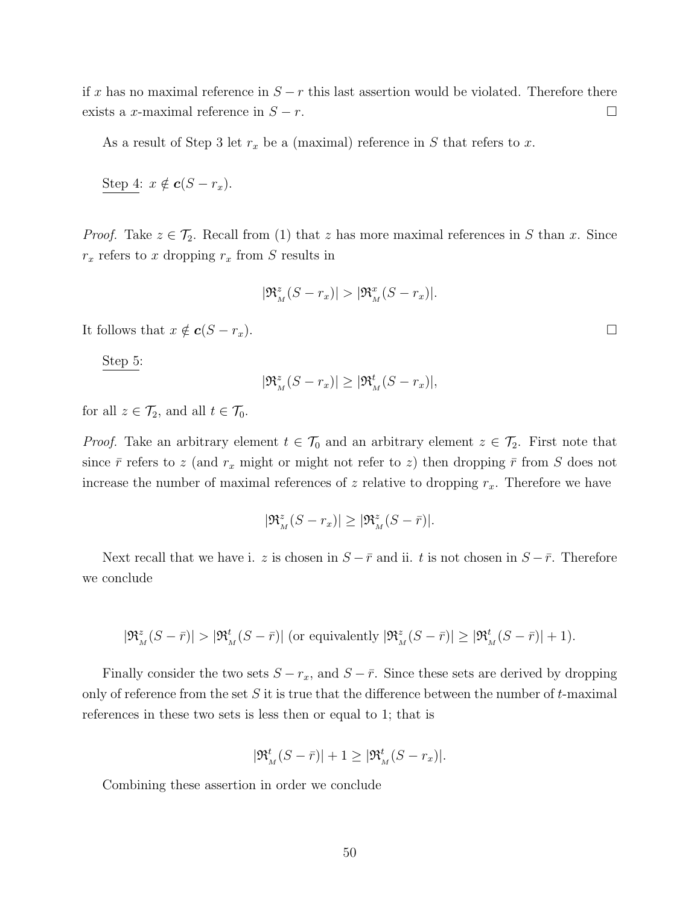if x has no maximal reference in  $S - r$  this last assertion would be violated. Therefore there exists a x-maximal reference in  $S - r$ .

As a result of Step 3 let  $r_x$  be a (maximal) reference in S that refers to x.

Step 4: 
$$
x \notin c(S - r_x)
$$
.

*Proof.* Take  $z \in \mathcal{T}_2$ . Recall from (1) that z has more maximal references in S than x. Since  $r_x$  refers to x dropping  $r_x$  from S results in

$$
|\mathfrak{R}_{M}^{z}(S-r_{x})|>|\mathfrak{R}_{M}^{x}(S-r_{x})|.
$$

It follows that  $x \notin \mathbf{c}(S - r_x)$ .

Step 5:

$$
|\mathfrak{R}_M^z(S - r_x)| \ge |\mathfrak{R}_M^t(S - r_x)|,
$$

for all  $z \in \mathcal{T}_2$ , and all  $t \in \mathcal{T}_0$ .

*Proof.* Take an arbitrary element  $t \in \mathcal{T}_0$  and an arbitrary element  $z \in \mathcal{T}_2$ . First note that since  $\bar{r}$  refers to z (and  $r_x$  might or might not refer to z) then dropping  $\bar{r}$  from S does not increase the number of maximal references of z relative to dropping  $r_x$ . Therefore we have

$$
|\mathfrak{R}_{\scriptscriptstyle M}^z(S-r_x)| \geq |\mathfrak{R}_{\scriptscriptstyle M}^z(S-\bar{r})|.
$$

Next recall that we have i. z is chosen in  $S - \bar{r}$  and ii. t is not chosen in  $S - \bar{r}$ . Therefore we conclude

$$
|\mathfrak{R}_{\scriptscriptstyle M}^z(S-\bar{r})|>|\mathfrak{R}_{\scriptscriptstyle M}^t(S-\bar{r})|\text{ (or equivalently }|\mathfrak{R}_{\scriptscriptstyle M}^z(S-\bar{r})|\geq|\mathfrak{R}_{\scriptscriptstyle M}^t(S-\bar{r})|+1).
$$

Finally consider the two sets  $S - r_x$ , and  $S - \bar{r}$ . Since these sets are derived by dropping only of reference from the set S it is true that the difference between the number of  $t$ -maximal references in these two sets is less then or equal to 1; that is

$$
|\mathfrak{R}_{M}^{t}(S-\bar{r})|+1 \geq |\mathfrak{R}_{M}^{t}(S-r_{x})|.
$$

Combining these assertion in order we conclude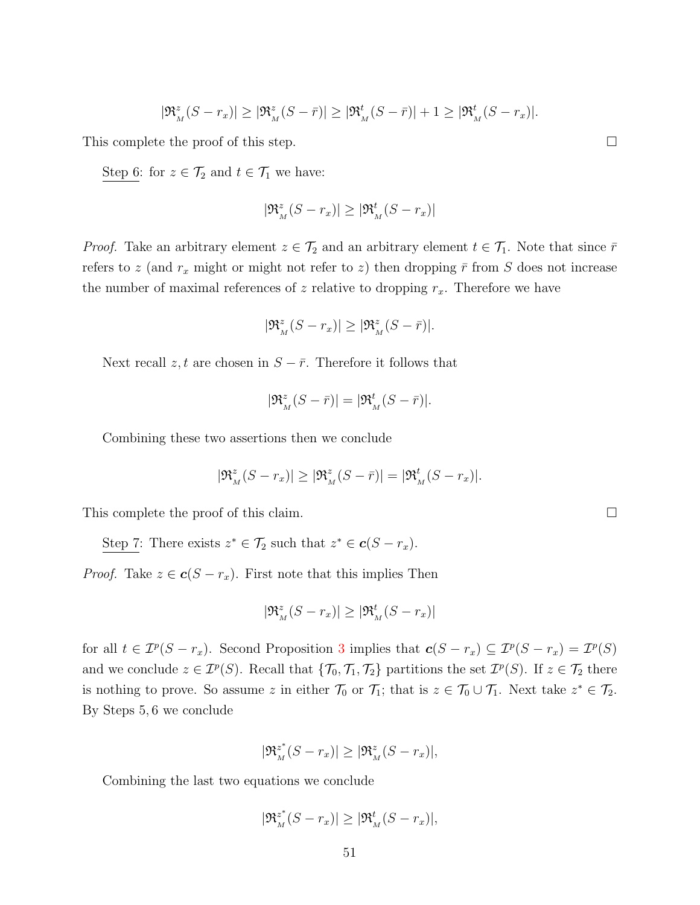$$
|\mathfrak{R}_{\scriptscriptstyle M}^z(S-r_x)| \geq |\mathfrak{R}_{\scriptscriptstyle M}^z(S-\bar{r})| \geq |\mathfrak{R}_{\scriptscriptstyle M}^t(S-\bar{r})| + 1 \geq |\mathfrak{R}_{\scriptscriptstyle M}^t(S-r_x)|.
$$

This complete the proof of this step.  $\Box$ 

Step 6: for  $z \in \mathcal{T}_2$  and  $t \in \mathcal{T}_1$  we have:

$$
|\mathfrak{R}_{\scriptscriptstyle M}^z(S-r_x)| \geq |\mathfrak{R}_{\scriptscriptstyle M}^t(S-r_x)|
$$

*Proof.* Take an arbitrary element  $z \in \mathcal{T}_2$  and an arbitrary element  $t \in \mathcal{T}_1$ . Note that since  $\bar{r}$ refers to z (and  $r_x$  might or might not refer to z) then dropping  $\bar{r}$  from S does not increase the number of maximal references of z relative to dropping  $r_x$ . Therefore we have

$$
|\mathfrak{R}_{\scriptscriptstyle M}^z(S-r_x)| \geq |\mathfrak{R}_{\scriptscriptstyle M}^z(S-\bar{r})|.
$$

Next recall z, t are chosen in  $S - \bar{r}$ . Therefore it follows that

$$
|\mathfrak{R}_{\scriptscriptstyle M}^z(S-\bar{r})|=|\mathfrak{R}_{\scriptscriptstyle M}^t(S-\bar{r})|.
$$

Combining these two assertions then we conclude

$$
|\mathfrak{R}_{\scriptscriptstyle M}^z(S-r_x)| \geq |\mathfrak{R}_{\scriptscriptstyle M}^z(S-\bar{r})| = |\mathfrak{R}_{\scriptscriptstyle M}^t(S-r_x)|.
$$

This complete the proof of this claim.

Step 7: There exists  $z^* \in \mathcal{T}_2$  such that  $z^* \in \mathbf{c}(S - r_x)$ .

*Proof.* Take  $z \in \mathbf{c}(S - r_x)$ . First note that this implies Then

$$
|\mathfrak{R}_{\scriptscriptstyle M}^z(S-r_x)| \geq |\mathfrak{R}_{\scriptscriptstyle M}^t(S-r_x)|
$$

for all  $t \in \mathcal{I}^p(S - r_x)$ . Second Proposition [3](#page-14-0) implies that  $c(S - r_x) \subseteq \mathcal{I}^p(S - r_x) = \mathcal{I}^p(S)$ and we conclude  $z \in \mathcal{I}^p(S)$ . Recall that  $\{\mathcal{T}_0, \mathcal{T}_1, \mathcal{T}_2\}$  partitions the set  $\mathcal{I}^p(S)$ . If  $z \in \mathcal{T}_2$  there is nothing to prove. So assume z in either  $\mathcal{T}_0$  or  $\mathcal{T}_1$ ; that is  $z \in \mathcal{T}_0 \cup \mathcal{T}_1$ . Next take  $z^* \in \mathcal{T}_2$ . By Steps 5, 6 we conclude

$$
|\mathfrak{R}_M^{z^*}(S - r_x)| \ge |\mathfrak{R}_M^{z}(S - r_x)|,
$$

Combining the last two equations we conclude

$$
|\mathfrak{R}_M^{z^*}(S - r_x)| \ge |\mathfrak{R}_M^t(S - r_x)|,
$$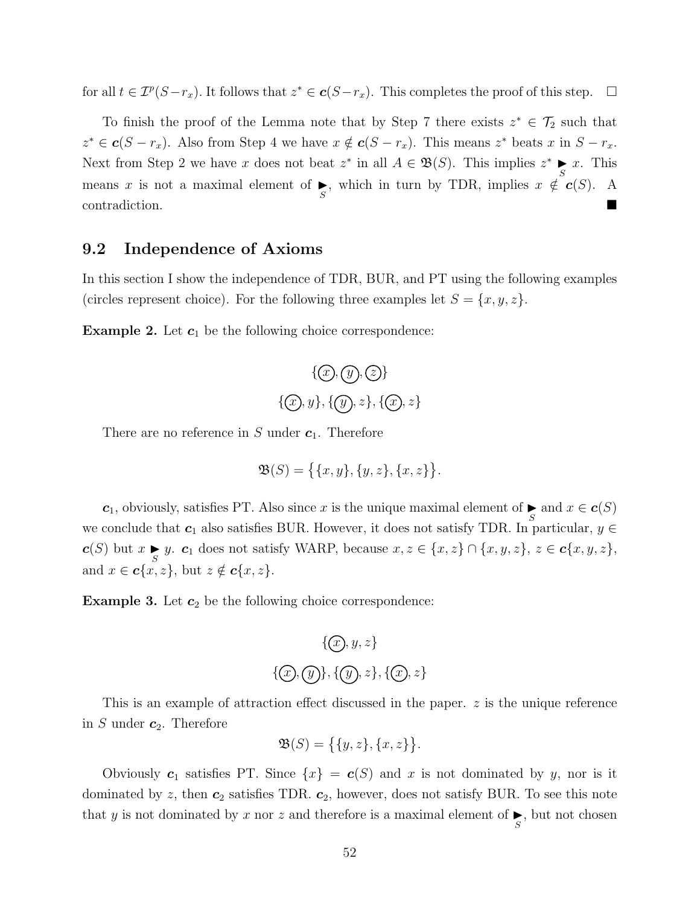for all  $t \in \mathcal{I}^p(S-r_x)$ . It follows that  $z^* \in \mathbf{c}(S-r_x)$ . This completes the proof of this step.  $\Box$ 

To finish the proof of the Lemma note that by Step 7 there exists  $z^* \in \mathcal{T}_2$  such that  $z^* \in \mathbf{c}(S - r_x)$ . Also from Step 4 we have  $x \notin \mathbf{c}(S - r_x)$ . This means  $z^*$  beats x in  $S - r_x$ . Next from Step 2 we have x does not beat  $z^*$  in all  $A \in \mathfrak{B}(S)$ . This implies  $z^*$  $s \in \mathbb{R}$ . This means x is not a maximal element of  $\blacktriangleright$ , which in turn by TDR, implies  $x \notin (S)$ . A contradiction.

## <span id="page-51-0"></span>9.2 Independence of Axioms

In this section I show the independence of TDR, BUR, and PT using the following examples (circles represent choice). For the following three examples let  $S = \{x, y, z\}$ .

**Example 2.** Let  $c_1$  be the following choice correspondence:

$$
\{(\mathcal{D}, \mathcal{Q}), \mathcal{Z}\}
$$
  

$$
\{\mathcal{D}, y\}, \{\mathcal{D}, z\}, \{\mathcal{D}, z\}
$$

There are no reference in  $S$  under  $c_1$ . Therefore

$$
\mathfrak{B}(S) = \big\{ \{x, y\}, \{y, z\}, \{x, z\} \big\}.
$$

 $c_1$ , obviously, satisfies PT. Also since x is the unique maximal element of  $\sum_{S}$  and  $x \in c(S)$ we conclude that  $c_1$  also satisfies BUR. However, it does not satisfy TDR. In particular,  $y \in$  $c(S)$  but  $x \in S$  y.  $c_1$  does not satisfy WARP, because  $x, z \in \{x, z\} \cap \{x, y, z\}$ ,  $z \in c\{x, y, z\}$ , and  $x \in \mathbf{c}\{x, z\}$ , but  $z \notin \mathbf{c}\{x, z\}$ .

**Example 3.** Let  $c_2$  be the following choice correspondence:

$$
\{x, y, z\}
$$
  

$$
\{(x, y), z\}, \{(x, z)\}
$$

This is an example of attraction effect discussed in the paper. z is the unique reference in S under  $c_2$ . Therefore

$$
\mathfrak{B}(S) = \big\{ \{y, z\}, \{x, z\} \big\}.
$$

Obviously  $c_1$  satisfies PT. Since  $\{x\} = c(S)$  and x is not dominated by y, nor is it dominated by z, then  $c_2$  satisfies TDR.  $c_2$ , however, does not satisfy BUR. To see this note that y is not dominated by x nor z and therefore is a maximal element of  $\sum_{S}$ , but not chosen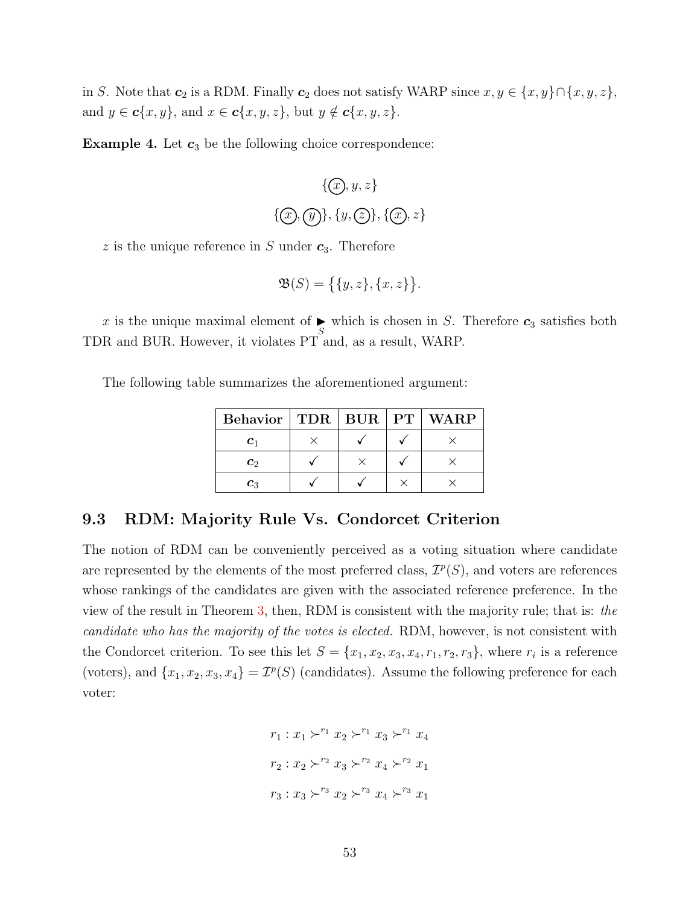in S. Note that  $c_2$  is a RDM. Finally  $c_2$  does not satisfy WARP since  $x, y \in \{x, y\} \cap \{x, y, z\}$ , and  $y \in \mathbf{c}\{x, y\}$ , and  $x \in \mathbf{c}\{x, y, z\}$ , but  $y \notin \mathbf{c}\{x, y, z\}$ .

**Example 4.** Let  $c_3$  be the following choice correspondence:

$$
\{x, y, z\}
$$
  

$$
\{(x), (y), \{y, (z)\}, \{(x), z\}
$$

z is the unique reference in S under  $c_3$ . Therefore

$$
\mathfrak{B}(S) = \big\{ \{y, z\}, \{x, z\} \big\}.
$$

x is the unique maximal element of  $\sum_{S}$  which is chosen in S. Therefore  $c_3$  satisfies both TDR and BUR. However, it violates PT and, as a result, WARP.

The following table summarizes the aforementioned argument:

| <b>Behavior</b> | $\vert$ TDR $\vert$ BUR | $\mathbf{PT}$ | <b>WARP</b> |
|-----------------|-------------------------|---------------|-------------|
| $\mathbf{C}_1$  |                         |               |             |
| $\mathbf{c}_2$  |                         |               |             |
| $c_3$           |                         |               |             |

## 9.3 RDM: Majority Rule Vs. Condorcet Criterion

The notion of RDM can be conveniently perceived as a voting situation where candidate are represented by the elements of the most preferred class,  $\mathcal{I}^p(S)$ , and voters are references whose rankings of the candidates are given with the associated reference preference. In the view of the result in Theorem [3,](#page-19-1) then, RDM is consistent with the majority rule; that is: the candidate who has the majority of the votes is elected. RDM, however, is not consistent with the Condorcet criterion. To see this let  $S = \{x_1, x_2, x_3, x_4, r_1, r_2, r_3\}$ , where  $r_i$  is a reference (voters), and  $\{x_1, x_2, x_3, x_4\} = \mathcal{I}^p(S)$  (candidates). Assume the following preference for each voter:

$$
r_1: x_1 \succ^{r_1} x_2 \succ^{r_1} x_3 \succ^{r_1} x_4
$$

$$
r_2: x_2 \succ^{r_2} x_3 \succ^{r_2} x_4 \succ^{r_2} x_1
$$

$$
r_3: x_3 \succ^{r_3} x_2 \succ^{r_3} x_4 \succ^{r_3} x_1
$$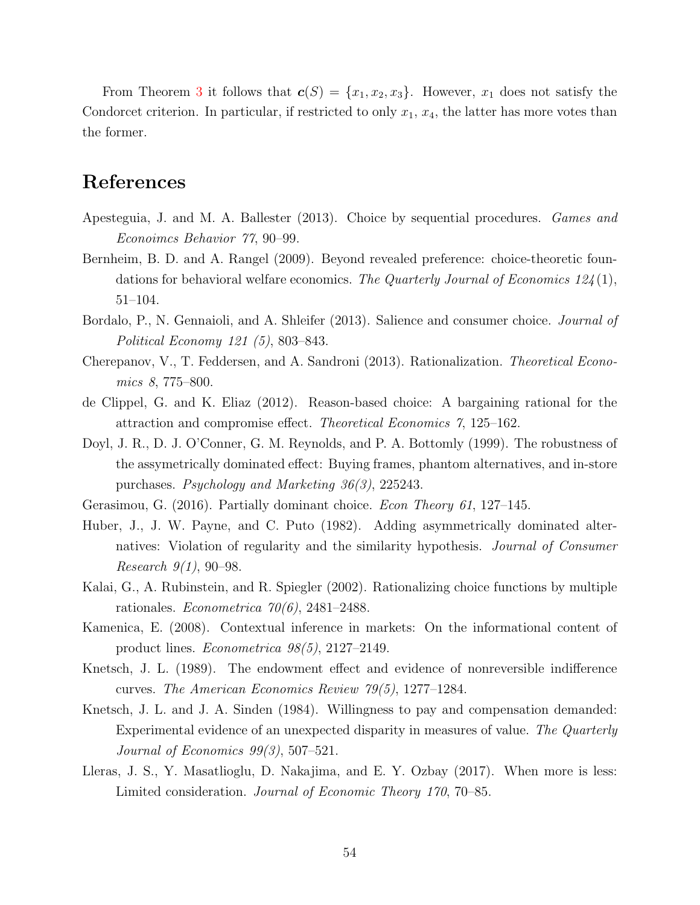From Theorem [3](#page-19-1) it follows that  $c(S) = \{x_1, x_2, x_3\}$ . However,  $x_1$  does not satisfy the Condorcet criterion. In particular, if restricted to only  $x_1, x_4$ , the latter has more votes than the former.

# References

- <span id="page-53-7"></span>Apesteguia, J. and M. A. Ballester (2013). Choice by sequential procedures. Games and Econoimcs Behavior 77, 90–99.
- <span id="page-53-10"></span>Bernheim, B. D. and A. Rangel (2009). Beyond revealed preference: choice-theoretic foundations for behavioral welfare economics. The Quarterly Journal of Economics  $124(1)$ , 51–104.
- <span id="page-53-5"></span>Bordalo, P., N. Gennaioli, and A. Shleifer (2013). Salience and consumer choice. *Journal of* Political Economy 121 (5), 803–843.
- <span id="page-53-6"></span>Cherepanov, V., T. Feddersen, and A. Sandroni (2013). Rationalization. Theoretical Economics 8, 775–800.
- <span id="page-53-4"></span>de Clippel, G. and K. Eliaz (2012). Reason-based choice: A bargaining rational for the attraction and compromise effect. Theoretical Economics 7, 125–162.
- <span id="page-53-1"></span>Doyl, J. R., D. J. O'Conner, G. M. Reynolds, and P. A. Bottomly (1999). The robustness of the assymetrically dominated effect: Buying frames, phantom alternatives, and in-store purchases. Psychology and Marketing 36(3), 225243.
- <span id="page-53-9"></span><span id="page-53-0"></span>Gerasimou, G. (2016). Partially dominant choice. Econ Theory 61, 127–145.
- Huber, J., J. W. Payne, and C. Puto (1982). Adding asymmetrically dominated alternatives: Violation of regularity and the similarity hypothesis. Journal of Consumer *Research*  $9(1)$ , 90–98.
- <span id="page-53-2"></span>Kalai, G., A. Rubinstein, and R. Spiegler (2002). Rationalizing choice functions by multiple rationales. Econometrica  $70(6)$ , 2481–2488.
- <span id="page-53-3"></span>Kamenica, E. (2008). Contextual inference in markets: On the informational content of product lines. Econometrica 98(5), 2127–2149.
- <span id="page-53-12"></span>Knetsch, J. L. (1989). The endowment effect and evidence of nonreversible indifference curves. The American Economics Review 79(5), 1277–1284.
- <span id="page-53-11"></span>Knetsch, J. L. and J. A. Sinden (1984). Willingness to pay and compensation demanded: Experimental evidence of an unexpected disparity in measures of value. The Quarterly Journal of Economics 99(3), 507–521.
- <span id="page-53-8"></span>Lleras, J. S., Y. Masatlioglu, D. Nakajima, and E. Y. Ozbay (2017). When more is less: Limited consideration. Journal of Economic Theory 170, 70–85.